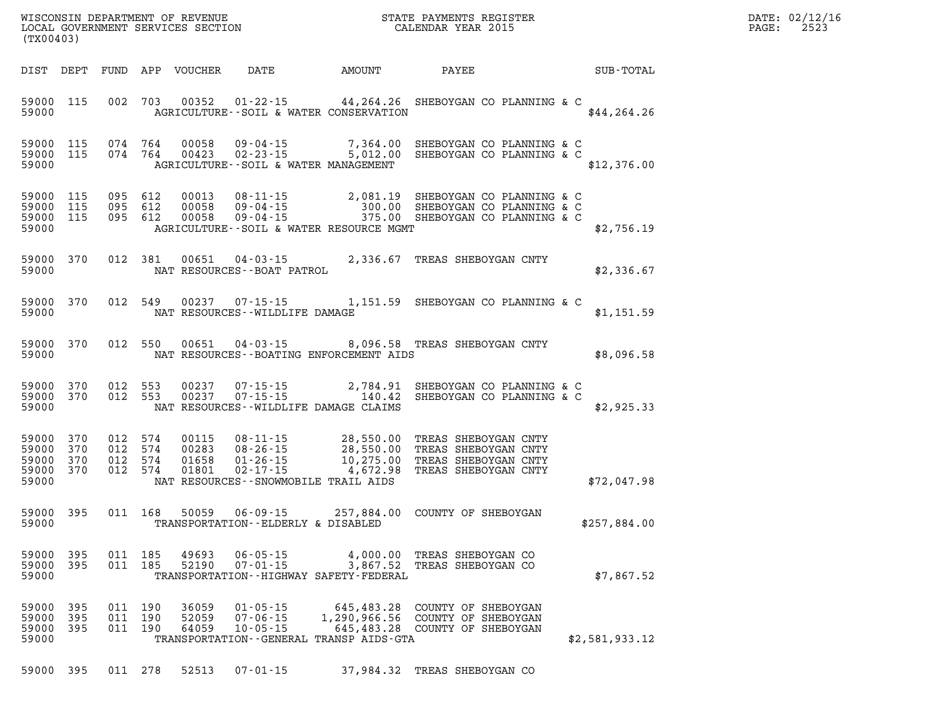| DATE: | 02/12/16 |
|-------|----------|
| PAGE: | 2523     |

| (TX00403)                                                 |                   |                |                                          | LOCAL GOVERNMENT SERVICES SECTION |                                                                                                    |                      | CALENDAR YEAR 2015                                                                                                                          |                | PAGE: | 2523 |
|-----------------------------------------------------------|-------------------|----------------|------------------------------------------|-----------------------------------|----------------------------------------------------------------------------------------------------|----------------------|---------------------------------------------------------------------------------------------------------------------------------------------|----------------|-------|------|
|                                                           |                   |                |                                          |                                   |                                                                                                    |                      | DIST DEPT FUND APP VOUCHER DATE AMOUNT PAYEE TO SUB-TOTAL                                                                                   |                |       |      |
| 59000 115<br>59000                                        |                   |                |                                          |                                   | AGRICULTURE--SOIL & WATER CONSERVATION                                                             |                      | 002 703 00352 01-22-15 44,264.26 SHEBOYGAN CO PLANNING & C                                                                                  | \$44, 264.26   |       |      |
| 59000 115<br>59000 115<br>59000                           |                   |                |                                          |                                   | AGRICULTURE--SOIL & WATER MANAGEMENT                                                               |                      | 074  764  00058  09-04-15  7,364.00  SHEBOYGAN CO PLANNING & C<br>074  764  00423  02-23-15  5,012.00  SHEBOYGAN CO PLANNING & C            | \$12,376.00    |       |      |
| 59000 115<br>59000 115<br>59000 115<br>59000              |                   |                | 095 612<br>095 612<br>095 612            | 00013<br>00058<br>00058           | AGRICULTURE--SOIL & WATER RESOURCE MGMT                                                            |                      | 08-11-15   2,081.19 SHEBOYGAN CO PLANNING & C<br>09-04-15   300.00 SHEBOYGAN CO PLANNING & C<br>09-04-15   375.00 SHEBOYGAN CO PLANNING & C | \$2,756.19     |       |      |
| 59000 370<br>59000                                        |                   |                | 012 381                                  | 00651                             | NAT RESOURCES - - BOAT PATROL                                                                      |                      | 04-03-15 2,336.67 TREAS SHEBOYGAN CNTY                                                                                                      | \$2,336.67     |       |      |
| 59000 370<br>59000                                        |                   |                | 012 549                                  | 00237                             | NAT RESOURCES - - WILDLIFE DAMAGE                                                                  |                      |                                                                                                                                             | \$1,151.59     |       |      |
| 59000 370<br>59000                                        |                   |                | 012 550                                  | 00651                             | NAT RESOURCES--BOATING ENFORCEMENT AIDS                                                            |                      | 04-03-15 8,096.58 TREAS SHEBOYGAN CNTY                                                                                                      | \$8,096.58     |       |      |
| 59000 370<br>59000 370<br>59000                           |                   |                | 012 553<br>012 553                       | 00237<br>00237                    | 07 - 15 - 15<br>07 - 15 - 15<br>$07 - 15 - 15$<br>NAT RESOURCES--WILDLIFE DAMAGE CLAIMS            |                      | 2,784.91 SHEBOYGAN CO PLANNING & C<br>140.42 SHEBOYGAN CO PLANNING & C                                                                      | \$2,925.33     |       |      |
| 59000 370<br>59000 370<br>59000 370<br>59000 370<br>59000 |                   |                | 012 574<br>012 574<br>012 574<br>012 574 | 00115<br>00283<br>01658<br>01801  | NAT RESOURCES -- SNOWMOBILE TRAIL AIDS                                                             |                      |                                                                                                                                             | \$72,047.98    |       |      |
| 59000 395<br>59000                                        |                   |                | 011 168                                  | 50059                             | TRANSPORTATION--ELDERLY & DISABLED                                                                 |                      | 06-09-15 257,884.00 COUNTY OF SHEBOYGAN                                                                                                     | \$257,884.00   |       |      |
| 59000 395<br>59000<br>59000                               | 395               | 011 185<br>011 | 185                                      | 49693<br>52190                    | $06 - 05 - 15$<br>$07 - 01 - 15$<br>TRANSPORTATION - - HIGHWAY SAFETY - FEDERAL                    | 4,000.00<br>3,867.52 | TREAS SHEBOYGAN CO<br>TREAS SHEBOYGAN CO                                                                                                    | \$7,867.52     |       |      |
| 59000<br>59000<br>59000<br>59000                          | 395<br>395<br>395 | 011 190        | 011 190<br>011 190                       | 36059<br>52059<br>64059           | $01 - 05 - 15$<br>$07 - 06 - 15$<br>$10 - 05 - 15$<br>TRANSPORTATION - - GENERAL TRANSP AIDS - GTA | 645,483.28           | COUNTY OF SHEBOYGAN<br>1,290,966.56 COUNTY OF SHEBOYGAN<br>645,483.28 COUNTY OF SHEBOYGAN                                                   | \$2,581,933.12 |       |      |
| 59000 395                                                 |                   |                | 011 278                                  | 52513                             | $07 - 01 - 15$                                                                                     |                      | 37,984.32 TREAS SHEBOYGAN CO                                                                                                                |                |       |      |

WISCONSIN DEPARTMENT OF REVENUE **STATE PAYMENTS REGISTER**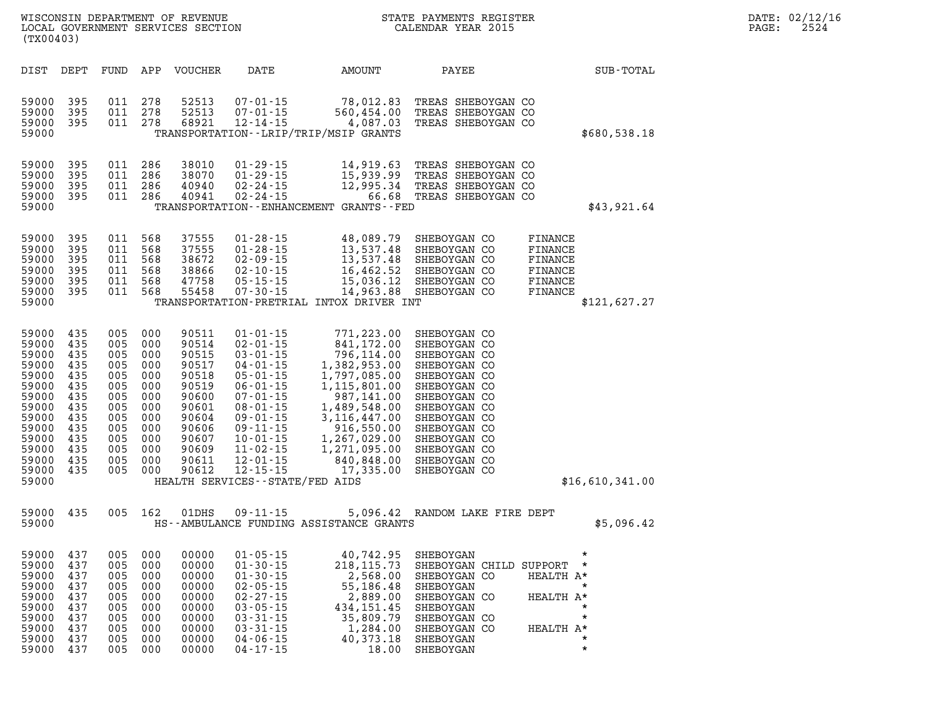| (TX00403)                                                                                                                           |                                                                                                |                                                                                                |                                                                                                | WISCONSIN DEPARTMENT OF REVENUE<br>LOCAL GOVERNMENT SERVICES SECTION                                                       |                                                                                                                                                                                                                                                                                             |                                                                                                                                                                                                               | STATE PAYMENTS REGISTER<br>CALENDAR YEAR 2015                                                                                                                                                                                |                                                                                            | DATE: 02/12/16<br>2524<br>PAGE: |
|-------------------------------------------------------------------------------------------------------------------------------------|------------------------------------------------------------------------------------------------|------------------------------------------------------------------------------------------------|------------------------------------------------------------------------------------------------|----------------------------------------------------------------------------------------------------------------------------|---------------------------------------------------------------------------------------------------------------------------------------------------------------------------------------------------------------------------------------------------------------------------------------------|---------------------------------------------------------------------------------------------------------------------------------------------------------------------------------------------------------------|------------------------------------------------------------------------------------------------------------------------------------------------------------------------------------------------------------------------------|--------------------------------------------------------------------------------------------|---------------------------------|
| DIST                                                                                                                                | DEPT                                                                                           | FUND                                                                                           | APP                                                                                            | VOUCHER                                                                                                                    | DATE                                                                                                                                                                                                                                                                                        | AMOUNT                                                                                                                                                                                                        | PAYEE                                                                                                                                                                                                                        | SUB-TOTAL                                                                                  |                                 |
| 59000<br>59000<br>59000<br>59000                                                                                                    | 395<br>395<br>395                                                                              | 011<br>011<br>011                                                                              | 278<br>278<br>278                                                                              | 52513<br>52513<br>68921                                                                                                    | $07 - 01 - 15$<br>$07 - 01 - 15$<br>$12 - 14 - 15$                                                                                                                                                                                                                                          | 78,012.83<br>560,454.00<br>4,087.03<br>TRANSPORTATION - - LRIP/TRIP/MSIP GRANTS                                                                                                                               | TREAS SHEBOYGAN CO<br>TREAS SHEBOYGAN CO<br>TREAS SHEBOYGAN CO                                                                                                                                                               | \$680,538.18                                                                               |                                 |
| 59000<br>59000<br>59000<br>59000<br>59000                                                                                           | 395<br>395<br>395<br>-395                                                                      | 011<br>011<br>011<br>011                                                                       | 286<br>286<br>286<br>286                                                                       | 38010<br>38070<br>40940<br>40941                                                                                           | $01 - 29 - 15$<br>$01 - 29 - 15$<br>$02 - 24 - 15$<br>$02 - 24 - 15$                                                                                                                                                                                                                        | 14,919.63<br>15,939.99<br>12,995.34<br>TRANSPORTATION - - ENHANCEMENT GRANTS - - FED                                                                                                                          | TREAS SHEBOYGAN CO<br>TREAS SHEBOYGAN CO<br>TREAS SHEBOYGAN CO<br>66.68 TREAS SHEBOYGAN CO                                                                                                                                   | \$43,921.64                                                                                |                                 |
| 59000<br>59000<br>59000<br>59000<br>59000<br>59000<br>59000                                                                         | 395<br>395<br>395<br>395<br>395<br>395                                                         | 011<br>011<br>011<br>011<br>011<br>011                                                         | 568<br>568<br>568<br>568<br>568<br>568                                                         | 37555<br>37555<br>38672<br>38866<br>47758<br>55458                                                                         | $01 - 28 - 15$<br>$01 - 28 - 15$<br>$02 - 09 - 15$<br>$02 - 10 - 15$<br>$05 - 15 - 15$<br>$07 - 30 - 15$                                                                                                                                                                                    | 48,089.79<br>13,537.48<br>13,537.48<br>16,462.52<br>15,036.12<br>14,963.88<br>TRANSPORTATION-PRETRIAL INTOX DRIVER INT                                                                                        | SHEBOYGAN CO<br>SHEBOYGAN CO<br>SHEBOYGAN CO<br>SHEBOYGAN CO<br>SHEBOYGAN CO<br>SHEBOYGAN CO                                                                                                                                 | FINANCE<br>FINANCE<br>FINANCE<br>FINANCE<br>FINANCE<br>FINANCE<br>\$121,627.27             |                                 |
| 59000<br>59000<br>59000<br>59000<br>59000<br>59000<br>59000<br>59000<br>59000<br>59000<br>59000<br>59000<br>59000<br>59000<br>59000 | 435<br>435<br>435<br>435<br>435<br>435<br>435<br>435<br>435<br>435<br>435<br>435<br>435<br>435 | 005<br>005<br>005<br>005<br>005<br>005<br>005<br>005<br>005<br>005<br>005<br>005<br>005<br>005 | 000<br>000<br>000<br>000<br>000<br>000<br>000<br>000<br>000<br>000<br>000<br>000<br>000<br>000 | 90511<br>90514<br>90515<br>90517<br>90518<br>90519<br>90600<br>90601<br>90604<br>90606<br>90607<br>90609<br>90611<br>90612 | $01 - 01 - 15$<br>$02 - 01 - 15$<br>$03 - 01 - 15$<br>$04 - 01 - 15$<br>$05 - 01 - 15$<br>$06 - 01 - 15$<br>$07 - 01 - 15$<br>$08 - 01 - 15$<br>$09 - 01 - 15$<br>$09 - 11 - 15$<br>$10 - 01 - 15$<br>$11 - 02 - 15$<br>$12 - 01 - 15$<br>$12 - 15 - 15$<br>HEALTH SERVICES--STATE/FED AIDS | 771,223.00<br>841,172.00<br>796,114.00<br>1,382,953.00<br>1,797,085.00<br>1,115,801.00<br>987,141.00<br>1,489,548.00<br>3,116,447.00<br>916,550.00<br>1,267,029.00<br>1,271,095.00<br>840,848.00<br>17,335.00 | SHEBOYGAN CO<br>SHEBOYGAN CO<br>SHEBOYGAN CO<br>SHEBOYGAN CO<br>SHEBOYGAN CO<br>SHEBOYGAN CO<br>SHEBOYGAN CO<br>SHEBOYGAN CO<br>SHEBOYGAN CO<br>SHEBOYGAN CO<br>SHEBOYGAN CO<br>SHEBOYGAN CO<br>SHEBOYGAN CO<br>SHEBOYGAN CO | \$16,610,341.00                                                                            |                                 |
| 59000<br>59000                                                                                                                      | 435                                                                                            | 005                                                                                            | 162                                                                                            | 01DHS                                                                                                                      | $09 - 11 - 15$                                                                                                                                                                                                                                                                              | HS--AMBULANCE FUNDING ASSISTANCE GRANTS                                                                                                                                                                       | 5,096.42 RANDOM LAKE FIRE DEPT                                                                                                                                                                                               | \$5,096.42                                                                                 |                                 |
| 59000<br>59000<br>59000<br>59000<br>59000<br>59000<br>59000<br>59000<br>59000<br>59000                                              | 437<br>437<br>437<br>437<br>437<br>437<br>437<br>437<br>437<br>437                             | 005<br>005<br>005<br>005<br>005<br>005<br>005<br>005<br>005<br>005                             | 000<br>000<br>000<br>000<br>000<br>000<br>000<br>000<br>000<br>000                             | 00000<br>00000<br>00000<br>00000<br>00000<br>00000<br>00000<br>00000<br>00000<br>00000                                     | $01 - 05 - 15$<br>$01 - 30 - 15$<br>$01 - 30 - 15$<br>$02 - 05 - 15$<br>$02 - 27 - 15$<br>$03 - 05 - 15$<br>$03 - 31 - 15$<br>$03 - 31 - 15$<br>$04 - 06 - 15$<br>$04 - 17 - 15$                                                                                                            | 40,742.95<br>218, 115.73<br>2,568.00<br>55,186.48<br>2,889.00<br>434, 151.45<br>35,809.79<br>1,284.00<br>40,373.18<br>18.00                                                                                   | SHEBOYGAN<br>SHEBOYGAN CHILD SUPPORT *<br>SHEBOYGAN CO<br>SHEBOYGAN<br>SHEBOYGAN CO<br>SHEBOYGAN<br>SHEBOYGAN CO<br>SHEBOYGAN CO<br>SHEBOYGAN<br>SHEBOYGAN                                                                   | HEALTH A*<br>$\star$<br>HEALTH A*<br>$\star$<br>$\star$<br>HEALTH A*<br>$\star$<br>$\star$ |                                 |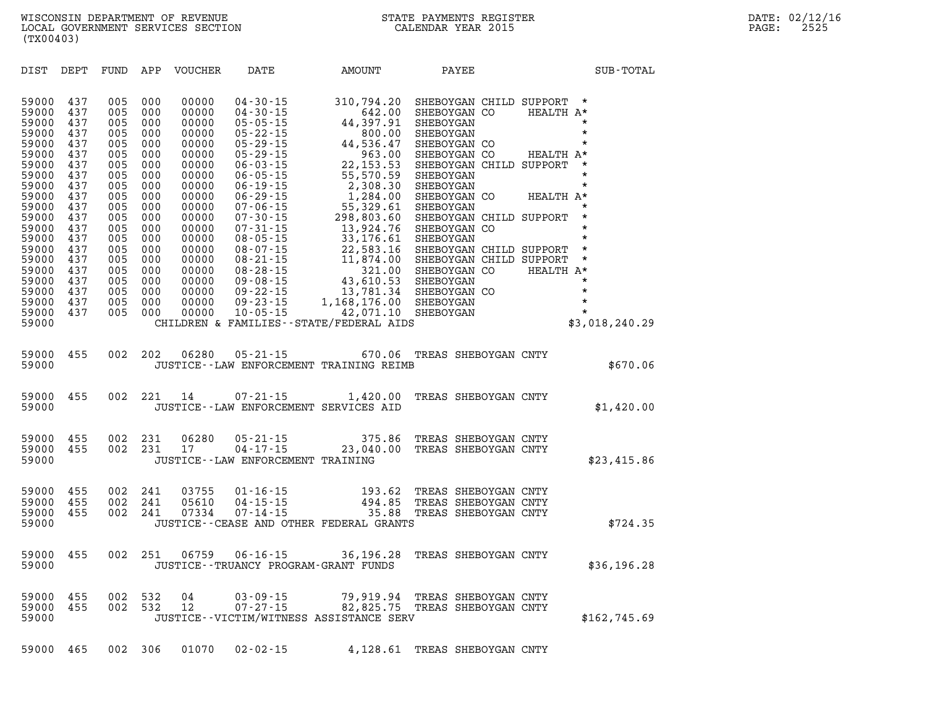**DIST DEPT FUND APP VOUCHER DATE AMOUNT PAYEE SUB-TOTAL 59000 437 005 000 00000 04-30-15 310,794.20 SHEBOYGAN CHILD SUPPORT \* 59000 437 005 000 00000 04-30-15 642.00 SHEBOYGAN CO HEALTH A\* 59000 437 005 000 00000 05-05-15 44,397.91 SHEBOYGAN \* 59000 437 005 000 00000 05-22-15 800.00 SHEBOYGAN \* 59000 437 005 000 00000 05-29-15 44,536.47 SHEBOYGAN CO \* 59000 437 005 000 00000 05-29-15 963.00 SHEBOYGAN CO HEALTH A\* 59000 437 005 000 00000 06-03-15 22,153.53 SHEBOYGAN CHILD SUPPORT \* 59000 437 005 000 00000 06-05-15 55,570.59 SHEBOYGAN \* 59000 437 005 000 00000 06-19-15 2,308.30 SHEBOYGAN \* 59000 437 005 000 00000 06-29-15 1,284.00 SHEBOYGAN CO HEALTH A\* 59000 437 005 000 00000 07-06-15 55,329.61 SHEBOYGAN \* 59000 437 005 000 00000 07-30-15 298,803.60 SHEBOYGAN CHILD SUPPORT \* 59000 437 005 000 00000 07-31-15 13,924.76 SHEBOYGAN CO \* 59000 437 005 000 00000 08-05-15 33,176.61 SHEBOYGAN \* 59000 437 005 000 00000 08-07-15 22,583.16 SHEBOYGAN CHILD SUPPORT \* 59000 437 005 000 00000 08-21-15 11,874.00 SHEBOYGAN CHILD SUPPORT \* 59000 437 005 000 00000 08-28-15 321.00 SHEBOYGAN CO HEALTH A\* 59000 437 005 000 00000 09-08-15 43,610.53 SHEBOYGAN \* 59000 437 005 000 00000 09-22-15 13,781.34 SHEBOYGAN CO \* 59000 437 005 000 00000 09-23-15 1,168,176.00 SHEBOYGAN \* 59000 437 005 000 00000 10-05-15 42,071.10 SHEBOYGAN \*** 

|       |  |  | 59000 455 002 202 06280 05-21-15 |                                         | 670.06 TREAS SHEBOYGAN CNTY |          |
|-------|--|--|----------------------------------|-----------------------------------------|-----------------------------|----------|
| 59000 |  |  |                                  | JUSTICE--LAW ENFORCEMENT TRAINING REIMB |                             | \$670.06 |

**59000 CHILDREN & FAMILIES--STATE/FEDERAL AIDS \$3,018,240.29** 

| 59000 455 002 221 14 |  |  | 07-21-15                              |  | 1,420.00 TREAS SHEBOYGAN CNTY |            |
|----------------------|--|--|---------------------------------------|--|-------------------------------|------------|
| 59000                |  |  | JUSTICE--LAW ENFORCEMENT SERVICES AID |  |                               | \$1,420.00 |

|                      |  | 59000 455 002 231 06280 | $05 - 21 - 15$                    |                                | 375.86 TREAS SHEBOYGAN CNTY |             |
|----------------------|--|-------------------------|-----------------------------------|--------------------------------|-----------------------------|-------------|
| 59000 455 002 231 17 |  |                         | $04 - 17 - 15$                    | 23,040.00 TREAS SHEBOYGAN CNTY |                             |             |
| 59000                |  |                         | JUSTICE--LAW ENFORCEMENT TRAINING |                                |                             | \$23,415.86 |

| 59000             |  |         |       |                  | JUSTICE--CEASE AND OTHER FEDERAL GRANTS |                             | \$724.35 |
|-------------------|--|---------|-------|------------------|-----------------------------------------|-----------------------------|----------|
| 59000 455         |  | 002 241 |       | 0.7334 0.7-14-15 |                                         | 35.88 TREAS SHEBOYGAN CNTY  |          |
| 59000 455 002 241 |  |         | 05610 | $04 - 15 - 15$   |                                         | 494.85 TREAS SHEBOYGAN CNTY |          |
| 59000 455 002 241 |  |         | 03755 | 01-16-15         |                                         | 193.62 TREAS SHEBOYGAN CNTY |          |

|       |  |  | 59000 455 002 251 06759 06-16-15          | 36,196.28 TREAS SHEBOYGAN CNTY |             |
|-------|--|--|-------------------------------------------|--------------------------------|-------------|
| 59000 |  |  | JUSTICE - - TRUANCY PROGRAM - GRANT FUNDS |                                | \$36,196.28 |

| 59000 455 002 532 04 |  |  | $0.3 - 0.9 - 1.5$                       |  | 79,919.94 TREAS SHEBOYGAN CNTY |              |
|----------------------|--|--|-----------------------------------------|--|--------------------------------|--------------|
| 59000 455 002 532 12 |  |  | 07-27-15                                |  | 82,825.75 TREAS SHEBOYGAN CNTY |              |
| 59000                |  |  | JUSTICE--VICTIM/WITNESS ASSISTANCE SERV |  |                                | \$162,745.69 |

**59000 465 002 306 01070 02-02-15 4,128.61 TREAS SHEBOYGAN CNTY**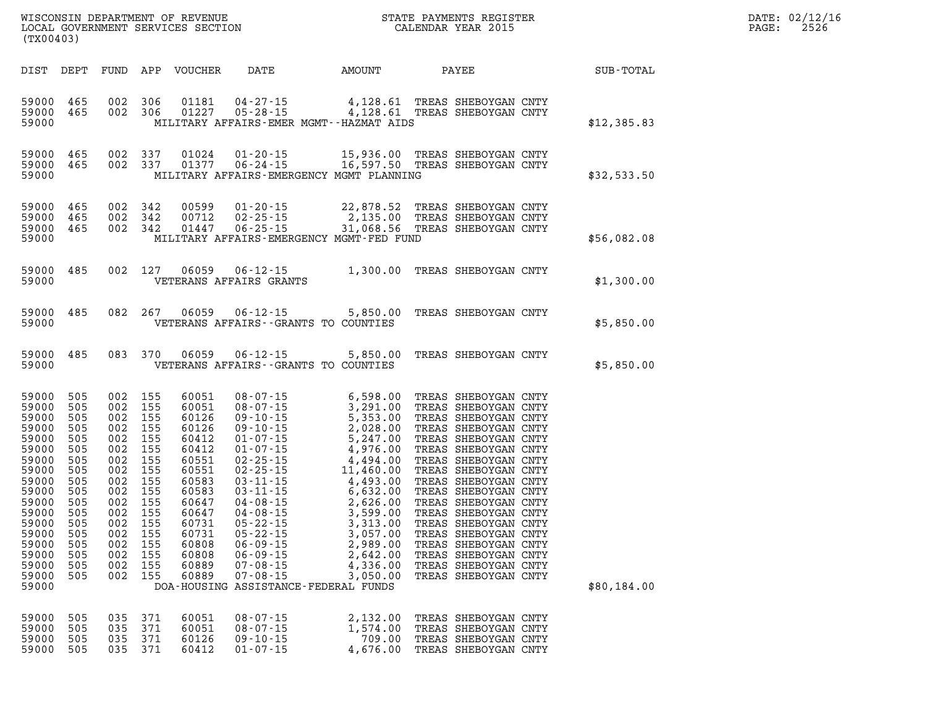| DATE: | 02/12/16 |
|-------|----------|
| PAGE: | 2526     |

| DIST                                                                                                                                                                    | DEPT                                                                                                                       | FUND                                                                                                                       | APP                                                                                                                        | <b>VOUCHER</b>                                                                                                                                                 | DATE                                                                                                                                                                                                                                                                                                                                                                     | AMOUNT                                                                                                                                                                                                                | PAYEE                                                                                                                                                                                                                                                                                                                                                                                                                                              | SUB-TOTAL   |
|-------------------------------------------------------------------------------------------------------------------------------------------------------------------------|----------------------------------------------------------------------------------------------------------------------------|----------------------------------------------------------------------------------------------------------------------------|----------------------------------------------------------------------------------------------------------------------------|----------------------------------------------------------------------------------------------------------------------------------------------------------------|--------------------------------------------------------------------------------------------------------------------------------------------------------------------------------------------------------------------------------------------------------------------------------------------------------------------------------------------------------------------------|-----------------------------------------------------------------------------------------------------------------------------------------------------------------------------------------------------------------------|----------------------------------------------------------------------------------------------------------------------------------------------------------------------------------------------------------------------------------------------------------------------------------------------------------------------------------------------------------------------------------------------------------------------------------------------------|-------------|
| 59000<br>59000<br>59000                                                                                                                                                 | 465<br>465                                                                                                                 | 002<br>002                                                                                                                 | 306<br>306                                                                                                                 | 01181<br>01227                                                                                                                                                 | $04 - 27 - 15$<br>$05 - 28 - 15$<br>MILITARY AFFAIRS-EMER MGMT--HAZMAT AIDS                                                                                                                                                                                                                                                                                              | 4,128.61<br>4,128.61                                                                                                                                                                                                  | TREAS SHEBOYGAN CNTY<br>TREAS SHEBOYGAN CNTY                                                                                                                                                                                                                                                                                                                                                                                                       | \$12,385.83 |
| 59000<br>59000<br>59000                                                                                                                                                 | 465<br>465                                                                                                                 | 002<br>002                                                                                                                 | 337<br>337                                                                                                                 | 01024<br>01377                                                                                                                                                 | $01 - 20 - 15$<br>$06 - 24 - 15$<br>MILITARY AFFAIRS-EMERGENCY MGMT PLANNING                                                                                                                                                                                                                                                                                             | 15,936.00<br>16,597.50                                                                                                                                                                                                | TREAS SHEBOYGAN CNTY<br>TREAS SHEBOYGAN CNTY                                                                                                                                                                                                                                                                                                                                                                                                       | \$32,533.50 |
| 59000<br>59000<br>59000<br>59000                                                                                                                                        | 465<br>465<br>465                                                                                                          | 002<br>002<br>002                                                                                                          | 342<br>342<br>342                                                                                                          | 00599<br>00712<br>01447                                                                                                                                        | $01 - 20 - 15$<br>$02 - 25 - 15$<br>$06 - 25 - 15$<br>MILITARY AFFAIRS-EMERGENCY MGMT-FED FUND                                                                                                                                                                                                                                                                           | 22,878.52<br>2,135.00<br>31,068.56                                                                                                                                                                                    | TREAS SHEBOYGAN CNTY<br>TREAS SHEBOYGAN CNTY<br>TREAS SHEBOYGAN CNTY                                                                                                                                                                                                                                                                                                                                                                               | \$56,082.08 |
| 59000<br>59000                                                                                                                                                          | 485                                                                                                                        | 002                                                                                                                        | 127                                                                                                                        | 06059                                                                                                                                                          | $06 - 12 - 15$<br>VETERANS AFFAIRS GRANTS                                                                                                                                                                                                                                                                                                                                | 1,300.00                                                                                                                                                                                                              | TREAS SHEBOYGAN CNTY                                                                                                                                                                                                                                                                                                                                                                                                                               | \$1,300.00  |
| 59000<br>59000                                                                                                                                                          | 485                                                                                                                        | 082                                                                                                                        | 267                                                                                                                        | 06059                                                                                                                                                          | $06 - 12 - 15$<br>VETERANS AFFAIRS - - GRANTS TO COUNTIES                                                                                                                                                                                                                                                                                                                | 5,850.00                                                                                                                                                                                                              | TREAS SHEBOYGAN CNTY                                                                                                                                                                                                                                                                                                                                                                                                                               | \$5,850.00  |
| 59000<br>59000                                                                                                                                                          | 485                                                                                                                        | 083                                                                                                                        | 370                                                                                                                        | 06059                                                                                                                                                          | $06 - 12 - 15$<br>VETERANS AFFAIRS - - GRANTS TO COUNTIES                                                                                                                                                                                                                                                                                                                | 5,850.00                                                                                                                                                                                                              | TREAS SHEBOYGAN CNTY                                                                                                                                                                                                                                                                                                                                                                                                                               | \$5,850.00  |
| 59000<br>59000<br>59000<br>59000<br>59000<br>59000<br>59000<br>59000<br>59000<br>59000<br>59000<br>59000<br>59000<br>59000<br>59000<br>59000<br>59000<br>59000<br>59000 | 505<br>505<br>505<br>505<br>505<br>505<br>505<br>505<br>505<br>505<br>505<br>505<br>505<br>505<br>505<br>505<br>505<br>505 | 002<br>002<br>002<br>002<br>002<br>002<br>002<br>002<br>002<br>002<br>002<br>002<br>002<br>002<br>002<br>002<br>002<br>002 | 155<br>155<br>155<br>155<br>155<br>155<br>155<br>155<br>155<br>155<br>155<br>155<br>155<br>155<br>155<br>155<br>155<br>155 | 60051<br>60051<br>60126<br>60126<br>60412<br>60412<br>60551<br>60551<br>60583<br>60583<br>60647<br>60647<br>60731<br>60731<br>60808<br>60808<br>60889<br>60889 | $08 - 07 - 15$<br>$08 - 07 - 15$<br>$09 - 10 - 15$<br>$09 - 10 - 15$<br>$01 - 07 - 15$<br>$01 - 07 - 15$<br>$02 - 25 - 15$<br>$02 - 25 - 15$<br>$03 - 11 - 15$<br>$03 - 11 - 15$<br>$04 - 08 - 15$<br>$04 - 08 - 15$<br>$05 - 22 - 15$<br>$05 - 22 - 15$<br>$06 - 09 - 15$<br>$06 - 09 - 15$<br>$07 - 08 - 15$<br>$07 - 08 - 15$<br>DOA-HOUSING ASSISTANCE-FEDERAL FUNDS | 6,598.00<br>3,291.00<br>5,353.00<br>2,028.00<br>5,247.00<br>4,976.00<br>4,494.00<br>11,460.00<br>4,493.00<br>6,632.00<br>2,626.00<br>3,599.00<br>3,313.00<br>3,057.00<br>2,989.00<br>2,642.00<br>4,336.00<br>3,050.00 | TREAS SHEBOYGAN CNTY<br>TREAS SHEBOYGAN CNTY<br>TREAS SHEBOYGAN CNTY<br>TREAS<br>SHEBOYGAN CNTY<br>TREAS SHEBOYGAN CNTY<br>TREAS SHEBOYGAN CNTY<br>TREAS SHEBOYGAN CNTY<br>TREAS SHEBOYGAN CNTY<br>TREAS SHEBOYGAN CNTY<br>TREAS SHEBOYGAN CNTY<br>TREAS SHEBOYGAN CNTY<br>TREAS SHEBOYGAN CNTY<br>TREAS SHEBOYGAN CNTY<br>SHEBOYGAN CNTY<br>TREAS<br>TREAS SHEBOYGAN CNTY<br>TREAS SHEBOYGAN CNTY<br>TREAS SHEBOYGAN CNTY<br>TREAS SHEBOYGAN CNTY | \$80,184.00 |
| 59000<br>59000<br>59000<br>59000                                                                                                                                        | 505<br>505<br>505<br>505                                                                                                   | 035<br>035<br>035<br>035                                                                                                   | 371<br>371<br>371<br>371                                                                                                   | 60051<br>60051<br>60126<br>60412                                                                                                                               | $08 - 07 - 15$<br>$08 - 07 - 15$<br>$09 - 10 - 15$<br>$01 - 07 - 15$                                                                                                                                                                                                                                                                                                     | 2,132.00<br>1,574.00<br>709.00<br>4,676.00                                                                                                                                                                            | TREAS<br>SHEBOYGAN CNTY<br>TREAS SHEBOYGAN CNTY<br>TREAS<br>SHEBOYGAN CNTY<br>TREAS SHEBOYGAN CNTY                                                                                                                                                                                                                                                                                                                                                 |             |

WISCONSIN DEPARTMENT OF REVENUE STATE STATE PAYMENTS REGISTER LOCAL GOVERNMENT SERVICES SECTION

LOCAL GOVERNMENT SERVICES SECTION

**(TX00403)**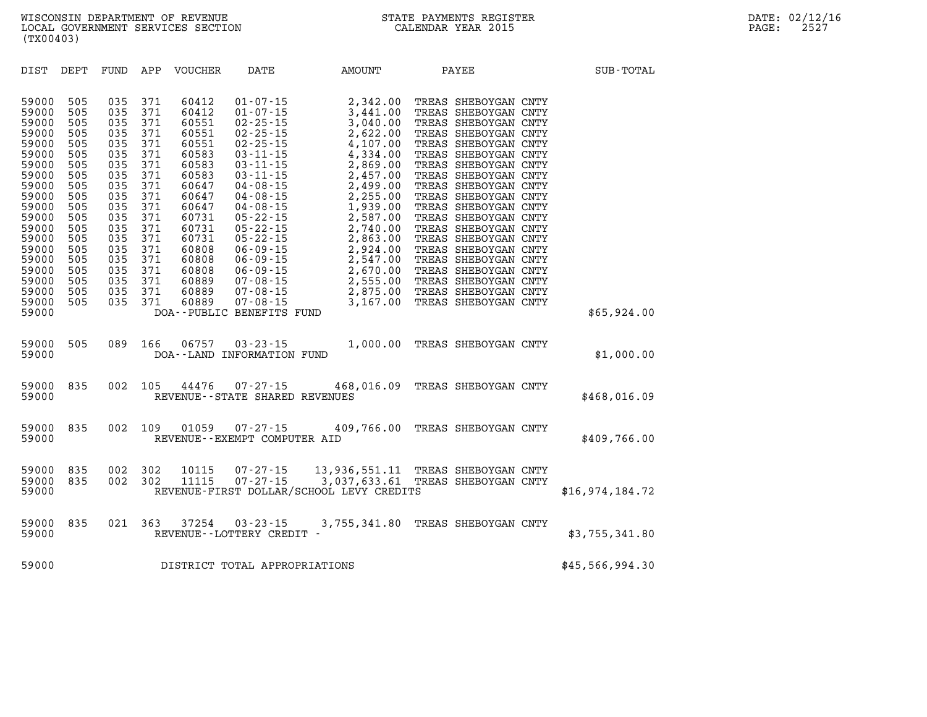| DIST<br>DEPT                                                                                                                                                                                                                                                                                                                          | FUND                                                                                                                                     | APP                                                                                                                                      | VOUCHER                                                                                                                                                                          | DATE                                                                                                                                                                                                                                                                                                                                                                                              | AMOUNT                                                                                                                                                                                                                                       | PAYEE                                                                                                                                                                                                                                                                                                                                                                                                                                                                                        | SUB-TOTAL       |
|---------------------------------------------------------------------------------------------------------------------------------------------------------------------------------------------------------------------------------------------------------------------------------------------------------------------------------------|------------------------------------------------------------------------------------------------------------------------------------------|------------------------------------------------------------------------------------------------------------------------------------------|----------------------------------------------------------------------------------------------------------------------------------------------------------------------------------|---------------------------------------------------------------------------------------------------------------------------------------------------------------------------------------------------------------------------------------------------------------------------------------------------------------------------------------------------------------------------------------------------|----------------------------------------------------------------------------------------------------------------------------------------------------------------------------------------------------------------------------------------------|----------------------------------------------------------------------------------------------------------------------------------------------------------------------------------------------------------------------------------------------------------------------------------------------------------------------------------------------------------------------------------------------------------------------------------------------------------------------------------------------|-----------------|
| 59000<br>505<br>59000<br>505<br>59000<br>505<br>505<br>59000<br>59000<br>505<br>59000<br>505<br>59000<br>505<br>505<br>59000<br>59000<br>505<br>59000<br>505<br>59000<br>505<br>505<br>59000<br>59000<br>505<br>59000<br>505<br>59000<br>505<br>59000<br>505<br>59000<br>505<br>505<br>59000<br>59000<br>505<br>59000<br>505<br>59000 | 035<br>035<br>035<br>035<br>035<br>035<br>035<br>035<br>035<br>035<br>035<br>035<br>035<br>035<br>035<br>035<br>035<br>035<br>035<br>035 | 371<br>371<br>371<br>371<br>371<br>371<br>371<br>371<br>371<br>371<br>371<br>371<br>371<br>371<br>371<br>371<br>371<br>371<br>371<br>371 | 60412<br>60412<br>60551<br>60551<br>60551<br>60583<br>60583<br>60583<br>60647<br>60647<br>60647<br>60731<br>60731<br>60731<br>60808<br>60808<br>60808<br>60889<br>60889<br>60889 | $01 - 07 - 15$<br>$01 - 07 - 15$<br>$02 - 25 - 15$<br>$02 - 25 - 15$<br>$02 - 25 - 15$<br>$03 - 11 - 15$<br>$03 - 11 - 15$<br>$03 - 11 - 15$<br>$04 - 08 - 15$<br>$04 - 08 - 15$<br>$04 - 08 - 15$<br>$05 - 22 - 15$<br>$05 - 22 - 15$<br>$05 - 22 - 15$<br>$06 - 09 - 15$<br>$06 - 09 - 15$<br>$06 - 09 - 15$<br>$07 - 08 - 15$<br>$07 - 08 - 15$<br>$07 - 08 - 15$<br>DOA--PUBLIC BENEFITS FUND | 2,342.00<br>3,441.00<br>3,040.00<br>2,622.00<br>4,107.00<br>4,334.00<br>2,869.00<br>2,457.00<br>2,499.00<br>2,255.00<br>1,939.00<br>2,587.00<br>2,740.00<br>2,863.00<br>2,924.00<br>2,547.00<br>2,670.00<br>2,555.00<br>2,875.00<br>3,167.00 | TREAS SHEBOYGAN CNTY<br>TREAS SHEBOYGAN CNTY<br>TREAS SHEBOYGAN CNTY<br>TREAS SHEBOYGAN CNTY<br>TREAS SHEBOYGAN CNTY<br>TREAS SHEBOYGAN CNTY<br>TREAS SHEBOYGAN CNTY<br>TREAS SHEBOYGAN CNTY<br>TREAS SHEBOYGAN CNTY<br>TREAS SHEBOYGAN CNTY<br>TREAS SHEBOYGAN CNTY<br>TREAS SHEBOYGAN CNTY<br>TREAS SHEBOYGAN CNTY<br>TREAS SHEBOYGAN CNTY<br>TREAS SHEBOYGAN CNTY<br>TREAS SHEBOYGAN CNTY<br>TREAS SHEBOYGAN CNTY<br>TREAS SHEBOYGAN CNTY<br>TREAS SHEBOYGAN CNTY<br>TREAS SHEBOYGAN CNTY | \$65,924.00     |
| 505<br>59000<br>59000                                                                                                                                                                                                                                                                                                                 | 089                                                                                                                                      | 166                                                                                                                                      | 06757                                                                                                                                                                            | $03 - 23 - 15$<br>DOA--LAND INFORMATION FUND                                                                                                                                                                                                                                                                                                                                                      | 1,000.00                                                                                                                                                                                                                                     | TREAS SHEBOYGAN CNTY                                                                                                                                                                                                                                                                                                                                                                                                                                                                         | \$1,000.00      |
| 59000<br>835<br>59000                                                                                                                                                                                                                                                                                                                 | 002                                                                                                                                      | 105                                                                                                                                      | 44476                                                                                                                                                                            | $07 - 27 - 15$<br>REVENUE - - STATE SHARED REVENUES                                                                                                                                                                                                                                                                                                                                               |                                                                                                                                                                                                                                              | 468,016.09 TREAS SHEBOYGAN CNTY                                                                                                                                                                                                                                                                                                                                                                                                                                                              | \$468,016.09    |
| 59000<br>835<br>59000                                                                                                                                                                                                                                                                                                                 | 002                                                                                                                                      | 109                                                                                                                                      | 01059                                                                                                                                                                            | $07 - 27 - 15$<br>REVENUE--EXEMPT COMPUTER AID                                                                                                                                                                                                                                                                                                                                                    | 409,766.00                                                                                                                                                                                                                                   | TREAS SHEBOYGAN CNTY                                                                                                                                                                                                                                                                                                                                                                                                                                                                         | \$409,766.00    |
| 59000<br>835<br>59000<br>835<br>59000                                                                                                                                                                                                                                                                                                 | 002<br>002                                                                                                                               | 302<br>302                                                                                                                               | 10115<br>11115                                                                                                                                                                   | $07 - 27 - 15$<br>$07 - 27 - 15$                                                                                                                                                                                                                                                                                                                                                                  | REVENUE-FIRST DOLLAR/SCHOOL LEVY CREDITS                                                                                                                                                                                                     | 13,936,551.11 TREAS SHEBOYGAN CNTY<br>3,037,633.61 TREAS SHEBOYGAN CNTY                                                                                                                                                                                                                                                                                                                                                                                                                      | \$16,974,184.72 |
| 835<br>59000<br>59000                                                                                                                                                                                                                                                                                                                 | 021                                                                                                                                      | 363                                                                                                                                      | 37254                                                                                                                                                                            | $03 - 23 - 15$<br>REVENUE--LOTTERY CREDIT -                                                                                                                                                                                                                                                                                                                                                       | 3,755,341.80                                                                                                                                                                                                                                 | TREAS SHEBOYGAN CNTY                                                                                                                                                                                                                                                                                                                                                                                                                                                                         | \$3,755,341.80  |
| 59000                                                                                                                                                                                                                                                                                                                                 |                                                                                                                                          |                                                                                                                                          |                                                                                                                                                                                  | DISTRICT TOTAL APPROPRIATIONS                                                                                                                                                                                                                                                                                                                                                                     |                                                                                                                                                                                                                                              |                                                                                                                                                                                                                                                                                                                                                                                                                                                                                              | \$45,566,994.30 |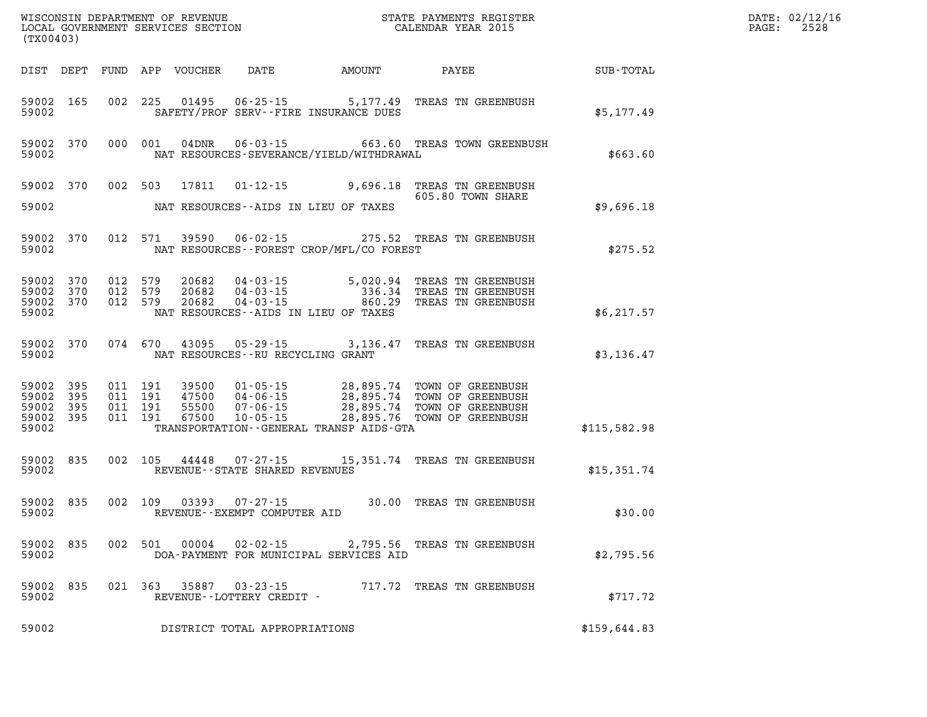| (TX00403)                                        |           |                                          |         |                            |                                                        |                                             |                                                                                                                                                                                                  |              | $\mathbb{R}^n$<br>DATE: 02/12/16<br>2528<br>PAGE: |
|--------------------------------------------------|-----------|------------------------------------------|---------|----------------------------|--------------------------------------------------------|---------------------------------------------|--------------------------------------------------------------------------------------------------------------------------------------------------------------------------------------------------|--------------|---------------------------------------------------|
|                                                  |           |                                          |         | DIST DEPT FUND APP VOUCHER | DATE                                                   | AMOUNT                                      | PAYEE                                                                                                                                                                                            | SUB-TOTAL    |                                                   |
| 59002                                            | 59002 165 |                                          |         |                            |                                                        | SAFETY/PROF SERV--FIRE INSURANCE DUES       | 002 225 01495 06-25-15 5,177.49 TREAS TN GREENBUSH                                                                                                                                               | \$5,177.49   |                                                   |
| 59002                                            | 59002 370 |                                          |         |                            |                                                        | NAT RESOURCES-SEVERANCE/YIELD/WITHDRAWAL    | 000 001 04DNR 06-03-15 663.60 TREAS TOWN GREENBUSH                                                                                                                                               | \$663.60     |                                                   |
|                                                  |           |                                          |         | 59002 370 002 503 17811    |                                                        |                                             | 01-12-15 9,696.18 TREAS TN GREENBUSH<br>605.80 TOWN SHARE                                                                                                                                        |              |                                                   |
| 59002                                            |           |                                          |         |                            |                                                        | NAT RESOURCES--AIDS IN LIEU OF TAXES        |                                                                                                                                                                                                  | \$9,696.18   |                                                   |
| 59002                                            | 59002 370 |                                          |         |                            |                                                        | NAT RESOURCES - - FOREST CROP/MFL/CO FOREST | 012 571 39590 06-02-15 275.52 TREAS TN GREENBUSH                                                                                                                                                 | \$275.52     |                                                   |
| 59002 370                                        | 59002 370 | 012 579<br>012 579                       |         |                            |                                                        |                                             | 20682  04-03-15  5,020.94  TREAS TN GREENBUSH<br>20682  04-03-15  336.34  TREAS TN GREENBUSH<br>20682  04-03-15  860.29  TREAS TN GREENBUSH                                                      |              |                                                   |
| 59002 370<br>59002                               |           | 012 579                                  |         |                            |                                                        | NAT RESOURCES--AIDS IN LIEU OF TAXES        |                                                                                                                                                                                                  | \$6, 217.57  |                                                   |
| 59002                                            | 59002 370 | 074 670                                  |         |                            | NAT RESOURCES--RU RECYCLING GRANT                      |                                             | 43095 05-29-15 3,136.47 TREAS TN GREENBUSH                                                                                                                                                       | \$3,136.47   |                                                   |
| 59002 395<br>59002 395<br>59002 395<br>59002 395 |           | 011 191<br>011 191<br>011 191<br>011 191 |         |                            |                                                        |                                             | 39500  01-05-15  28,895.74  TOWN OF GREENBUSH<br>47500  04-06-15  28,895.74  TOWN OF GREENBUSH<br>55500  07-06-15  28,895.74  TOWN OF GREENBUSH<br>67500  10-05-15  28,895.76  TOWN OF GREENBUSH |              |                                                   |
| 59002                                            |           |                                          |         |                            |                                                        | TRANSPORTATION--GENERAL TRANSP AIDS-GTA     |                                                                                                                                                                                                  | \$115,582.98 |                                                   |
| 59002                                            | 59002 835 |                                          |         |                            | REVENUE--STATE SHARED REVENUES                         |                                             | 002 105 44448 07-27-15 15,351.74 TREAS TN GREENBUSH                                                                                                                                              | \$15,351.74  |                                                   |
| 59002                                            | 59002 835 |                                          |         |                            | 002 109 03393 07-27-15<br>REVENUE--EXEMPT COMPUTER AID |                                             | 30.00 TREAS TN GREENBUSH                                                                                                                                                                         | \$30.00      |                                                   |
| 59002 835<br>59002                               |           |                                          |         | 002 501 00004              | $02 - 02 - 15$                                         | DOA-PAYMENT FOR MUNICIPAL SERVICES AID      | 2,795.56 TREAS TN GREENBUSH                                                                                                                                                                      | \$2,795.56   |                                                   |
| 59002<br>59002                                   | 835       |                                          | 021 363 | 35887                      | 03-23-15<br>REVENUE--LOTTERY CREDIT -                  |                                             | 717.72 TREAS TN GREENBUSH                                                                                                                                                                        | \$717.72     |                                                   |
| 59002                                            |           |                                          |         |                            | DISTRICT TOTAL APPROPRIATIONS                          |                                             |                                                                                                                                                                                                  | \$159,644.83 |                                                   |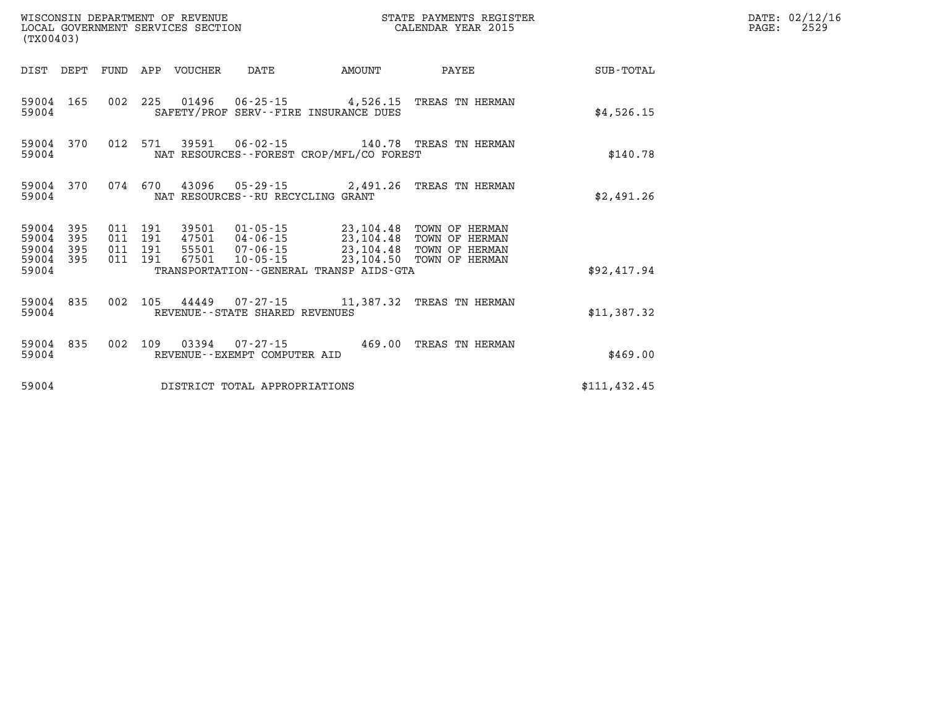| WISCONSIN DEPARTMENT OF REVENUE<br>LOCAL GOVERNMENT SERVICES SECTION<br>(TX00403) |            |                                          |  |                            |                                              |        | STATE PAYMENTS REGISTER<br>CALENDAR YEAR 2015                                                     |               | DATE: 02/12/16<br>PAGE:<br>2529 |
|-----------------------------------------------------------------------------------|------------|------------------------------------------|--|----------------------------|----------------------------------------------|--------|---------------------------------------------------------------------------------------------------|---------------|---------------------------------|
|                                                                                   |            |                                          |  | DIST DEPT FUND APP VOUCHER | DATE                                         | AMOUNT | PAYEE                                                                                             | SUB-TOTAL     |                                 |
| 59004                                                                             | 59004 165  |                                          |  |                            | SAFETY/PROF SERV--FIRE INSURANCE DUES        |        | 002 225 01496 06-25-15 4,526.15 TREAS TN HERMAN                                                   | \$4,526.15    |                                 |
| 59004 370<br>59004                                                                |            | 012 571                                  |  | 39591                      | NAT RESOURCES - - FOREST CROP/MFL/CO FOREST  |        |                                                                                                   | \$140.78      |                                 |
| 59004                                                                             | 59004 370  | 074 670                                  |  |                            | NAT RESOURCES--RU RECYCLING GRANT            |        | 43096  05-29-15  2,491.26  TREAS TN HERMAN                                                        | \$2,491.26    |                                 |
| 59004 395<br>59004<br>59004                                                       | 395<br>395 | 011 191<br>011 191<br>011 191<br>011 191 |  | 39501                      | 47501  04-06-15  23,104.48                   |        | 01-05-15 23,104.48 TOWN OF HERMAN<br>TOWN OF HERMAN<br>55501  07-06-15  23,104.48  TOWN OF HERMAN |               |                                 |
| 59004 395<br>59004                                                                |            |                                          |  | 67501                      | TRANSPORTATION - - GENERAL TRANSP AIDS - GTA |        | 10-05-15 23,104.50 TOWN OF HERMAN                                                                 | \$92,417.94   |                                 |
| 59004 835<br>59004                                                                |            |                                          |  |                            | REVENUE--STATE SHARED REVENUES               |        | 002 105 44449 07-27-15 11,387.32 TREAS TN HERMAN                                                  | \$11,387.32   |                                 |
| 59004                                                                             | 59004 835  | 002 109                                  |  |                            | REVENUE--EXEMPT COMPUTER AID                 |        | 03394   07-27-15   469.00 TREAS TN HERMAN                                                         | \$469.00      |                                 |
| 59004                                                                             |            |                                          |  |                            | DISTRICT TOTAL APPROPRIATIONS                |        |                                                                                                   | \$111, 432.45 |                                 |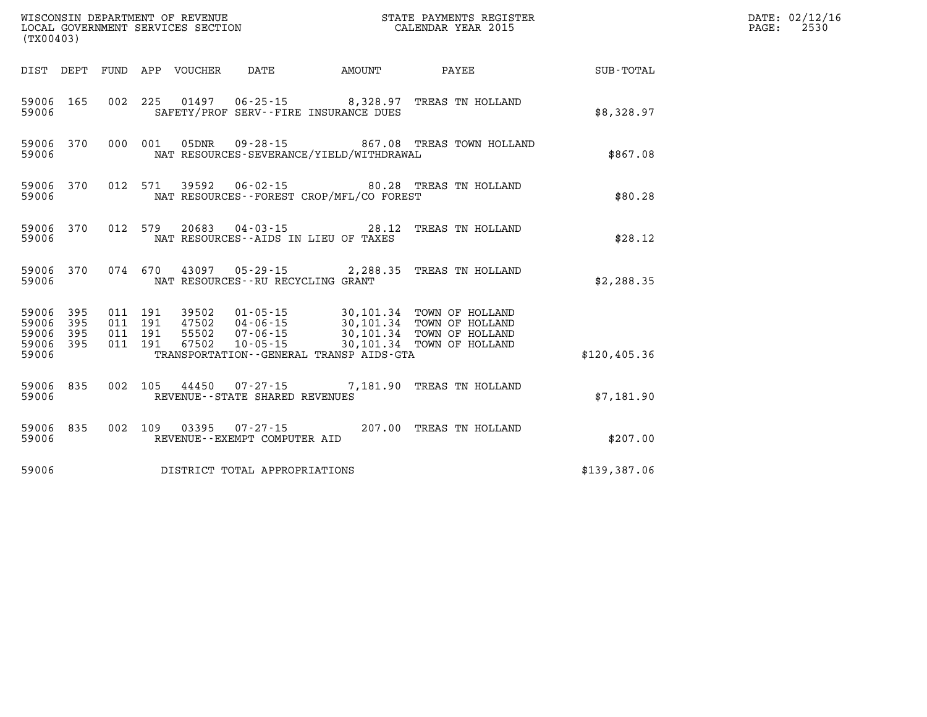| WISCONSIN DEPARTMENT OF REVENUE<br>LOCAL GOVERNMENT SERVICES SECTION<br>CALENDAR YEAR 2015<br>(TX00403) |           |                   |  |  |                                |                                             |                                                                                                                                                                                                                    |                 | DATE: 02/12/16<br>$\mathtt{PAGE:}$<br>2530 |
|---------------------------------------------------------------------------------------------------------|-----------|-------------------|--|--|--------------------------------|---------------------------------------------|--------------------------------------------------------------------------------------------------------------------------------------------------------------------------------------------------------------------|-----------------|--------------------------------------------|
|                                                                                                         |           |                   |  |  |                                | DIST DEPT FUND APP VOUCHER DATE AMOUNT      |                                                                                                                                                                                                                    | PAYEE SUB-TOTAL |                                            |
| 59006                                                                                                   | 59006 165 |                   |  |  |                                | SAFETY/PROF SERV--FIRE INSURANCE DUES       | 002 225 01497 06-25-15 8,328.97 TREAS TN HOLLAND                                                                                                                                                                   | \$8,328.97      |                                            |
| 59006                                                                                                   |           | 59006 370 000 001 |  |  |                                | NAT RESOURCES-SEVERANCE/YIELD/WITHDRAWAL    | 05DNR  09-28-15  867.08 TREAS TOWN HOLLAND                                                                                                                                                                         | \$867.08        |                                            |
| 59006                                                                                                   | 59006 370 |                   |  |  |                                | NAT RESOURCES - - FOREST CROP/MFL/CO FOREST | 012 571 39592 06-02-15 80.28 TREAS TN HOLLAND                                                                                                                                                                      | \$80.28         |                                            |
| 59006                                                                                                   | 59006 370 |                   |  |  |                                | NAT RESOURCES--AIDS IN LIEU OF TAXES        | 012 579 20683 04-03-15 28.12 TREAS TN HOLLAND                                                                                                                                                                      | \$28.12         |                                            |
| 59006                                                                                                   |           | 59006 370 074 670 |  |  |                                | NAT RESOURCES - - RU RECYCLING GRANT        | 43097  05-29-15  2,288.35  TREAS TN HOLLAND                                                                                                                                                                        | \$2,288.35      |                                            |
| 59006 395<br>59006 395<br>59006 395<br>59006 395<br>59006                                               |           |                   |  |  |                                | TRANSPORTATION--GENERAL TRANSP AIDS-GTA     | 011 191 39502 01-05-15 30,101.34 TOWN OF HOLLAND<br>011 191 47502 04-06-15 30,101.34 TOWN OF HOLLAND<br>011 191 55502 07-06-15 30,101.34 TOWN OF HOLLAND<br>011 191 67502 10-05-15 ------30,101.34 TOWN OF HOLLAND | \$120,405.36    |                                            |
| 59006                                                                                                   | 59006 835 |                   |  |  | REVENUE--STATE SHARED REVENUES |                                             | 002 105 44450 07-27-15 7,181.90 TREAS TN HOLLAND                                                                                                                                                                   | \$7,181.90      |                                            |
| 59006                                                                                                   | 59006 835 |                   |  |  | REVENUE--EXEMPT COMPUTER AID   |                                             | 002 109 03395 07-27-15 207.00 TREAS TN HOLLAND                                                                                                                                                                     | \$207.00        |                                            |
| 59006                                                                                                   |           |                   |  |  | DISTRICT TOTAL APPROPRIATIONS  |                                             |                                                                                                                                                                                                                    | \$139,387.06    |                                            |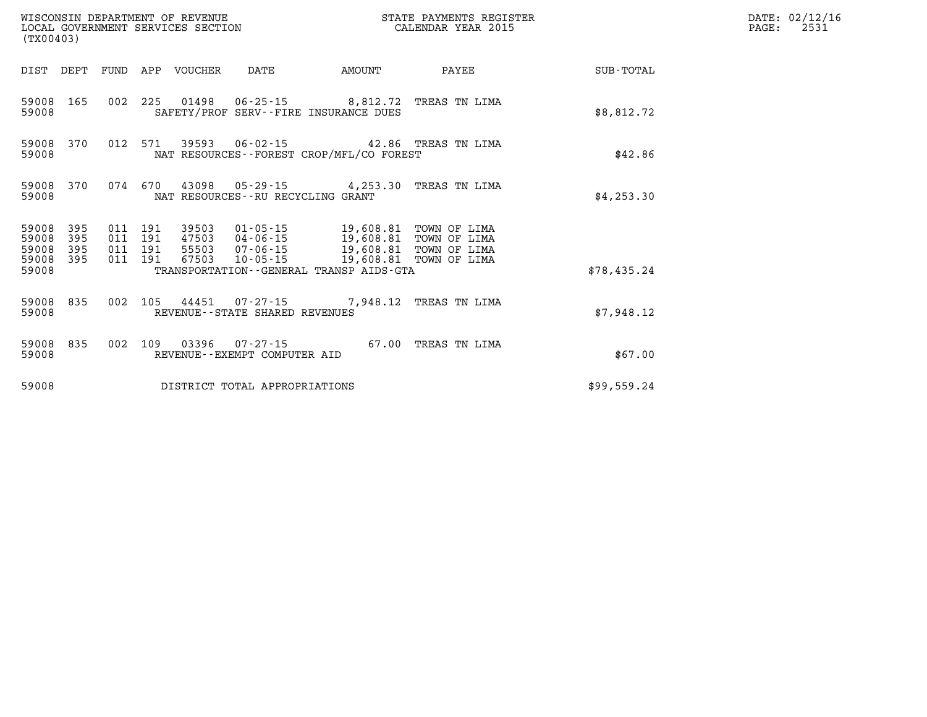| WISCONSIN DEPARTMENT OF REVENUE<br>LOCAL GOVERNMENT SERVICES SECTION<br>(TX00403) |            |                               |         |                            |                                                        |                                                                                                                                                            | STATE PAYMENTS REGISTER<br>CALENDAR YEAR 2015 |             | DATE: 02/12/16<br>PAGE:<br>2531 |
|-----------------------------------------------------------------------------------|------------|-------------------------------|---------|----------------------------|--------------------------------------------------------|------------------------------------------------------------------------------------------------------------------------------------------------------------|-----------------------------------------------|-------------|---------------------------------|
|                                                                                   |            |                               |         | DIST DEPT FUND APP VOUCHER | DATE                                                   | <b>AMOUNT</b>                                                                                                                                              | PAYEE                                         | SUB-TOTAL   |                                 |
| 59008                                                                             | 59008 165  |                               |         |                            |                                                        | 002 225 01498 06-25-15 8,812.72 TREAS TN LIMA<br>SAFETY/PROF SERV--FIRE INSURANCE DUES                                                                     |                                               | \$8,812.72  |                                 |
| 59008 370<br>59008                                                                |            |                               | 012 571 |                            |                                                        | 39593  06-02-15  42.86  TREAS TN LIMA<br>NAT RESOURCES - - FOREST CROP/MFL/CO FOREST                                                                       |                                               | \$42.86     |                                 |
| 59008                                                                             | 59008 370  | 074 670                       |         |                            | NAT RESOURCES--RU RECYCLING GRANT                      | 43098  05-29-15  4,253.30 TREAS TN LIMA                                                                                                                    |                                               | \$4, 253.30 |                                 |
| 59008 395<br>59008<br>59008<br>59008 395                                          | 395<br>395 | 011 191<br>011 191<br>011 191 | 011 191 | 67503                      |                                                        | 39503 01-05-15 19,608.81 TOWN OF LIMA<br>47503 04-06-15 19,608.81 TOWN OF LIMA<br>55503 07-06-15 19,608.81 TOWN OF LIMA<br>10-05-15 19,608.81 TOWN OF LIMA |                                               |             |                                 |
| 59008                                                                             |            |                               |         |                            |                                                        | TRANSPORTATION - - GENERAL TRANSP AIDS - GTA                                                                                                               |                                               | \$78,435.24 |                                 |
| 59008                                                                             | 59008 835  |                               | 002 105 |                            | REVENUE--STATE SHARED REVENUES                         | 44451  07-27-15  7,948.12  TREAS TN LIMA                                                                                                                   |                                               | \$7.948.12  |                                 |
| 59008                                                                             | 59008 835  |                               |         |                            | 002 109 03396 07-27-15<br>REVENUE--EXEMPT COMPUTER AID |                                                                                                                                                            | 67.00 TREAS TN LIMA                           | \$67.00     |                                 |
| 59008                                                                             |            |                               |         |                            | DISTRICT TOTAL APPROPRIATIONS                          |                                                                                                                                                            |                                               | \$99,559.24 |                                 |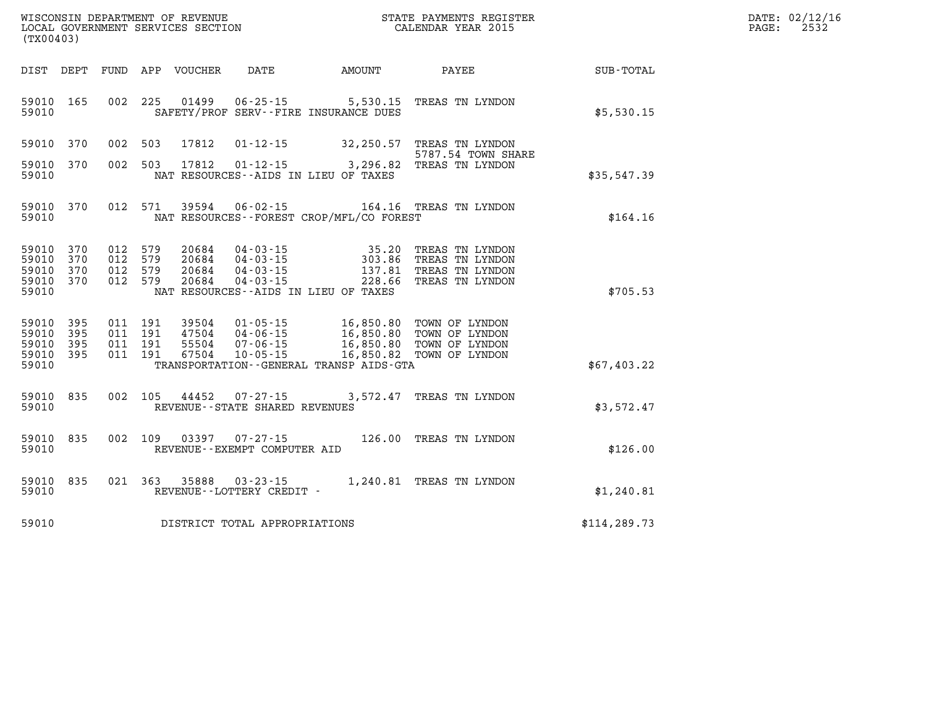| DATE: | 02/12/16 |
|-------|----------|
| PAGE: | 2532     |

| WISCONSIN DEPARTMENT OF REVENUE<br>(TX00403)                                                      | LOCAL GOVERNMENT SERVICES SECTION                                                                                                                                               |                                                  | STATE PAYMENTS REGISTER<br>CALENDAR YEAR 2015                            |               |
|---------------------------------------------------------------------------------------------------|---------------------------------------------------------------------------------------------------------------------------------------------------------------------------------|--------------------------------------------------|--------------------------------------------------------------------------|---------------|
| DIST<br>DEPT<br><b>FUND</b>                                                                       | APP<br>VOUCHER<br>DATE                                                                                                                                                          | AMOUNT                                           | PAYEE                                                                    | SUB-TOTAL     |
| 002<br>59010<br>165<br>59010                                                                      | 225<br>01499<br>SAFETY/PROF SERV--FIRE INSURANCE DUES                                                                                                                           | $06 - 25 - 15$ 5,530.15                          | TREAS TN LYNDON                                                          | \$5,530.15    |
| 370<br>002<br>59010                                                                               | 503<br>17812<br>$01 - 12 - 15$                                                                                                                                                  |                                                  | 32,250.57 TREAS TN LYNDON<br>5787.54 TOWN SHARE                          |               |
| 002<br>59010<br>370<br>59010                                                                      | 503<br>17812<br>$01 - 12 - 15$<br>NAT RESOURCES -- AIDS IN LIEU OF TAXES                                                                                                        | 3,296.82                                         | TREAS TN LYNDON                                                          | \$35,547.39   |
| 370<br>012<br>59010<br>59010                                                                      | 571<br>39594<br>$06 - 02 - 15$<br>NAT RESOURCES - - FOREST CROP/MFL/CO FOREST                                                                                                   | 164.16                                           | TREAS TN LYNDON                                                          | \$164.16      |
| 59010<br>370<br>012<br>59010<br>370<br>012<br>59010<br>370<br>012<br>59010<br>370<br>012<br>59010 | 579<br>20684<br>$04 - 03 - 15$<br>$04 - 03 - 15$<br>579<br>20684<br>579<br>20684<br>$04 - 03 - 15$<br>$04 - 03 - 15$<br>579<br>20684<br>NAT RESOURCES--AIDS IN LIEU OF TAXES    | 35.20<br>303.86<br>137.81<br>228.66              | TREAS TN LYNDON<br>TREAS TN LYNDON<br>TREAS TN LYNDON<br>TREAS TN LYNDON | \$705.53      |
| 59010<br>395<br>011<br>395<br>59010<br>011<br>59010<br>395<br>011<br>59010<br>395<br>011<br>59010 | 191<br>39504<br>$01 - 05 - 15$<br>191<br>47504<br>$04 - 06 - 15$<br>191<br>55504<br>$07 - 06 - 15$<br>191<br>67504<br>$10 - 05 - 15$<br>TRANSPORTATION--GENERAL TRANSP AIDS-GTA | 16,850.80<br>16,850.80<br>16,850.80<br>16,850.82 | TOWN OF LYNDON<br>TOWN OF LYNDON<br>TOWN OF LYNDON<br>TOWN OF LYNDON     | \$67,403.22   |
| 002<br>59010<br>835<br>59010                                                                      | 105<br>44452<br>$07 - 27 - 15$<br>REVENUE - - STATE SHARED REVENUES                                                                                                             | 3,572.47                                         | TREAS TN LYNDON                                                          | \$3,572.47    |
| 835<br>002<br>59010<br>59010                                                                      | 109<br>03397<br>$07 - 27 - 15$<br>REVENUE - - EXEMPT COMPUTER AID                                                                                                               |                                                  | 126.00 TREAS TN LYNDON                                                   | \$126.00      |
| 021<br>59010<br>835<br>59010                                                                      | 363<br>35888<br>$03 - 23 - 15$<br>REVENUE--LOTTERY CREDIT -                                                                                                                     |                                                  | 1,240.81 TREAS TN LYNDON                                                 | \$1,240.81    |
| 59010                                                                                             | DISTRICT TOTAL APPROPRIATIONS                                                                                                                                                   |                                                  |                                                                          | \$114, 289.73 |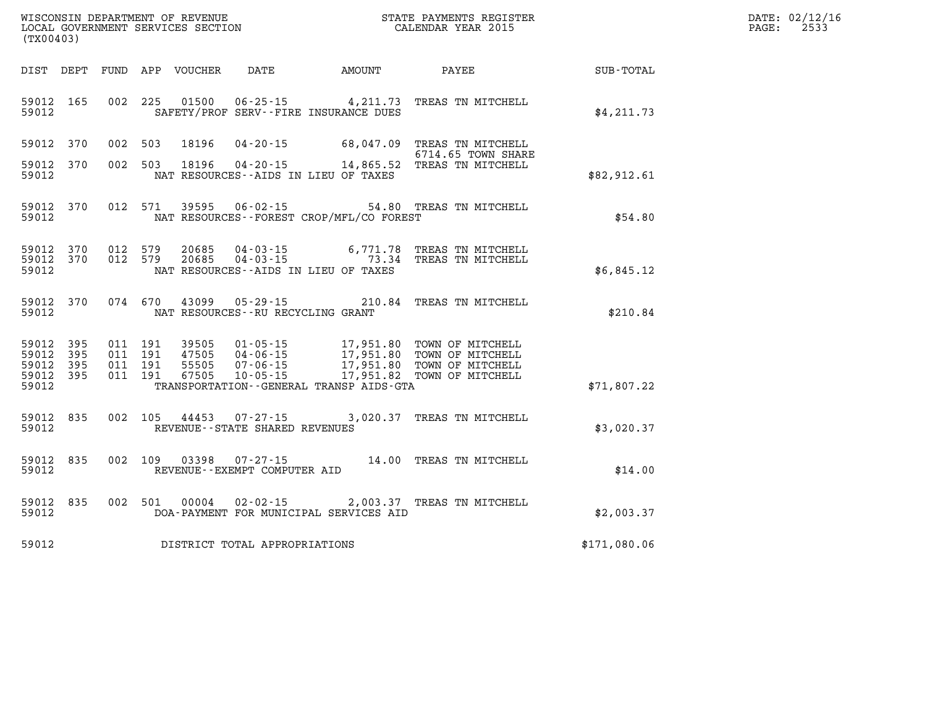| DATE: | 02/12/16 |
|-------|----------|
| PAGE: | 2533     |

| (TX00403)                                 |                          |                          |                          |                                  |                                                                                                                 |                                                  |                                                                              |              |
|-------------------------------------------|--------------------------|--------------------------|--------------------------|----------------------------------|-----------------------------------------------------------------------------------------------------------------|--------------------------------------------------|------------------------------------------------------------------------------|--------------|
| DIST                                      | DEPT                     | FUND                     | APP                      | VOUCHER                          | DATE                                                                                                            | <b>EXAMPLE THE PROPERTY OF AMOUNT</b>            | PAYEE                                                                        | SUB-TOTAL    |
| 59012<br>59012                            | 165                      | 002                      | 225                      | 01500                            | $06 - 25 - 15$<br>SAFETY/PROF SERV--FIRE INSURANCE DUES                                                         | 4,211.73                                         | TREAS TN MITCHELL                                                            | \$4, 211.73  |
| 59012                                     | 370                      | 002                      | 503                      | 18196                            | $04 - 20 - 15$                                                                                                  | 68,047.09                                        | TREAS TN MITCHELL                                                            |              |
| 59012<br>59012                            | 370                      | 002                      | 503                      | 18196                            | $04 - 20 - 15$<br>NAT RESOURCES -- AIDS IN LIEU OF TAXES                                                        | 14,865.52                                        | 6714.65 TOWN SHARE<br>TREAS TN MITCHELL                                      | \$82,912.61  |
| 59012<br>59012                            | 370                      | 012                      | 571                      | 39595                            | $06 - 02 - 15$<br>NAT RESOURCES - - FOREST CROP/MFL/CO FOREST                                                   |                                                  | 54.80 TREAS TN MITCHELL                                                      | \$54.80      |
| 59012<br>59012<br>59012                   | 370<br>370               | 012<br>012               | 579<br>579               | 20685<br>20685                   | 04 - 03 - 15<br>04 - 03 - 15<br>NAT RESOURCES -- AIDS IN LIEU OF TAXES                                          | 6,771.78<br>73.34                                | TREAS TN MITCHELL<br>TREAS TN MITCHELL                                       | \$6,845.12   |
| 59012<br>59012                            | 370                      | 074                      | 670                      | 43099                            | $05 - 29 - 15$<br>NAT RESOURCES - - RU RECYCLING GRANT                                                          | 210.84                                           | TREAS TN MITCHELL                                                            | \$210.84     |
| 59012<br>59012<br>59012<br>59012<br>59012 | 395<br>395<br>395<br>395 | 011<br>011<br>011<br>011 | 191<br>191<br>191<br>191 | 39505<br>47505<br>55505<br>67505 | $01 - 05 - 15$<br>$04 - 06 - 15$<br>$07 - 06 - 15$<br>$10 - 05 - 15$<br>TRANSPORTATION--GENERAL TRANSP AIDS-GTA | 17,951.80<br>17,951.80<br>17,951.80<br>17,951.82 | TOWN OF MITCHELL<br>TOWN OF MITCHELL<br>TOWN OF MITCHELL<br>TOWN OF MITCHELL | \$71,807.22  |
| 59012<br>59012                            | 835                      | 002                      | 105                      | 44453                            | $07 - 27 - 15$<br>REVENUE - - STATE SHARED REVENUES                                                             | 3,020.37                                         | TREAS TN MITCHELL                                                            | \$3,020.37   |
| 59012<br>59012                            | 835                      | 002                      | 109                      | 03398                            | $07 - 27 - 15$<br>REVENUE--EXEMPT COMPUTER AID                                                                  | 14.00                                            | TREAS TN MITCHELL                                                            | \$14.00      |
| 59012<br>59012                            | 835                      | 002                      | 501                      | 00004                            | $02 - 02 - 15$<br>DOA-PAYMENT FOR MUNICIPAL SERVICES AID                                                        |                                                  | 2,003.37 TREAS TN MITCHELL                                                   | \$2,003.37   |
| 59012                                     |                          |                          |                          |                                  | DISTRICT TOTAL APPROPRIATIONS                                                                                   |                                                  |                                                                              | \$171,080.06 |

WISCONSIN DEPARTMENT OF REVENUE **STATE PAYMENTS REGISTER**<br>LOCAL GOVERNMENT SERVICES SECTION

LOCAL GOVERNMENT SERVICES SECTION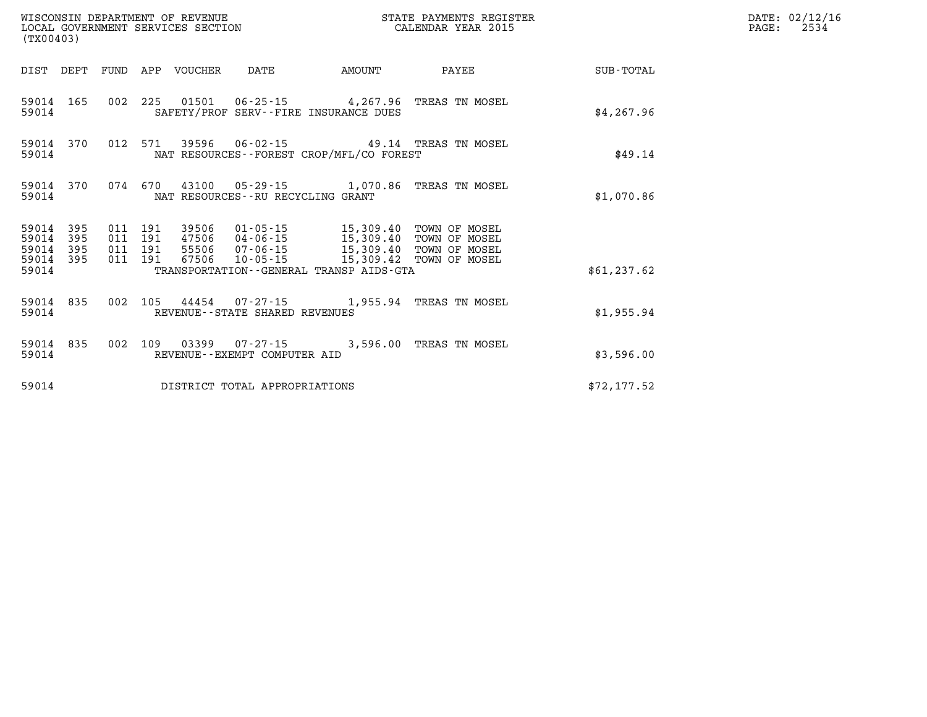| WISCONSIN DEPARTMENT OF REVENUE<br>LOCAL GOVERNMENT SERVICES SECTION<br>(TX00403) |           |                               |         |                            |                                   |                                                                                                                            | STATE PAYMENTS REGISTER<br>CALENDAR YEAR 2015            |              | DATE: 02/12/16<br>PAGE:<br>2534 |
|-----------------------------------------------------------------------------------|-----------|-------------------------------|---------|----------------------------|-----------------------------------|----------------------------------------------------------------------------------------------------------------------------|----------------------------------------------------------|--------------|---------------------------------|
|                                                                                   |           |                               |         | DIST DEPT FUND APP VOUCHER | DATE                              | <b>AMOUNT</b>                                                                                                              | PAYEE                                                    | SUB-TOTAL    |                                 |
| 59014                                                                             |           |                               |         |                            |                                   | SAFETY/PROF SERV--FIRE INSURANCE DUES                                                                                      | 59014 165 002 225 01501 06-25-15 4,267.96 TREAS TN MOSEL | \$4,267.96   |                                 |
| 59014                                                                             | 59014 370 |                               |         |                            |                                   | NAT RESOURCES - - FOREST CROP/MFL/CO FOREST                                                                                | 012 571 39596 06-02-15 49.14 TREAS TN MOSEL              | \$49.14      |                                 |
| 59014                                                                             | 59014 370 |                               |         |                            | NAT RESOURCES--RU RECYCLING GRANT |                                                                                                                            | 074 670 43100 05-29-15 1,070.86 TREAS TN MOSEL           | \$1,070.86   |                                 |
| 59014 395<br>59014 395<br>59014 395                                               |           | 011 191<br>011 191<br>011 191 | 011 191 | 67506                      |                                   | 47506  04-06-15  15,309.40  TOWN OF MOSEL<br>55506  07-06-15  15,309.40  TOWN OF MOSEL<br>10-05-15 15,309.42 TOWN OF MOSEL |                                                          |              |                                 |
| 59014 395<br>59014                                                                |           |                               |         |                            |                                   | TRANSPORTATION--GENERAL TRANSP AIDS-GTA                                                                                    |                                                          | \$61, 237.62 |                                 |
| 59014                                                                             | 59014 835 |                               |         |                            | REVENUE--STATE SHARED REVENUES    |                                                                                                                            | 002 105 44454 07-27-15 1,955.94 TREAS TN MOSEL           | \$1,955.94   |                                 |
| 59014                                                                             | 59014 835 |                               |         |                            | REVENUE--EXEMPT COMPUTER AID      |                                                                                                                            | 002 109 03399 07-27-15 3,596.00 TREAS TN MOSEL           | \$3,596.00   |                                 |
| 59014                                                                             |           |                               |         |                            | DISTRICT TOTAL APPROPRIATIONS     |                                                                                                                            |                                                          | \$72, 177.52 |                                 |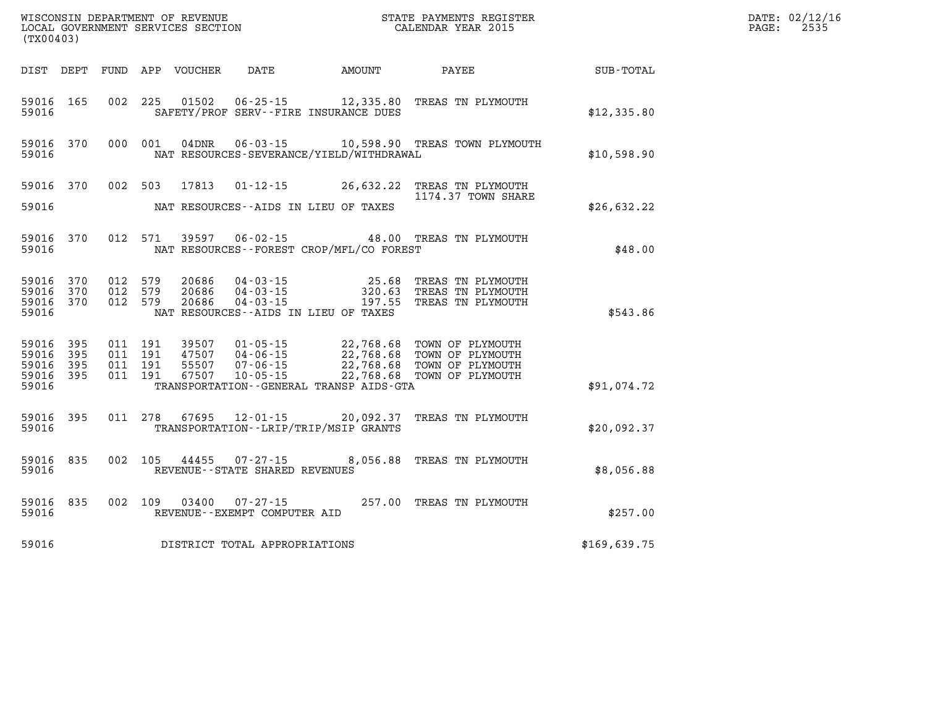|                                                   | WISCONSIN DEPARTMENT OF REVENUE<br>LOCAL GOVERNMENT SERVICES SECTION<br>(TX00403) |                                          |         |                            |                                                          | STATE PAYMENTS REGISTER<br>CALENDAR YEAR 2015                                |                                                                                                                                                                                  |                  | DATE: 02/12/16<br>PAGE:<br>2535 |
|---------------------------------------------------|-----------------------------------------------------------------------------------|------------------------------------------|---------|----------------------------|----------------------------------------------------------|------------------------------------------------------------------------------|----------------------------------------------------------------------------------------------------------------------------------------------------------------------------------|------------------|---------------------------------|
|                                                   |                                                                                   |                                          |         | DIST DEPT FUND APP VOUCHER |                                                          | DATE AMOUNT                                                                  | PAYEE                                                                                                                                                                            | <b>SUB-TOTAL</b> |                                 |
| 59016 165<br>59016                                |                                                                                   |                                          |         |                            |                                                          | SAFETY/PROF SERV--FIRE INSURANCE DUES                                        | 002 225 01502 06-25-15 12,335.80 TREAS TN PLYMOUTH                                                                                                                               | \$12,335.80      |                                 |
| 59016                                             | 59016 370                                                                         | 000 001                                  |         |                            |                                                          | NAT RESOURCES-SEVERANCE/YIELD/WITHDRAWAL                                     | 04DNR  06-03-15   10,598.90 TREAS TOWN PLYMOUTH                                                                                                                                  | \$10,598.90      |                                 |
| 59016 370                                         |                                                                                   | 002 503                                  |         |                            |                                                          |                                                                              | 17813  01-12-15  26,632.22  TREAS TN PLYMOUTH<br>1174.37 TOWN SHARE                                                                                                              |                  |                                 |
| 59016                                             |                                                                                   |                                          |         |                            |                                                          | NAT RESOURCES--AIDS IN LIEU OF TAXES                                         |                                                                                                                                                                                  | \$26,632.22      |                                 |
| 59016 370<br>59016                                |                                                                                   |                                          | 012 571 |                            |                                                          | NAT RESOURCES--FOREST CROP/MFL/CO FOREST                                     | 39597  06-02-15  48.00 TREAS TN PLYMOUTH                                                                                                                                         | \$48.00          |                                 |
| 59016 370<br>59016<br>59016 370<br>59016          | 370                                                                               | 012 579<br>012 579<br>012 579            |         | 20686                      |                                                          | NAT RESOURCES -- AIDS IN LIEU OF TAXES                                       | 20686  04-03-15  25.68  TREAS TN PLYMOUTH<br>20686  04-03-15  200.63  TREAS TN PLYMOUTH<br>20686  04-03-15  197.55  TREAS TN PLYMOUTH                                            | \$543.86         |                                 |
| 59016 395<br>59016<br>59016<br>59016 395<br>59016 | 395<br>395                                                                        | 011 191<br>011 191<br>011 191<br>011 191 |         |                            |                                                          | TRANSPORTATION - - GENERAL TRANSP AIDS - GTA                                 | 39507 01-05-15 22,768.68 TOWN OF PLYMOUTH<br>47507 04-06-15 22,768.68 TOWN OF PLYMOUTH<br>55507 07-06-15 22,768.68 TOWN OF PLYMOUTH<br>67507 10-05-15 22,768.68 TOWN OF PLYMOUTH | \$91,074.72      |                                 |
| 59016 395<br>59016                                |                                                                                   |                                          |         |                            |                                                          | 011 278 67695 12-01-15 20,092.37<br>TRANSPORTATION - - LRIP/TRIP/MSIP GRANTS | TREAS TN PLYMOUTH                                                                                                                                                                | \$20,092.37      |                                 |
| 59016                                             | 59016 835                                                                         |                                          |         |                            | 002 105 44455 07-27-15<br>REVENUE--STATE SHARED REVENUES |                                                                              | 8,056.88 TREAS TN PLYMOUTH                                                                                                                                                       | \$8,056.88       |                                 |
| 59016                                             | 59016 835                                                                         |                                          |         |                            | REVENUE--EXEMPT COMPUTER AID                             |                                                                              | 002 109 03400 07-27-15 257.00 TREAS TN PLYMOUTH                                                                                                                                  | \$257.00         |                                 |
| 59016                                             |                                                                                   |                                          |         |                            | DISTRICT TOTAL APPROPRIATIONS                            |                                                                              |                                                                                                                                                                                  | \$169,639.75     |                                 |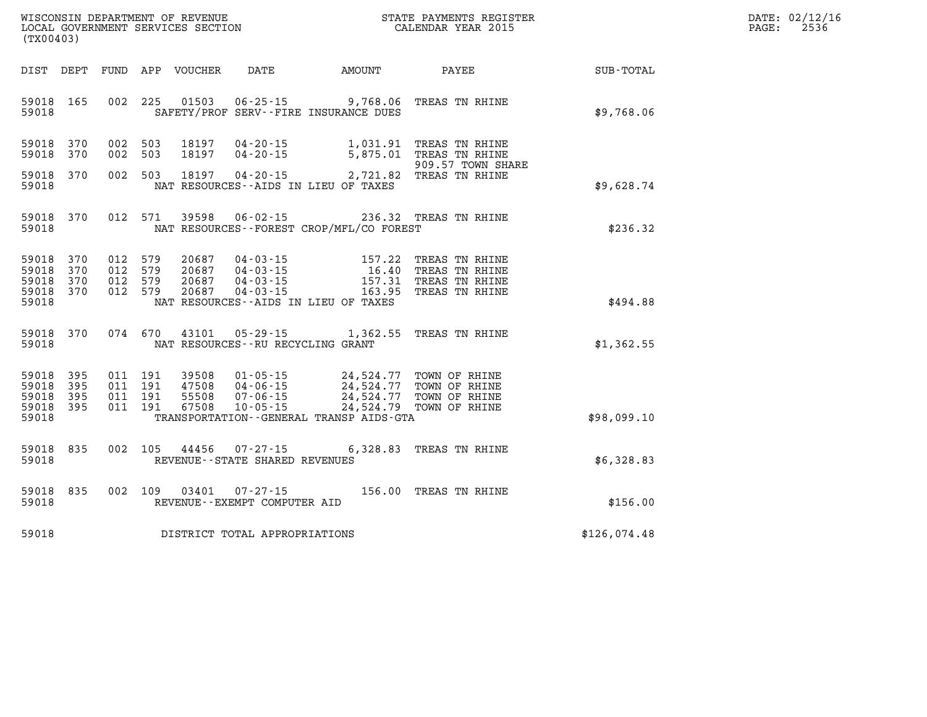| DATE: | 02/12/16 |
|-------|----------|
| PAGE: | 2536     |

| WISCONSIN DEPARTMENT OF REVENUE<br>(TX00403)                                                      | LOCAL GOVERNMENT SERVICES SECTION                                                                                                                                                    | STATE PAYMENTS REGISTER<br>CALENDAR YEAR 2015 |                                                                            |                  |  |
|---------------------------------------------------------------------------------------------------|--------------------------------------------------------------------------------------------------------------------------------------------------------------------------------------|-----------------------------------------------|----------------------------------------------------------------------------|------------------|--|
| DIST<br>DEPT<br>FUND                                                                              | APP<br><b>VOUCHER</b><br>DATE                                                                                                                                                        | <b>AMOUNT</b>                                 | PAYEE                                                                      | <b>SUB-TOTAL</b> |  |
| 002<br>165<br>59018<br>59018                                                                      | 225<br>01503<br>$06 - 25 - 15$ 9,768.06<br>SAFETY/PROF SERV--FIRE INSURANCE DUES                                                                                                     |                                               | TREAS TN RHINE                                                             | \$9,768.06       |  |
| 59018<br>370<br>002<br>370<br>002<br>59018                                                        | 503<br>18197<br>$04 - 20 - 15$<br>$04 - 20 - 15$<br>503<br>18197                                                                                                                     | 1,031.91<br>5,875.01                          | TREAS TN RHINE<br>TREAS TN RHINE<br>909.57 TOWN SHARE                      |                  |  |
| 370<br>002<br>59018<br>59018                                                                      | 503<br>18197<br>$04 - 20 - 15$<br>NAT RESOURCES -- AIDS IN LIEU OF TAXES                                                                                                             | 2,721.82                                      | TREAS TN RHINE                                                             | \$9,628.74       |  |
| 370<br>012<br>59018<br>59018                                                                      | 571<br>39598<br>$06 - 02 - 15$<br>NAT RESOURCES - - FOREST CROP/MFL/CO FOREST                                                                                                        |                                               | 236.32 TREAS TN RHINE                                                      | \$236.32         |  |
| 59018<br>370<br>012<br>59018<br>370<br>012<br>012<br>59018<br>370<br>59018<br>370<br>012<br>59018 | 579<br>20687<br>04-03-15<br>579<br>20687<br>$04 - 03 - 15$<br>579<br>$04 - 03 - 15$<br>20687<br>579<br>20687<br>$04 - 03 - 15$<br>NAT RESOURCES -- AIDS IN LIEU OF TAXES             | 157.22<br>16.40<br>157.31<br>163.95           | TREAS TN RHINE<br>TREAS TN RHINE<br>TREAS TN RHINE<br>TREAS TN RHINE       | \$494.88         |  |
| 370<br>074<br>59018<br>59018                                                                      | 670<br>43101<br>$05 - 29 - 15$<br>NAT RESOURCES - - RU RECYCLING GRANT                                                                                                               | 1,362.55                                      | TREAS TN RHINE                                                             | \$1,362.55       |  |
| 59018<br>395<br>011<br>59018<br>395<br>011<br>59018<br>395<br>011<br>395<br>59018<br>011<br>59018 | 191<br>39508<br>$01 - 05 - 15$<br>191<br>47508<br>$04 - 06 - 15$<br>55508<br>191<br>$07 - 06 - 15$<br>191<br>67508<br>$10 - 05 - 15$<br>TRANSPORTATION - - GENERAL TRANSP AIDS - GTA | 24,524.77<br>24,524.77<br>24,524.79           | 24,524.77 TOWN OF RHINE<br>TOWN OF RHINE<br>TOWN OF RHINE<br>TOWN OF RHINE | \$98,099.10      |  |
| 59018<br>835<br>002<br>59018                                                                      | 105<br>44456<br>$07 - 27 - 15$<br>REVENUE - - STATE SHARED REVENUES                                                                                                                  | 6,328.83                                      | TREAS TN RHINE                                                             | \$6,328.83       |  |
| 59018<br>835<br>002<br>59018                                                                      | 109<br>03401<br>$07 - 27 - 15$<br>REVENUE - - EXEMPT COMPUTER AID                                                                                                                    |                                               | 156.00 TREAS TN RHINE                                                      | \$156.00         |  |
| 59018                                                                                             | DISTRICT TOTAL APPROPRIATIONS                                                                                                                                                        |                                               |                                                                            | \$126,074.48     |  |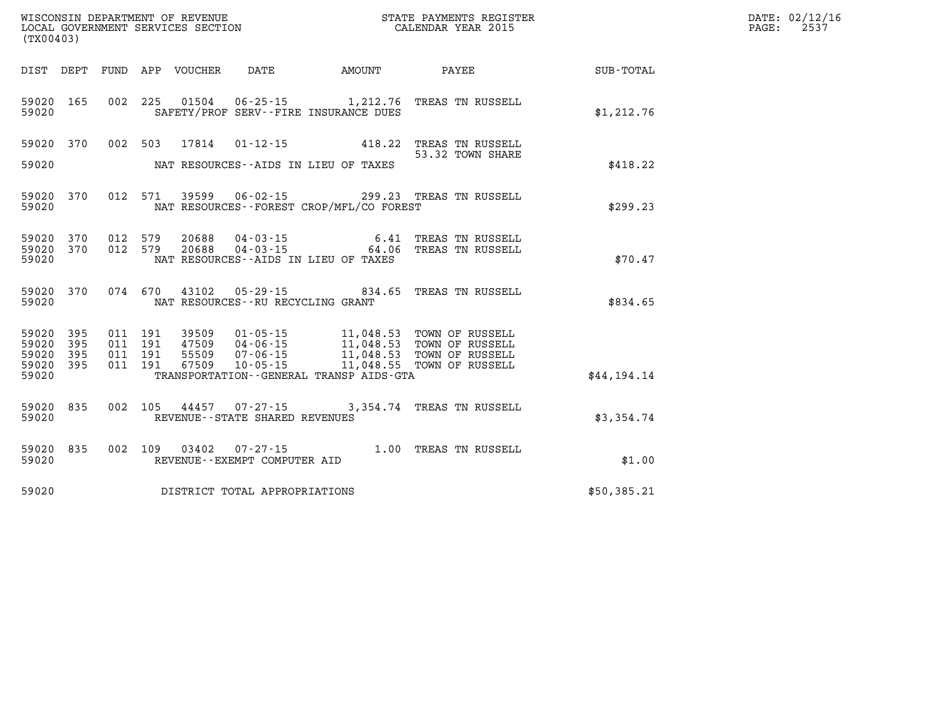| WISCONSIN DEPARTMENT OF REVENUE                                  | STATE PAYMENTS REGISTER | DATE: 02/12/16 |
|------------------------------------------------------------------|-------------------------|----------------|
| LOCAL GOVERNMENT SERVICES SECTION<br>$1 - 2 - 2 - 3 - 1 - 2 - 1$ | CALENDAR YEAR 2015      | 2531<br>PAGE:  |

| (TX00403)                                 |                          |                          |                          |                                  |                                                                      |                                                                                             |                                                                          |                  |
|-------------------------------------------|--------------------------|--------------------------|--------------------------|----------------------------------|----------------------------------------------------------------------|---------------------------------------------------------------------------------------------|--------------------------------------------------------------------------|------------------|
| DIST                                      | DEPT                     | FUND                     | APP                      | VOUCHER                          | DATE                                                                 | AMOUNT                                                                                      | PAYEE                                                                    | <b>SUB-TOTAL</b> |
| 59020<br>59020                            | 165                      | 002                      | 225                      | 01504                            |                                                                      | $06 - 25 - 15$ 1, 212.76<br>SAFETY/PROF SERV--FIRE INSURANCE DUES                           | TREAS TN RUSSELL                                                         | \$1,212.76       |
| 59020                                     | 370                      | 002                      | 503                      | 17814                            | $01 - 12 - 15$                                                       | 418.22                                                                                      | TREAS TN RUSSELL<br>53.32 TOWN SHARE                                     |                  |
| 59020                                     |                          |                          |                          |                                  |                                                                      | NAT RESOURCES -- AIDS IN LIEU OF TAXES                                                      |                                                                          | \$418.22         |
| 59020<br>59020                            | 370                      | 012                      | 571                      | 39599                            | $06 - 02 - 15$                                                       | NAT RESOURCES - - FOREST CROP/MFL/CO FOREST                                                 | 299.23 TREAS TN RUSSELL                                                  | \$299.23         |
| 59020<br>59020<br>59020                   | 370<br>370               | 012<br>012               | 579<br>579               | 20688<br>20688                   | $04 - 03 - 15$<br>$04 - 03 - 15$                                     | 6.41<br>64.06<br>NAT RESOURCES -- AIDS IN LIEU OF TAXES                                     | TREAS TN RUSSELL<br>TREAS TN RUSSELL                                     | \$70.47          |
| 59020<br>59020                            | 370                      | 074                      | 670                      | 43102                            | $05 - 29 - 15$<br>NAT RESOURCES -- RU RECYCLING GRANT                | 834.65                                                                                      | TREAS TN RUSSELL                                                         | \$834.65         |
| 59020<br>59020<br>59020<br>59020<br>59020 | 395<br>395<br>395<br>395 | 011<br>011<br>011<br>011 | 191<br>191<br>191<br>191 | 39509<br>47509<br>55509<br>67509 | $01 - 05 - 15$<br>$04 - 06 - 15$<br>$07 - 06 - 15$<br>$10 - 05 - 15$ | 11,048.53<br>11,048.53<br>11,048.53<br>11,048.55<br>TRANSPORTATION--GENERAL TRANSP AIDS-GTA | TOWN OF RUSSELL<br>TOWN OF RUSSELL<br>TOWN OF RUSSELL<br>TOWN OF RUSSELL | \$44,194.14      |
| 59020<br>59020                            | 835                      | 002                      | 105                      | 44457                            | $07 - 27 - 15$<br>REVENUE - - STATE SHARED REVENUES                  | 3,354.74                                                                                    | TREAS TN RUSSELL                                                         | \$3,354.74       |
| 59020<br>59020                            | 835                      | 002                      | 109                      | 03402                            | $07 - 27 - 15$<br>REVENUE - - EXEMPT COMPUTER AID                    | 1.00                                                                                        | TREAS TN RUSSELL                                                         | \$1.00           |
| 59020                                     |                          |                          |                          |                                  | DISTRICT TOTAL APPROPRIATIONS                                        |                                                                                             |                                                                          | \$50,385.21      |

WISCONSIN DEPARTMENT OF REVENUE **STATE PAYMENTS REGISTER**<br>LOCAL GOVERNMENT SERVICES SECTION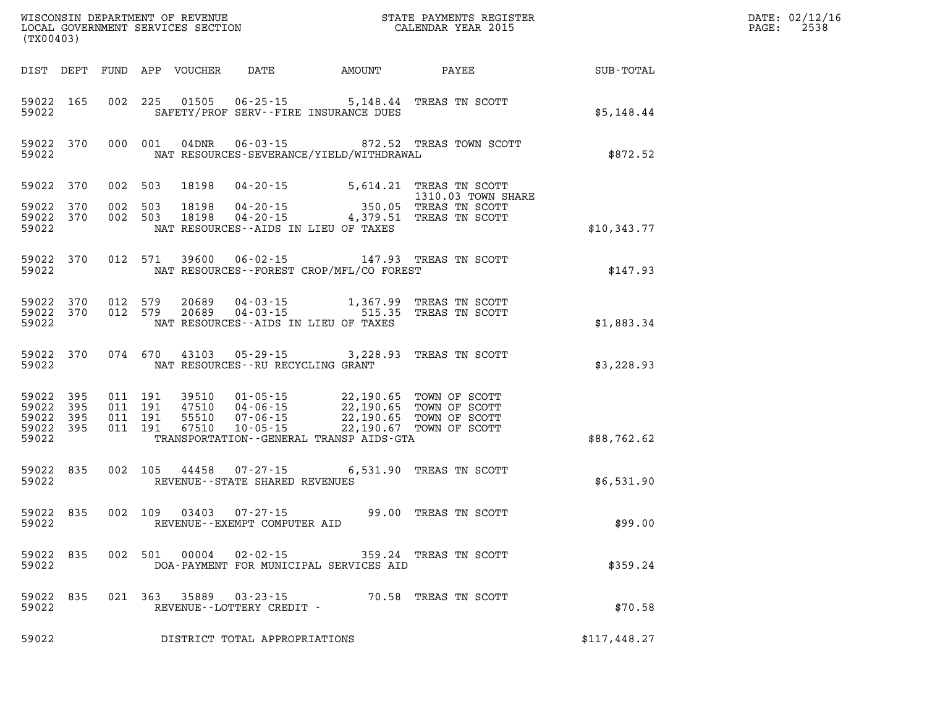| (TX00403)                                         |            |                                          |         |                  | WISCONSIN DEPARTMENT OF REVENUE<br>LOCAL GOVERNMENT SERVICES SECTION<br>(TX00403) |                                                                                                                                                                                                                             | STATE PAYMENTS REGISTER<br>CALENDAR YEAR 2015                                         |              | DATE: 02/12/16<br>$\mathtt{PAGE}$ :<br>2538 |
|---------------------------------------------------|------------|------------------------------------------|---------|------------------|-----------------------------------------------------------------------------------|-----------------------------------------------------------------------------------------------------------------------------------------------------------------------------------------------------------------------------|---------------------------------------------------------------------------------------|--------------|---------------------------------------------|
|                                                   | DIST DEPT  |                                          |         | FUND APP VOUCHER | DATE                                                                              | AMOUNT PAYEE                                                                                                                                                                                                                |                                                                                       | SUB-TOTAL    |                                             |
| 59022 165<br>59022                                |            |                                          |         |                  |                                                                                   | 002 225 01505 06-25-15 5,148.44 TREAS TN SCOTT<br>SAFETY/PROF SERV--FIRE INSURANCE DUES                                                                                                                                     |                                                                                       | \$5,148.44   |                                             |
| 59022 370<br>59022                                |            |                                          | 000 001 | 04DNR            |                                                                                   | NAT RESOURCES-SEVERANCE/YIELD/WITHDRAWAL                                                                                                                                                                                    | 06-03-15 872.52 TREAS TOWN SCOTT                                                      | \$872.52     |                                             |
| 59022 370                                         |            | 002 503                                  |         | 18198            |                                                                                   | 04-20-15 5,614.21 TREAS TN SCOTT                                                                                                                                                                                            | 1310.03 TOWN SHARE                                                                    |              |                                             |
| 59022 370<br>59022 370<br>59022                   |            | 002<br>002 503                           | 503     | 18198<br>18198   |                                                                                   | NAT RESOURCES--AIDS IN LIEU OF TAXES                                                                                                                                                                                        | 1310.03 TOWN SH<br>04-20-15 350.05 TREAS TN SCOTT<br>04-20-15 4,379.51 TREAS TN SCOTT | \$10,343.77  |                                             |
| 59022 370<br>59022                                |            | 012 571                                  |         | 39600            |                                                                                   | 06-02-15 147.93 TREAS TN SCOTT<br>NAT RESOURCES--FOREST CROP/MFL/CO FOREST                                                                                                                                                  |                                                                                       | \$147.93     |                                             |
| 59022 370<br>59022 370<br>59022                   |            | 012 579<br>012 579                       |         | 20689<br>20689   |                                                                                   | 04-03-15 1,367.99 TREAS TN SCOTT<br>04-03-15 515.35 TREAS TN SCOTT<br>NAT RESOURCES--AIDS IN LIEU OF TAXES                                                                                                                  |                                                                                       | \$1,883.34   |                                             |
| 59022 370<br>59022                                |            | 074 670                                  |         |                  | NAT RESOURCES -- RU RECYCLING GRANT                                               | 43103 05-29-15 3,228.93 TREAS TN SCOTT                                                                                                                                                                                      |                                                                                       | \$3,228.93   |                                             |
| 59022 395<br>59022<br>59022<br>59022 395<br>59022 | 395<br>395 | 011 191<br>011 191<br>011 191<br>011 191 |         |                  |                                                                                   | 39510  01-05-15  22,190.65  TOWN OF SCOTT<br>47510  04-06-15  22,190.65  TOWN OF SCOTT<br>55510  07-06-15  22,190.65  TOWN OF SCOTT<br>67510  10-05-15  22,190.67  TOWN OF SCOTT<br>TRANSPORTATION--GENERAL TRANSP AIDS-GTA |                                                                                       | \$88,762.62  |                                             |
| 59022 835<br>59022                                |            | 002 105                                  |         | 44458            | $07 - 27 - 15$<br>REVENUE--STATE SHARED REVENUES                                  |                                                                                                                                                                                                                             | 6,531.90 TREAS TN SCOTT                                                               | \$6,531.90   |                                             |
| 59022 835<br>59022                                |            | 002 109                                  |         | 03403            | 07-27-15<br>REVENUE--EXEMPT COMPUTER AID                                          |                                                                                                                                                                                                                             | 99.00 TREAS TN SCOTT                                                                  | \$99.00      |                                             |
| 59022<br>59022                                    | 835        | 002                                      | 501     | 00004            | 02-02-15                                                                          | 359.24<br>DOA-PAYMENT FOR MUNICIPAL SERVICES AID                                                                                                                                                                            | TREAS TN SCOTT                                                                        | \$359.24     |                                             |
| 59022<br>59022                                    | 835        | 021 363                                  |         | 35889            | $03 - 23 - 15$<br>REVENUE--LOTTERY CREDIT -                                       | 70.58                                                                                                                                                                                                                       | TREAS TN SCOTT                                                                        | \$70.58      |                                             |
| 59022                                             |            |                                          |         |                  | DISTRICT TOTAL APPROPRIATIONS                                                     |                                                                                                                                                                                                                             |                                                                                       | \$117,448.27 |                                             |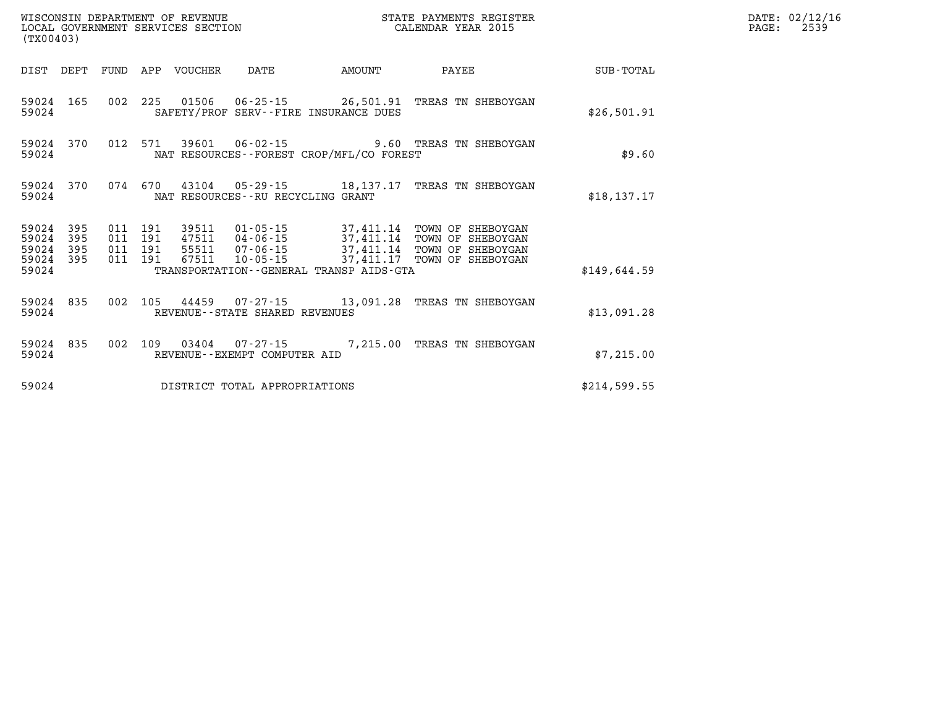| (TX00403)                        |                          |  |                            |                                             |                           | STATE PAYMENTS REGISTER                                                                                                                                                                                                                        |              | DATE: 02/12/16<br>PAGE: 2539 |
|----------------------------------|--------------------------|--|----------------------------|---------------------------------------------|---------------------------|------------------------------------------------------------------------------------------------------------------------------------------------------------------------------------------------------------------------------------------------|--------------|------------------------------|
|                                  |                          |  | DIST DEPT FUND APP VOUCHER | DATE                                        | <b>EXAMPLE THE AMOUNT</b> | <b>PAYEE</b>                                                                                                                                                                                                                                   | SUB-TOTAL    |                              |
| 59024 165<br>59024               |                          |  |                            | SAFETY/PROF SERV--FIRE INSURANCE DUES       |                           | 002 225 01506 06-25-15 26,501.91 TREAS TN SHEBOYGAN                                                                                                                                                                                            | \$26,501.91  |                              |
| 59024 370<br>59024               |                          |  |                            | NAT RESOURCES - - FOREST CROP/MFL/CO FOREST |                           | 012 571 39601 06-02-15 9.60 TREAS TN SHEBOYGAN                                                                                                                                                                                                 | \$9.60       |                              |
| 59024<br>59024                   | 370                      |  |                            | NAT RESOURCES--RU RECYCLING GRANT           |                           | 074 670 43104 05-29-15 18,137.17 TREAS TN SHEBOYGAN                                                                                                                                                                                            | \$18, 137.17 |                              |
| 59024<br>59024<br>59024<br>59024 | 395<br>395<br>395<br>395 |  |                            |                                             |                           | 011 191 39511 01-05-15 37,411.14 TOWN OF SHEBOYGAN<br>011 191 39311 01-03 13<br>011 191 47511 04-06-15 37,411.14 TOWN OF SHEBOYGAN<br>011 191 55511 07-06-15 37,411.14 TOWN OF SHEBOYGAN<br>011 191 67511 10-05-15 37,411.17 TOWN OF SHEBOYGAN |              |                              |
| 59024                            |                          |  |                            | TRANSPORTATION--GENERAL TRANSP AIDS-GTA     |                           |                                                                                                                                                                                                                                                | \$149.644.59 |                              |
| 59024 835<br>59024               |                          |  |                            | REVENUE--STATE SHARED REVENUES              |                           | 002 105 44459 07-27-15 13,091.28 TREAS TN SHEBOYGAN                                                                                                                                                                                            | \$13,091.28  |                              |
| 59024<br>59024                   | 835                      |  |                            | REVENUE--EXEMPT COMPUTER AID                |                           | 002 109 03404 07-27-15 7,215.00 TREAS TN SHEBOYGAN                                                                                                                                                                                             | \$7,215.00   |                              |
| 59024                            |                          |  |                            | DISTRICT TOTAL APPROPRIATIONS               |                           |                                                                                                                                                                                                                                                | \$214,599.55 |                              |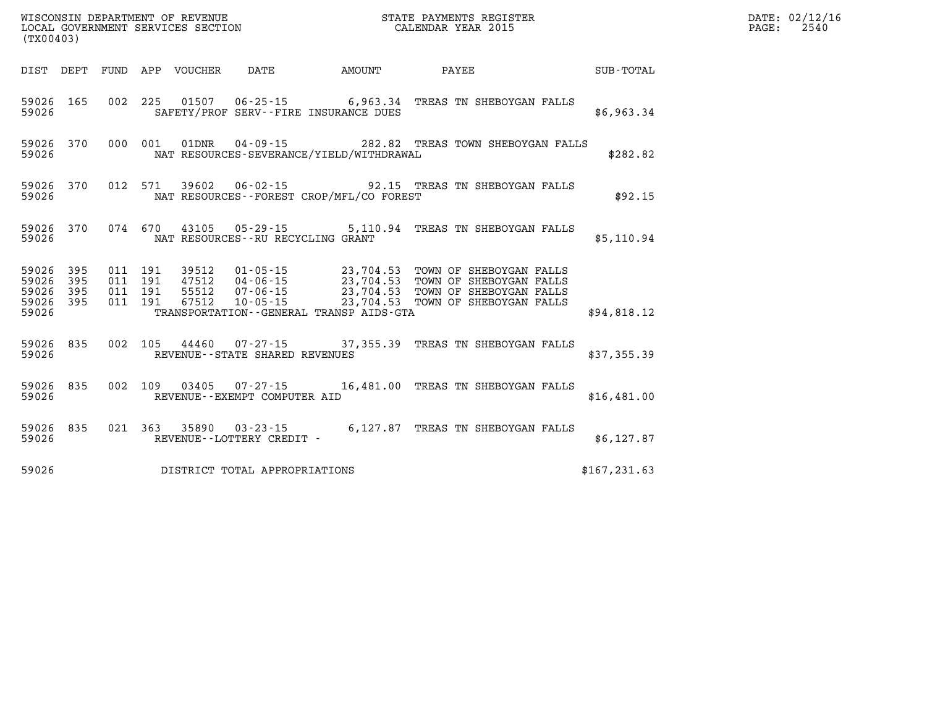| (TX00403)                   |                               |  |                                    |                                                | WISCONSIN DEPARTMENT OF REVENUE<br>LOCAL GOVERNMENT SERVICES SECTION<br>CALENDAR YEAR 2015                                                                                                                                             | <b>TER EXECUTE:</b> |               |  | DATE: 02/12/16<br>PAGE: 2540 |
|-----------------------------|-------------------------------|--|------------------------------------|------------------------------------------------|----------------------------------------------------------------------------------------------------------------------------------------------------------------------------------------------------------------------------------------|---------------------|---------------|--|------------------------------|
|                             |                               |  |                                    |                                                | DIST DEPT FUND APP VOUCHER DATE AMOUNT PAYEE TOTAL                                                                                                                                                                                     |                     |               |  |                              |
| 59026                       |                               |  |                                    | SAFETY/PROF SERV--FIRE INSURANCE DUES          | 59026 165 002 225 01507 06-25-15 6,963.34 TREAS TN SHEBOYGAN FALLS                                                                                                                                                                     |                     | \$6,963.34    |  |                              |
| 59026                       |                               |  |                                    | NAT RESOURCES-SEVERANCE/YIELD/WITHDRAWAL       | 59026 370 000 001 01DNR 04-09-15 282.82 TREAS TOWN SHEBOYGAN FALLS                                                                                                                                                                     |                     | \$282.82      |  |                              |
|                             |                               |  |                                    | 59026 MAT RESOURCES--FOREST CROP/MFL/CO FOREST | 59026 370 012 571 39602 06-02-15 92.15 TREAS TN SHEBOYGAN FALLS                                                                                                                                                                        |                     | \$92.15       |  |                              |
| 59026                       |                               |  |                                    | NAT RESOURCES--RU RECYCLING GRANT              | 59026 370 074 670 43105 05-29-15 5,110.94 TREAS TN SHEBOYGAN FALLS                                                                                                                                                                     |                     | \$5,110.94    |  |                              |
| 59026<br>59026 395<br>59026 | 59026 395<br>395<br>59026 395 |  |                                    | TRANSPORTATION--GENERAL TRANSP AIDS-GTA        | 011 191 39512 01-05-15 23,704.53 TOWN OF SHEBOYGAN FALLS<br>011 191 47512 04-06-15 23,704.53 TOWN OF SHEBOYGAN FALLS<br>011 191 67512 07-06-15 23,704.53 TOWN OF SHEBOYGAN FALLS<br>011 191 67512 10-05-15 23,704.53 TOWN OF SHEBOYGAN |                     | \$94,818.12   |  |                              |
| 59026                       |                               |  | REVENUE--STATE SHARED REVENUES     |                                                | 59026 835 002 105 44460 07-27-15 37,355.39 TREAS TN SHEBOYGAN FALLS                                                                                                                                                                    |                     | \$37,355.39   |  |                              |
|                             |                               |  | 59026 REVENUE--EXEMPT COMPUTER AID |                                                | 59026 835 002 109 03405 07-27-15 16,481.00 TREAS TN SHEBOYGAN FALLS                                                                                                                                                                    |                     | \$16,481.00   |  |                              |
| 59026                       |                               |  | REVENUE--LOTTERY CREDIT -          |                                                | 59026 835 021 363 35890 03-23-15 6,127.87 TREAS TN SHEBOYGAN FALLS                                                                                                                                                                     |                     | \$6,127.87    |  |                              |
| 59026                       |                               |  | DISTRICT TOTAL APPROPRIATIONS      |                                                |                                                                                                                                                                                                                                        |                     | \$167, 231.63 |  |                              |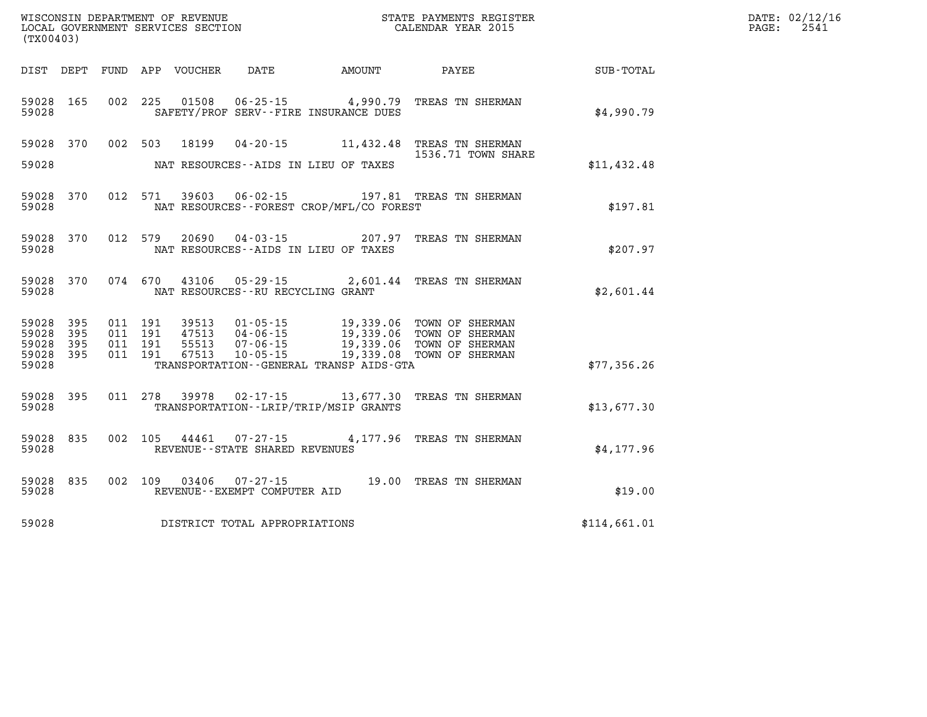| (TX00403)                                                       |         |                        |                                              | WISCONSIN DEPARTMENT OF REVENUE<br>LOCAL GOVERNMENT SERVICES SECTION FOR THE STATE PAYMENTS REGIS!<br>STATE PAYMENTS REGISTER                                                                                |              | DATE: 02/12/16<br>$\mathtt{PAGE}$ :<br>2541 |
|-----------------------------------------------------------------|---------|------------------------|----------------------------------------------|--------------------------------------------------------------------------------------------------------------------------------------------------------------------------------------------------------------|--------------|---------------------------------------------|
|                                                                 |         |                        |                                              |                                                                                                                                                                                                              |              |                                             |
| 59028 165<br>59028                                              |         |                        | SAFETY/PROF SERV--FIRE INSURANCE DUES        | 002 225 01508 06-25-15 4,990.79 TREAS TN SHERMAN                                                                                                                                                             | \$4,990.79   |                                             |
| 59028 370<br>59028                                              |         |                        | NAT RESOURCES--AIDS IN LIEU OF TAXES         | 002 503 18199 04-20-15 11,432.48 TREAS TN SHERMAN<br>1536.71 TOWN SHARE                                                                                                                                      | \$11,432.48  |                                             |
| 59028 370<br>59028                                              | 012 571 |                        | NAT RESOURCES--FOREST CROP/MFL/CO FOREST     | 39603  06-02-15    197.81    TREAS TN SHERMAN                                                                                                                                                                | \$197.81     |                                             |
| 59028 370<br>59028                                              | 012 579 |                        | NAT RESOURCES--AIDS IN LIEU OF TAXES         | 20690  04-03-15  207.97  TREAS TN SHERMAN                                                                                                                                                                    | \$207.97     |                                             |
| 59028 370<br>59028                                              |         |                        | NAT RESOURCES--RU RECYCLING GRANT            | 074 670 43106 05-29-15 2,601.44 TREAS TN SHERMAN                                                                                                                                                             | \$2,601.44   |                                             |
| 59028<br>395<br>59028<br>395<br>59028 395<br>59028 395<br>59028 |         |                        | TRANSPORTATION - - GENERAL TRANSP AIDS - GTA | 011 191 39513 01-05-15 19,339.06 TOWN OF SHERMAN<br>011 191 47513 04-06-15 19,339.06 TOWN OF SHERMAN<br>011 191 55513 07-06-15 19,339.06 TOWN OF SHERMAN<br>011 191 67513 10-05-15 19,339.08 TOWN OF SHERMAN | \$77,356.26  |                                             |
| 59028 395<br>59028                                              |         |                        | TRANSPORTATION - - LRIP/TRIP/MSIP GRANTS     | 011 278 39978 02-17-15 13,677.30 TREAS TN SHERMAN                                                                                                                                                            | \$13,677.30  |                                             |
| 59028 835<br>59028                                              |         |                        | REVENUE--STATE SHARED REVENUES               | 002 105 44461 07-27-15 4,177.96 TREAS TN SHERMAN                                                                                                                                                             | \$4,177.96   |                                             |
| 59028 835<br>59028                                              |         | 002 109 03406 07-27-15 | REVENUE--EXEMPT COMPUTER AID                 | 19.00 TREAS TN SHERMAN                                                                                                                                                                                       | \$19.00      |                                             |
| 59028                                                           |         |                        | DISTRICT TOTAL APPROPRIATIONS                |                                                                                                                                                                                                              | \$114,661.01 |                                             |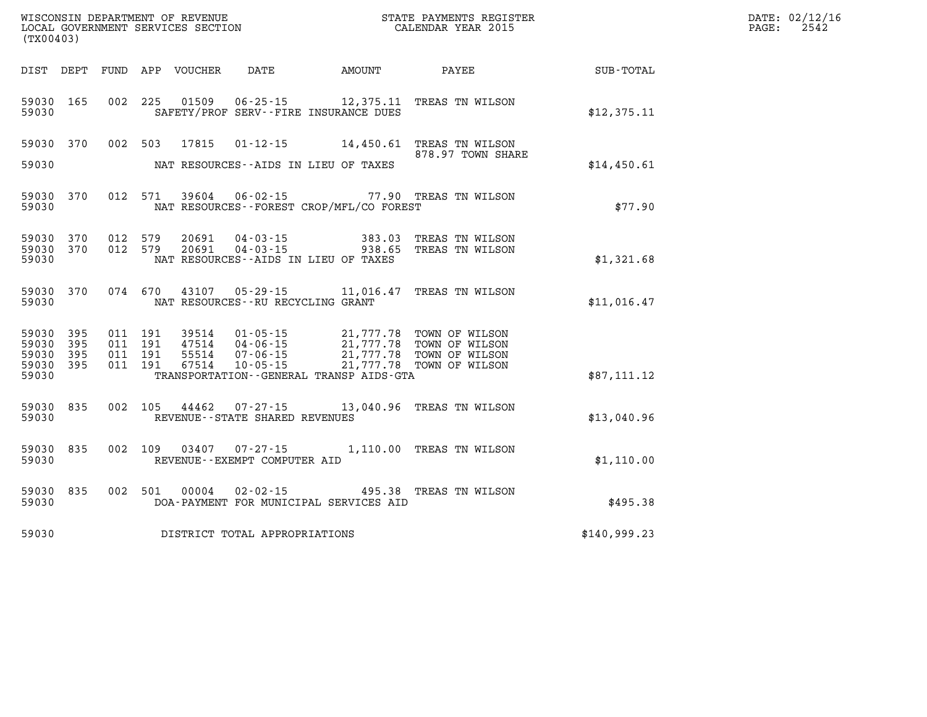| WISCONSIN DEPARTMENT OF REVENUE      | PAYMENTS REGISTER<br>3TATE | DATE: | 02/12/16 |
|--------------------------------------|----------------------------|-------|----------|
| GOVERNMENT SERVICES SECTION<br>LOCAL | CALENDAR YEAR 2015         | PAGE  | 2542     |

| LOCAL GOVERNMENT SERVICES SECTION<br>(TX00403)                        |                                          |                |                                                                                                                                                                                                                                 | CALENDAR YEAR 2015                                                    |                             | PAGE: | 2542 |
|-----------------------------------------------------------------------|------------------------------------------|----------------|---------------------------------------------------------------------------------------------------------------------------------------------------------------------------------------------------------------------------------|-----------------------------------------------------------------------|-----------------------------|-------|------|
| DIST DEPT FUND APP VOUCHER                                            |                                          |                |                                                                                                                                                                                                                                 |                                                                       | DATE AMOUNT PAYEE SUB-TOTAL |       |      |
| 59030<br>165<br>59030                                                 |                                          | 002 225 01509  | SAFETY/PROF SERV--FIRE INSURANCE DUES                                                                                                                                                                                           | 06-25-15 12,375.11 TREAS TN WILSON                                    | \$12,375.11                 |       |      |
| 59030 370<br>59030                                                    |                                          |                | NAT RESOURCES--AIDS IN LIEU OF TAXES                                                                                                                                                                                            | 002 503 17815 01-12-15 14,450.61 TREAS TN WILSON<br>878.97 TOWN SHARE | \$14,450.61                 |       |      |
| 59030<br>370<br>59030                                                 | 012 571                                  |                | NAT RESOURCES - - FOREST CROP/MFL/CO FOREST                                                                                                                                                                                     | 39604  06-02-15  77.90 TREAS TN WILSON                                | \$77.90                     |       |      |
| 370<br>59030<br>59030<br>370<br>59030                                 | 012 579<br>012 579                       | 20691<br>20691 | NAT RESOURCES--AIDS IN LIEU OF TAXES                                                                                                                                                                                            | 04-03-15 383.03 TREAS TN WILSON<br>04-03-15 938.65 TREAS TN WILSON    | \$1,321.68                  |       |      |
| 59030 370<br>59030                                                    | 074 670                                  |                | NAT RESOURCES -- RU RECYCLING GRANT                                                                                                                                                                                             | 43107  05-29-15  11,016.47  TREAS TN WILSON                           | \$11,016.47                 |       |      |
| 59030<br>395<br>59030<br>395<br>59030<br>395<br>59030<br>395<br>59030 | 011 191<br>011 191<br>011 191<br>011 191 |                | 39514  01-05-15  21,777.78  TOWN OF WILSON<br>47514  04-06-15  21,777.78  TOWN OF WILSON<br>55514  07-06-15  21,777.78  TOWN OF WILSON<br>67514  10-05-15  21,777.78  TOWN OF WILSON<br>TRANSPORTATION--GENERAL TRANSP AIDS-GTA | 21,777.78 TOWN OF WILSON                                              | \$87,111.12                 |       |      |
| 59030<br>835<br>59030                                                 |                                          | 002 105 44462  | REVENUE - - STATE SHARED REVENUES                                                                                                                                                                                               | 07-27-15 13,040.96 TREAS TN WILSON                                    | \$13,040.96                 |       |      |
| 59030<br>835<br>59030                                                 |                                          | 002 109 03407  | REVENUE--EXEMPT COMPUTER AID                                                                                                                                                                                                    | 07-27-15 1,110.00 TREAS TN WILSON                                     | \$1,110.00                  |       |      |
| 59030<br>835<br>59030                                                 | 002 501                                  | 00004          | DOA-PAYMENT FOR MUNICIPAL SERVICES AID                                                                                                                                                                                          | 02-02-15 495.38 TREAS TN WILSON                                       | \$495.38                    |       |      |
| 59030                                                                 |                                          |                | DISTRICT TOTAL APPROPRIATIONS                                                                                                                                                                                                   |                                                                       | \$140,999.23                |       |      |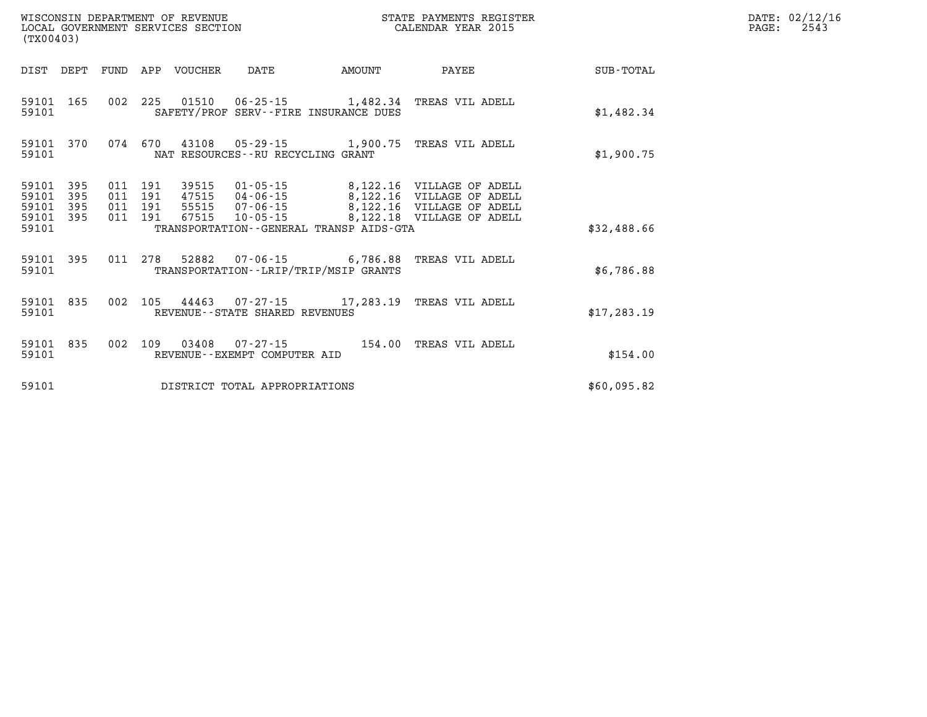| (TX00403)                                 | WISCONSIN DEPARTMENT OF REVENUE<br>LOCAL GOVERNMENT SERVICES SECTION |                          |                          |                                  |                                      |                                                                     |                                                                                                                  |                  |
|-------------------------------------------|----------------------------------------------------------------------|--------------------------|--------------------------|----------------------------------|--------------------------------------|---------------------------------------------------------------------|------------------------------------------------------------------------------------------------------------------|------------------|
| DIST                                      | DEPT                                                                 | FUND                     | APP                      | VOUCHER                          | DATE                                 | AMOUNT                                                              | PAYEE                                                                                                            | <b>SUB-TOTAL</b> |
| 59101<br>59101                            | 165                                                                  | 002                      | 225                      |                                  |                                      | 01510  06-25-15  1,482.34<br>SAFETY/PROF SERV--FIRE INSURANCE DUES  | TREAS VIL ADELL                                                                                                  | \$1,482.34       |
| 59101<br>59101                            | 370                                                                  | 074                      | 670                      |                                  | NAT RESOURCES - - RU RECYCLING GRANT | 43108 05-29-15 1,900.75                                             | TREAS VIL ADELL                                                                                                  | \$1,900.75       |
| 59101<br>59101<br>59101<br>59101<br>59101 | 395<br>395<br>395<br>395                                             | 011<br>011<br>011<br>011 | 191<br>191<br>191<br>191 | 47515 04-06-15<br>55515<br>67515 | $07 - 06 - 15$<br>$10 - 05 - 15$     | TRANSPORTATION--GENERAL TRANSP AIDS-GTA                             | 8,122.16 VILLAGE OF ADELL<br>8,122.16 VILLAGE OF ADELL<br>8,122.16 VILLAGE OF ADELL<br>8,122.18 VILLAGE OF ADELL | \$32,488.66      |
| 59101<br>59101                            | 395                                                                  | 011                      | 278                      |                                  |                                      | 52882 07-06-15 6,786.88<br>TRANSPORTATION - - LRIP/TRIP/MSIP GRANTS | TREAS VIL ADELL                                                                                                  | \$6,786.88       |
| 59101<br>59101                            | 835                                                                  | 002                      | 105                      |                                  | REVENUE - - STATE SHARED REVENUES    | 44463 07-27-15 17,283.19                                            | TREAS VIL ADELL                                                                                                  | \$17, 283.19     |
| 59101<br>59101                            | 835                                                                  | 002                      | 109                      | 03408                            | REVENUE--EXEMPT COMPUTER AID         | 07-27-15 154.00                                                     | TREAS VIL ADELL                                                                                                  | \$154.00         |
| 59101                                     |                                                                      |                          |                          |                                  | DISTRICT TOTAL APPROPRIATIONS        |                                                                     |                                                                                                                  | \$60,095.82      |

**DATE: 02/12/16<br>PAGE: 2543**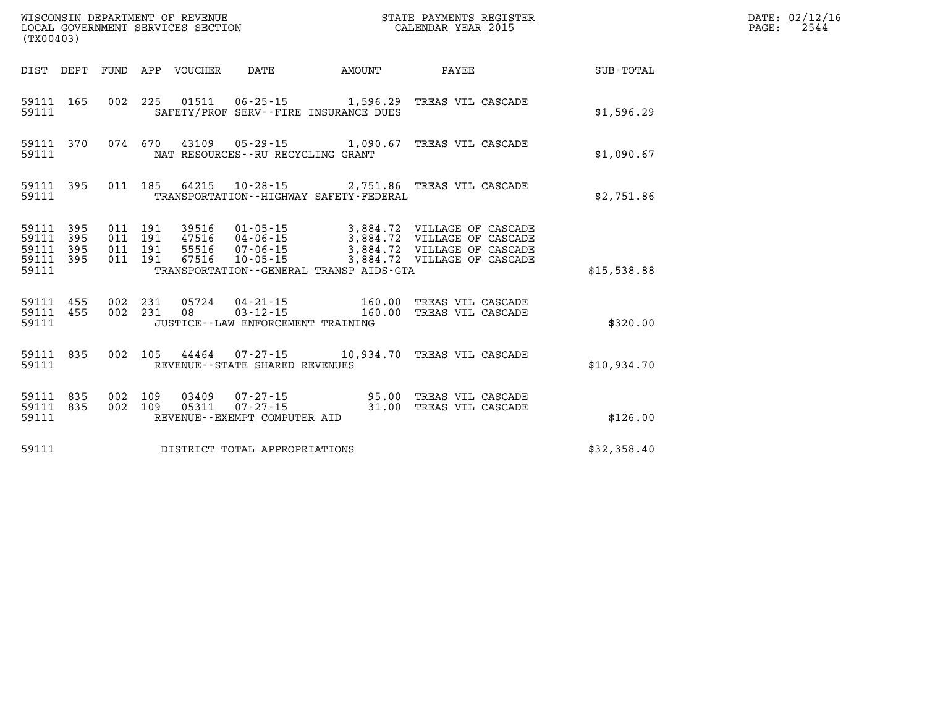| (TX00403)                                                    |                                 |                                              |        | WISCONSIN DEPARTMENT OF REVENUE<br>LOCAL GOVERNMENT SERVICES SECTION<br>LOCAL GOVERNMENT SERVICES SECTION<br>CALENDAR YEAR 2015 |             | DATE: 02/12/16<br>$\mathtt{PAGE:}$<br>2544 |
|--------------------------------------------------------------|---------------------------------|----------------------------------------------|--------|---------------------------------------------------------------------------------------------------------------------------------|-------------|--------------------------------------------|
|                                                              | DIST DEPT FUND APP VOUCHER DATE |                                              | AMOUNT | PAYEE                                                                                                                           | SUB-TOTAL   |                                            |
| 59111 165<br>59111                                           |                                 | SAFETY/PROF SERV--FIRE INSURANCE DUES        |        | 002 225 01511 06-25-15 1,596.29 TREAS VIL CASCADE                                                                               | \$1,596.29  |                                            |
| 59111 370<br>59111                                           |                                 | NAT RESOURCES--RU RECYCLING GRANT            |        | 074 670 43109 05-29-15 1,090.67 TREAS VIL CASCADE                                                                               | \$1,090.67  |                                            |
| 59111 395<br>59111                                           |                                 | TRANSPORTATION - - HIGHWAY SAFETY - FEDERAL  |        | 011 185 64215 10-28-15 2,751.86 TREAS VIL CASCADE                                                                               | \$2,751.86  |                                            |
| 59111 395<br>59111<br>395<br>59111 395<br>59111 395<br>59111 |                                 | TRANSPORTATION - - GENERAL TRANSP AIDS - GTA |        |                                                                                                                                 | \$15,538.88 |                                            |
| 59111 455<br>59111 455<br>59111                              |                                 | JUSTICE -- LAW ENFORCEMENT TRAINING          |        | 002 231 05724 04-21-15 160.00 TREAS VIL CASCADE<br>002 231 08 03-12-15 160.00 TREAS VIL CASCADE                                 | \$320.00    |                                            |
| 59111 835<br>59111                                           |                                 | REVENUE--STATE SHARED REVENUES               |        | 002  105  44464  07-27-15  10,934.70  TREAS VIL CASCADE                                                                         | \$10,934.70 |                                            |
| 59111 835<br>59111 835<br>59111                              | 002 109                         | REVENUE--EXEMPT COMPUTER AID                 |        | 03409  07-27-15  95.00  TREAS VIL CASCADE<br>002 109 05311 07-27-15 31.00 TREAS VIL CASCADE                                     | \$126.00    |                                            |
|                                                              |                                 | 59111 DISTRICT TOTAL APPROPRIATIONS          |        |                                                                                                                                 | \$32,358.40 |                                            |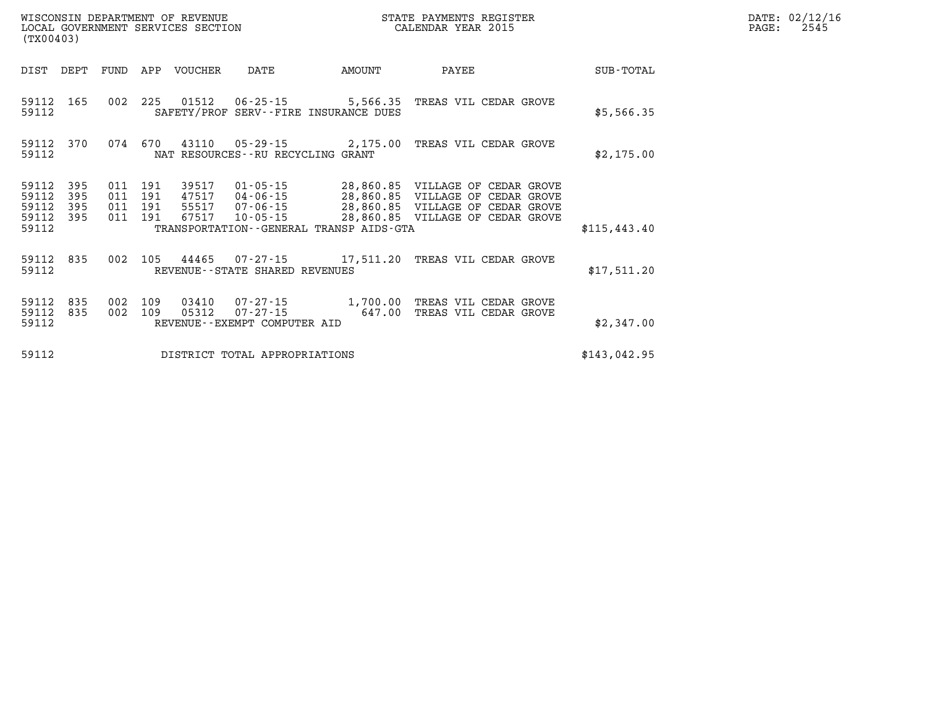| (TX00403)                        |                          |                          |                          | WISCONSIN DEPARTMENT OF REVENUE<br>LOCAL GOVERNMENT SERVICES SECTION |                                                                |                                                   | STATE PAYMENTS REGISTER<br>CALENDAR YEAR 2015                                                                                                |                  |
|----------------------------------|--------------------------|--------------------------|--------------------------|----------------------------------------------------------------------|----------------------------------------------------------------|---------------------------------------------------|----------------------------------------------------------------------------------------------------------------------------------------------|------------------|
| DIST                             | DEPT                     | FUND                     | APP                      | <b>VOUCHER</b>                                                       | <b>DATE</b>                                                    | <b>AMOUNT</b>                                     | PAYEE                                                                                                                                        | <b>SUB-TOTAL</b> |
| 59112<br>59112                   | 165                      | 002                      | 225                      | 01512                                                                | 06-25-15                                                       | 5,566.35<br>SAFETY/PROF SERV--FIRE INSURANCE DUES | TREAS VIL CEDAR GROVE                                                                                                                        | \$5,566.35       |
| 59112<br>59112                   | 370                      | 074                      | 670                      | 43110                                                                | NAT RESOURCES - - RU RECYCLING GRANT                           | $05 - 29 - 15$ 2,175.00                           | TREAS VIL CEDAR GROVE                                                                                                                        | \$2,175.00       |
| 59112<br>59112<br>59112<br>59112 | 395<br>395<br>395<br>395 | 011<br>011<br>011<br>011 | 191<br>191<br>191<br>191 | 39517<br>47517<br>55517<br>67517                                     | $01 - 05 - 15$<br>$04 - 06 - 15$<br>07-06-15<br>$10 - 05 - 15$ |                                                   | 28,860.85 VILLAGE OF CEDAR GROVE<br>28,860.85 VILLAGE OF CEDAR GROVE<br>28,860.85 VILLAGE OF CEDAR GROVE<br>28,860.85 VILLAGE OF CEDAR GROVE |                  |
| 59112                            |                          |                          |                          |                                                                      |                                                                | TRANSPORTATION--GENERAL TRANSP AIDS-GTA           |                                                                                                                                              | \$115,443.40     |
| 59112<br>59112                   | 835                      | 002                      | 105                      | 44465                                                                | REVENUE - - STATE SHARED REVENUES                              | $07 - 27 - 15$ 17,511.20                          | TREAS VIL CEDAR GROVE                                                                                                                        | \$17,511.20      |
| 59112<br>59112<br>59112          | 835<br>835               | 002<br>002               | 109<br>109               | 03410<br>05312                                                       | 07-27-15<br>$07 - 27 - 15$<br>REVENUE - - EXEMPT COMPUTER AID  | 1,700.00<br>647.00                                | TREAS VIL CEDAR GROVE<br>TREAS VIL CEDAR GROVE                                                                                               | \$2,347.00       |
| 59112                            |                          |                          |                          |                                                                      | DISTRICT TOTAL APPROPRIATIONS                                  |                                                   |                                                                                                                                              | \$143,042.95     |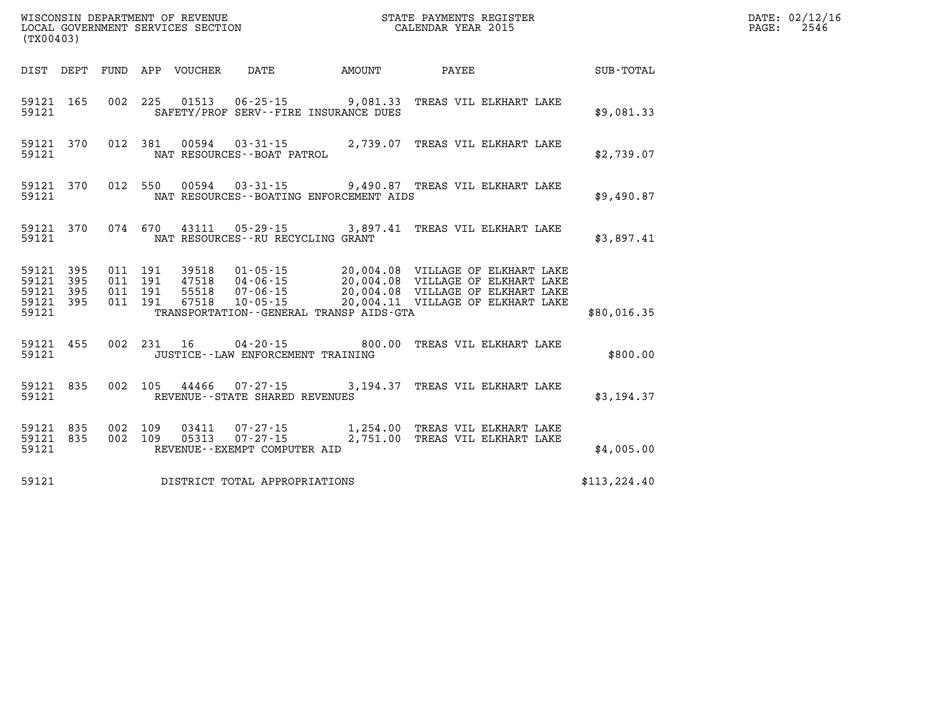| (TX00403)                                     |                   |                          |                          | WISCONSIN DEPARTMENT OF REVENUE<br>LOCAL GOVERNMENT SERVICES SECTION |                                                                  |                                                                  | STATE PAYMENTS REGISTER<br>CALENDAR YEAR 2015                                                                                                             |               |
|-----------------------------------------------|-------------------|--------------------------|--------------------------|----------------------------------------------------------------------|------------------------------------------------------------------|------------------------------------------------------------------|-----------------------------------------------------------------------------------------------------------------------------------------------------------|---------------|
| DIST                                          | DEPT              | FUND                     | APP                      | VOUCHER                                                              | DATE                                                             | <b>EXAMPLE THE AMOUNT</b>                                        | PAYEE                                                                                                                                                     | SUB-TOTAL     |
| 59121<br>59121                                | 165               | 002                      | 225                      | 01513                                                                |                                                                  | $06 - 25 - 15$ 9,081.33<br>SAFETY/PROF SERV--FIRE INSURANCE DUES | TREAS VIL ELKHART LAKE                                                                                                                                    | \$9,081.33    |
| 59121<br>59121                                | 370               | 012                      | 381                      |                                                                      | NAT RESOURCES - - BOAT PATROL                                    |                                                                  | 00594  03-31-15  2,739.07  TREAS VIL ELKHART LAKE                                                                                                         | \$2,739.07    |
| 59121<br>59121                                | 370               | 012                      | 550                      | 00594                                                                | $03 - 31 - 15$                                                   | NAT RESOURCES - - BOATING ENFORCEMENT AIDS                       | 9,490.87 TREAS VIL ELKHART LAKE                                                                                                                           | \$9,490.87    |
| 59121<br>59121                                | 370               | 074                      | 670                      |                                                                      | NAT RESOURCES - - RU RECYCLING GRANT                             | 43111 05-29-15 3,897.41                                          | TREAS VIL ELKHART LAKE                                                                                                                                    | \$3,897.41    |
| 59121<br>59121<br>59121<br>59121 395<br>59121 | 395<br>395<br>395 | 011<br>011<br>011<br>011 | 191<br>191<br>191<br>191 | 39518<br>47518<br>55518<br>67518                                     | $01 - 05 - 15$<br>$07 - 06 - 15$<br>$10 - 05 - 15$               | TRANSPORTATION--GENERAL TRANSP AIDS-GTA                          | 20,004.08 VILLAGE OF ELKHART LAKE<br>04-06-15 20,004.08 VILLAGE OF ELKHART LAKE<br>20,004.08 VILLAGE OF ELKHART LAKE<br>20,004.11 VILLAGE OF ELKHART LAKE | \$80,016.35   |
| 59121<br>59121                                | 455               | 002                      | 231                      | 16                                                                   | $04 - 20 - 15$<br>JUSTICE - - LAW ENFORCEMENT TRAINING           | 800.00                                                           | TREAS VIL ELKHART LAKE                                                                                                                                    | \$800.00      |
| 59121<br>59121                                | 835               | 002                      | 105                      | 44466                                                                | $07 - 27 - 15$<br>REVENUE - - STATE SHARED REVENUES              |                                                                  | 3,194.37 TREAS VIL ELKHART LAKE                                                                                                                           | \$3,194.37    |
| 59121<br>59121<br>59121                       | 835<br>835        | 002<br>002               | 109<br>109               | 03411<br>05313                                                       | $07 - 27 - 15$<br>$07 - 27 - 15$<br>REVENUE--EXEMPT COMPUTER AID | 1,254.00<br>2,751.00                                             | TREAS VIL ELKHART LAKE<br>TREAS VIL ELKHART LAKE                                                                                                          | \$4,005.00    |
| 59121                                         |                   |                          |                          |                                                                      | DISTRICT TOTAL APPROPRIATIONS                                    |                                                                  |                                                                                                                                                           | \$113, 224.40 |

**DATE: 02/12/16<br>PAGE: 2546**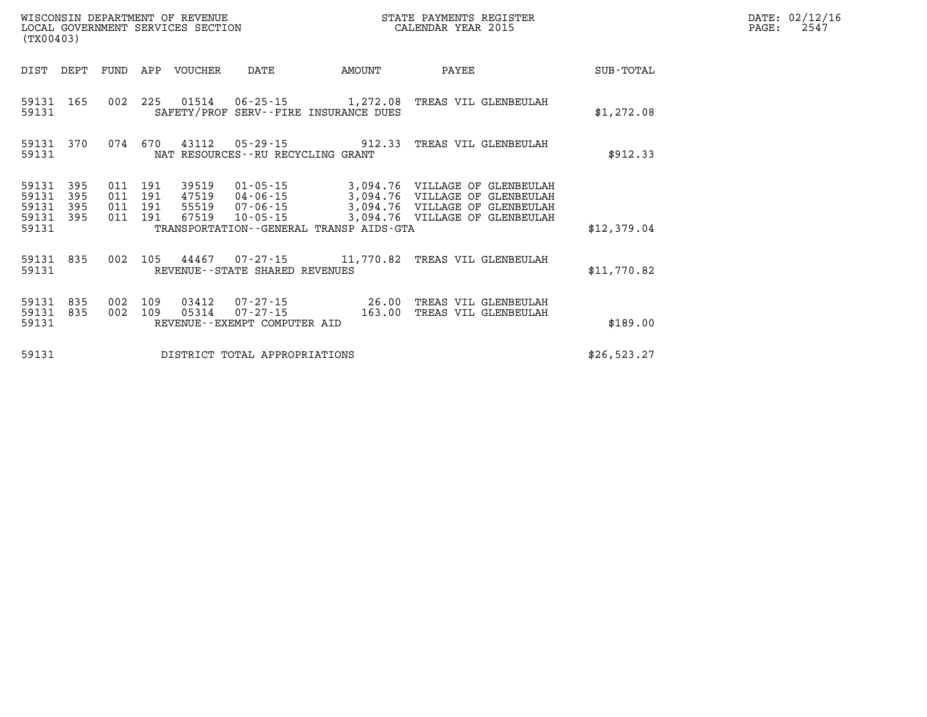| (TX00403)                            |                   |                               |         | WISCONSIN DEPARTMENT OF REVENUE | WISCONSIN DEPARTMENT OF REVENUE<br>LOCAL GOVERNMENT SERVICES SECTION    |               | STATE PAYMENTS REGISTER<br>CALENDAR YEAR 2015                                                                                                                                                       |             | DATE: 02/12/16<br>PAGE:<br>2547 |
|--------------------------------------|-------------------|-------------------------------|---------|---------------------------------|-------------------------------------------------------------------------|---------------|-----------------------------------------------------------------------------------------------------------------------------------------------------------------------------------------------------|-------------|---------------------------------|
| DIST                                 | DEPT              | FUND                          |         | APP VOUCHER                     | DATE                                                                    | <b>AMOUNT</b> | PAYEE                                                                                                                                                                                               | SUB-TOTAL   |                                 |
| 59131 165<br>59131                   |                   |                               |         |                                 | SAFETY/PROF SERV--FIRE INSURANCE DUES                                   |               | 002 225 01514 06-25-15 1,272.08 TREAS VIL GLENBEULAH                                                                                                                                                | \$1,272.08  |                                 |
| 59131 370<br>59131                   |                   | 074                           | 670     | 43112                           | $05 - 29 - 15$ 912.33<br>NAT RESOURCES--RU RECYCLING GRANT              |               | TREAS VIL GLENBEULAH                                                                                                                                                                                | \$912.33    |                                 |
| 59131<br>59131<br>59131<br>59131 395 | 395<br>395<br>395 | 011 191<br>011 191<br>011 191 | 011 191 | 39519<br>47519<br>55519         |                                                                         |               | 01-05-15 3,094.76 VILLAGE OF GLENBEULAH<br>47519  04-06-15  3,094.76  VILLAGE OF GLENBEULAH<br>55519  07-06-15  3,094.76  VILLAGE OF GLENBEULAH<br>67519  10-05-15  3,094.76  VILLAGE OF GLENBEULAH |             |                                 |
| 59131                                |                   |                               |         |                                 | TRANSPORTATION--GENERAL TRANSP AIDS-GTA                                 |               |                                                                                                                                                                                                     | \$12,379.04 |                                 |
| 59131 835<br>59131                   |                   |                               |         |                                 | REVENUE - - STATE SHARED REVENUES                                       |               | 002 105 44467 07-27-15 11,770.82 TREAS VIL GLENBEULAH                                                                                                                                               | \$11,770.82 |                                 |
| 59131<br>59131 835<br>59131          | 835               | 002 109<br>002                | 109     | 03412                           | 07-27-15 26.00<br>05314 07-27-15 163.00<br>REVENUE--EXEMPT COMPUTER AID |               | TREAS VIL GLENBEULAH<br>TREAS VIL GLENBEULAH                                                                                                                                                        | \$189.00    |                                 |
| 59131                                |                   |                               |         |                                 | DISTRICT TOTAL APPROPRIATIONS                                           |               |                                                                                                                                                                                                     | \$26,523.27 |                                 |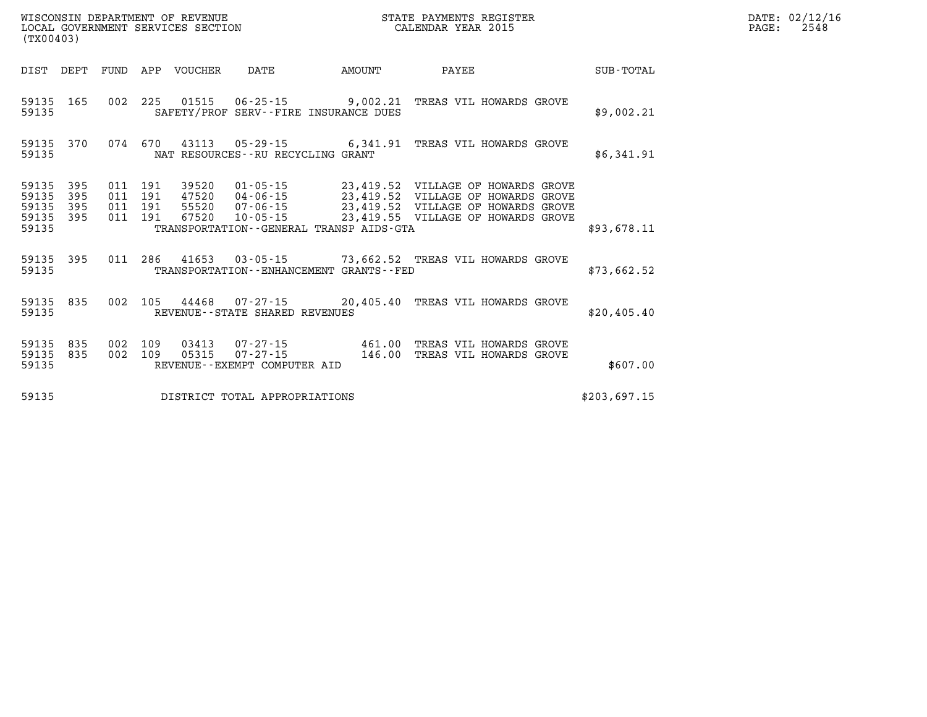| (TX00403)                                                                                         | LOCAL GOVERNMENT SERVICES SECTION<br>CALENDAR YEAR 2015                                                                                                                   |                                                                                                                                                         |              |  |  |  |  |  |  |
|---------------------------------------------------------------------------------------------------|---------------------------------------------------------------------------------------------------------------------------------------------------------------------------|---------------------------------------------------------------------------------------------------------------------------------------------------------|--------------|--|--|--|--|--|--|
| DIST<br>DEPT<br>FUND                                                                              | APP<br>VOUCHER<br><b>DATE</b>                                                                                                                                             | <b>AMOUNT</b><br>PAYEE                                                                                                                                  | SUB-TOTAL    |  |  |  |  |  |  |
| 165<br>002<br>59135<br>59135                                                                      | 225<br>$01515$ $06-25-15$ 9,002.21<br>SAFETY/PROF SERV--FIRE INSURANCE DUES                                                                                               | TREAS VIL HOWARDS GROVE                                                                                                                                 | \$9,002.21   |  |  |  |  |  |  |
| 59135<br>370<br>074<br>59135                                                                      | 670<br>43113<br>05-29-15 6,341.91<br>NAT RESOURCES - - RU RECYCLING GRANT                                                                                                 | TREAS VIL HOWARDS GROVE                                                                                                                                 | \$6,341.91   |  |  |  |  |  |  |
| 59135<br>395<br>011<br>59135<br>395<br>011<br>59135<br>395<br>011<br>59135<br>395<br>011<br>59135 | 191<br>$01 - 05 - 15$<br>39520<br>191<br>47520<br>04-06-15<br>$07 - 06 - 15$<br>191<br>55520<br>191<br>67520<br>$10 - 05 - 15$<br>TRANSPORTATION--GENERAL TRANSP AIDS-GTA | 23,419.52 VILLAGE OF HOWARDS GROVE<br>23,419.52<br>VILLAGE OF HOWARDS GROVE<br>23,419.52 VILLAGE OF HOWARDS GROVE<br>23,419.55 VILLAGE OF HOWARDS GROVE | \$93.678.11  |  |  |  |  |  |  |
| 395<br>011<br>59135<br>59135                                                                      | 286<br>41653<br>TRANSPORTATION - - ENHANCEMENT GRANTS - - FED                                                                                                             | 03-05-15 73,662.52 TREAS VIL HOWARDS GROVE                                                                                                              | \$73,662.52  |  |  |  |  |  |  |
| 002<br>835<br>59135<br>59135                                                                      | 105<br>44468<br>07-27-15<br>REVENUE--STATE SHARED REVENUES                                                                                                                | 20,405.40<br>TREAS VIL HOWARDS GROVE                                                                                                                    | \$20,405.40  |  |  |  |  |  |  |
| 59135<br>835<br>002<br>59135<br>835<br>002<br>59135                                               | 109<br>03413<br>07-27-15<br>109<br>05315<br>$07 - 27 - 15$<br>REVENUE--EXEMPT COMPUTER AID                                                                                | 461.00<br>TREAS VIL HOWARDS GROVE<br>146.00<br>TREAS VIL HOWARDS GROVE                                                                                  | \$607.00     |  |  |  |  |  |  |
| 59135                                                                                             | DISTRICT TOTAL APPROPRIATIONS                                                                                                                                             |                                                                                                                                                         | \$203,697.15 |  |  |  |  |  |  |

**DATE: 02/12/16<br>PAGE: 2548** 

WISCONSIN DEPARTMENT OF REVENUE **STATE PAYMENTS REGISTER**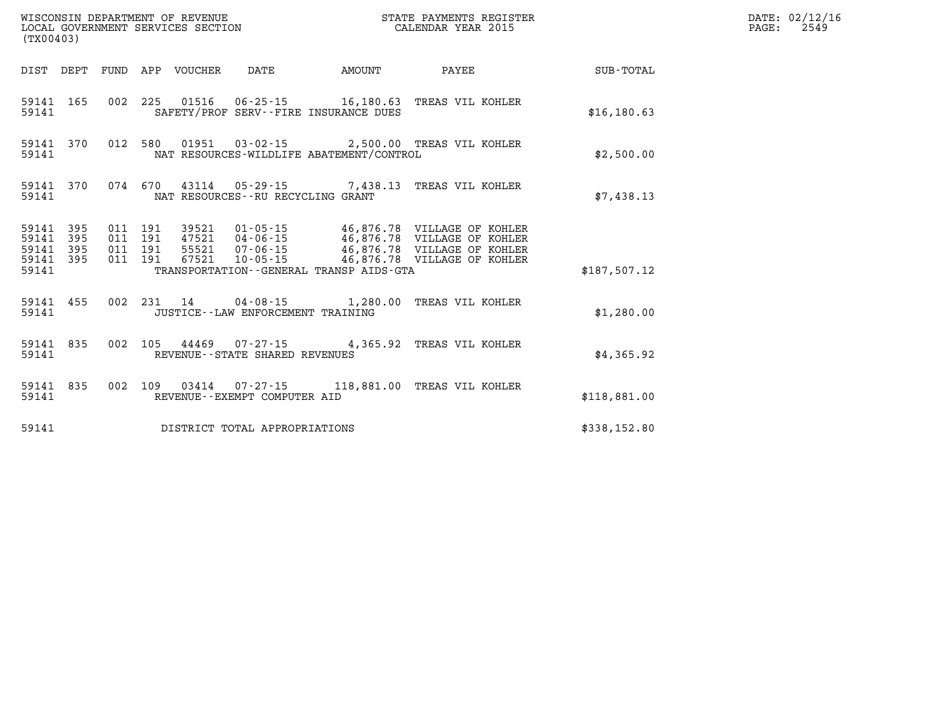| (TX00403)          |                                     |  |                                 | WISCONSIN DEPARTMENT OF REVENUE<br>LOCAL GOVERNMENT SERVICES SECTION |        | STATE PAYMENTS REGISTER<br>CALENDAR YEAR 2015                                                                                                                                                                        |              | DATE: 02/12/16<br>PAGE:<br>2549 |
|--------------------|-------------------------------------|--|---------------------------------|----------------------------------------------------------------------|--------|----------------------------------------------------------------------------------------------------------------------------------------------------------------------------------------------------------------------|--------------|---------------------------------|
|                    |                                     |  | DIST DEPT FUND APP VOUCHER DATE |                                                                      | AMOUNT | PAYEE                                                                                                                                                                                                                | SUB-TOTAL    |                                 |
| 59141              | 59141 165                           |  |                                 | SAFETY/PROF SERV--FIRE INSURANCE DUES                                |        | 002 225 01516 06-25-15 16,180.63 TREAS VIL KOHLER                                                                                                                                                                    | \$16, 180.63 |                                 |
| 59141              |                                     |  |                                 | NAT RESOURCES-WILDLIFE ABATEMENT/CONTROL                             |        | 59141 370 012 580 01951 03-02-15 2,500.00 TREAS VIL KOHLER                                                                                                                                                           | \$2,500.00   |                                 |
| 59141              | 59141 370                           |  |                                 | NAT RESOURCES--RU RECYCLING GRANT                                    |        | 074 670 43114 05-29-15 7,438.13 TREAS VIL KOHLER                                                                                                                                                                     | \$7,438.13   |                                 |
| 59141 395<br>59141 | 59141 395<br>59141 395<br>59141 395 |  |                                 | TRANSPORTATION--GENERAL TRANSP AIDS-GTA                              |        | 011 191 39521 01-05-15 46,876.78 VILLAGE OF KOHLER<br>011 191 47521 04-06-15 46,876.78 VILLAGE OF KOHLER<br>011 191 55521 07-06-15 46,876.78 VILLAGE OF KOHLER<br>011 191 67521 10-05-15 46,876.78 VILLAGE OF KOHLER | \$187.507.12 |                                 |
| 59141              | 59141 455                           |  |                                 | JUSTICE - - LAW ENFORCEMENT TRAINING                                 |        | 002 231 14 04-08-15 1,280.00 TREAS VIL KOHLER                                                                                                                                                                        | \$1,280.00   |                                 |
| 59141              | 59141 835                           |  |                                 | REVENUE - - STATE SHARED REVENUES                                    |        | 002 105 44469 07-27-15 4,365.92 TREAS VIL KOHLER                                                                                                                                                                     | \$4,365.92   |                                 |
| 59141              | 59141 835                           |  |                                 | REVENUE--EXEMPT COMPUTER AID                                         |        | 002 109 03414 07-27-15 118,881.00 TREAS VIL KOHLER                                                                                                                                                                   | \$118,881.00 |                                 |
| 59141              |                                     |  |                                 | DISTRICT TOTAL APPROPRIATIONS                                        |        |                                                                                                                                                                                                                      | \$338,152.80 |                                 |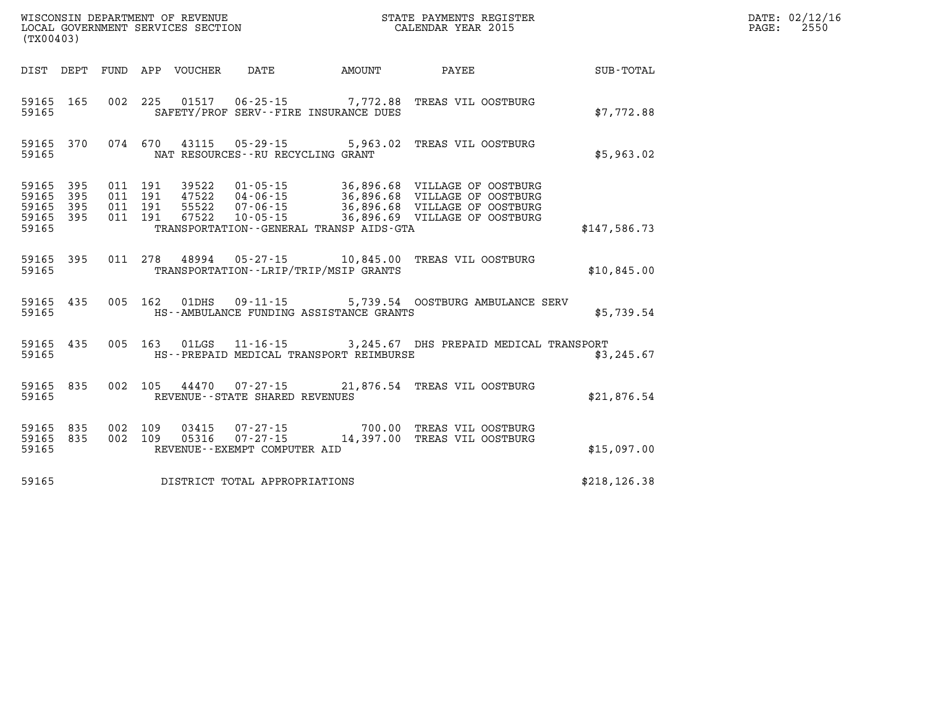| (TX00403)                                         |            |         |         |                                   |                                          | WISCONSIN DEPARTMENT OF REVENUE                             STATE PAYMENTS REGIST LOCAL GOVERNMENT SERVICES SECTION                               CALENDAR YEAR 2015<br>STATE PAYMENTS REGISTER                                                                                                                                                   |                  | DATE: 02/12/16<br>$\mathtt{PAGE:}$<br>2550 |
|---------------------------------------------------|------------|---------|---------|-----------------------------------|------------------------------------------|---------------------------------------------------------------------------------------------------------------------------------------------------------------------------------------------------------------------------------------------------------------------------------------------------------------------------------------------------|------------------|--------------------------------------------|
|                                                   |            |         |         |                                   | DIST DEPT FUND APP VOUCHER DATE AMOUNT   | <b>PAYEE</b>                                                                                                                                                                                                                                                                                                                                      | <b>SUB-TOTAL</b> |                                            |
| 59165                                             | 59165 165  |         |         |                                   | SAFETY/PROF SERV--FIRE INSURANCE DUES    | 002 225 01517 06-25-15 7,772.88 TREAS VIL OOSTBURG                                                                                                                                                                                                                                                                                                | \$7,772.88       |                                            |
| 59165                                             |            |         |         | NAT RESOURCES--RU RECYCLING GRANT |                                          | 59165 370 074 670 43115 05-29-15 5,963.02 TREAS VIL OOSTBURG                                                                                                                                                                                                                                                                                      | \$5,963.02       |                                            |
| 59165 395<br>59165<br>59165<br>59165 395<br>59165 | 395<br>395 |         |         |                                   | TRANSPORTATION--GENERAL TRANSP AIDS-GTA  | $\begin{array}{cccc} 011 & 191 & 39522 & 01\cdot 05\cdot 15 & 36,896.68 & \text{VILLAGE OF OOSTBURG} \\ 011 & 191 & 47522 & 04\cdot 06\cdot 15 & 36,896.68 & \text{VILLAGE OF OOSTBURG} \\ 011 & 191 & 55522 & 07\cdot 06\cdot 15 & 36,896.68 & \text{VILLAGE OF OOSTBURG} \\ 011 & 191 & 67522 & 10\cdot 05\cdot 15 & 36,896.69 & \text{VILLAGE$ | \$147,586.73     |                                            |
| 59165                                             |            |         |         |                                   | TRANSPORTATION - - LRIP/TRIP/MSIP GRANTS | 59165 395 011 278 48994 05-27-15 10,845.00 TREAS VIL OOSTBURG                                                                                                                                                                                                                                                                                     | \$10,845.00      |                                            |
| 59165                                             |            |         |         |                                   | HS--AMBULANCE FUNDING ASSISTANCE GRANTS  | 59165 435 005 162 01DHS 09-11-15 5,739.54 OOSTBURG AMBULANCE SERV                                                                                                                                                                                                                                                                                 | \$5,739.54       |                                            |
| 59165                                             | 59165 435  |         |         |                                   | HS--PREPAID MEDICAL TRANSPORT REIMBURSE  | 005 163 01LGS 11-16-15 3,245.67 DHS PREPAID MEDICAL TRANSPORT                                                                                                                                                                                                                                                                                     | \$3,245.67       |                                            |
| 59165                                             | 59165 835  |         |         | REVENUE - - STATE SHARED REVENUES |                                          | 002 105 44470 07-27-15 21,876.54 TREAS VIL OOSTBURG                                                                                                                                                                                                                                                                                               | \$21,876.54      |                                            |
| 59165 835<br>59165                                | 59165 835  | 002 109 | 002 109 | REVENUE--EXEMPT COMPUTER AID      |                                          | 03415  07-27-15  700.00 TREAS VIL OOSTBURG<br>05316  07-27-15  14,397.00 TREAS VIL OOSTBURG                                                                                                                                                                                                                                                       | \$15,097.00      |                                            |
| 59165                                             |            |         |         | DISTRICT TOTAL APPROPRIATIONS     |                                          |                                                                                                                                                                                                                                                                                                                                                   | \$218, 126.38    |                                            |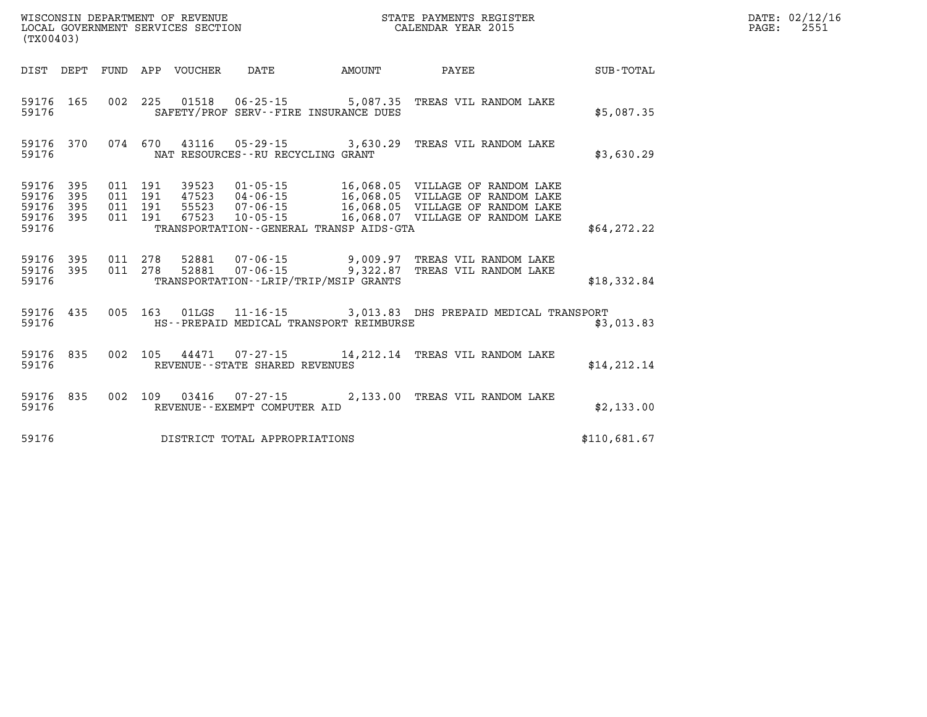| WISCONSIN DEPARTMENT OF REVENUE   | STATE PAYMENTS REGISTER | DATE: 02/12/16 |
|-----------------------------------|-------------------------|----------------|
| LOCAL GOVERNMENT SERVICES SECTION | CALENDAR YEAR 2015      | つらら<br>PAGE:   |

| (TX00403)                                                             |                          |                                                                                                                                                                                 |                                                  |                                                                                                      |              |
|-----------------------------------------------------------------------|--------------------------|---------------------------------------------------------------------------------------------------------------------------------------------------------------------------------|--------------------------------------------------|------------------------------------------------------------------------------------------------------|--------------|
| DIST<br>DEPT                                                          | <b>FUND</b>              | APP<br><b>VOUCHER</b><br>DATE                                                                                                                                                   | <b>AMOUNT</b>                                    | PAYEE                                                                                                | SUB-TOTAL    |
| 59176<br>165<br>59176                                                 | 002                      | 225<br>01518<br>$06 - 25 - 15$ 5,087.35<br>SAFETY/PROF SERV--FIRE INSURANCE DUES                                                                                                |                                                  | TREAS VIL RANDOM LAKE                                                                                | \$5,087.35   |
| 59176<br>370<br>59176                                                 | 074                      | 670<br>43116 05-29-15 3,630.29<br>NAT RESOURCES - - RU RECYCLING GRANT                                                                                                          |                                                  | TREAS VIL RANDOM LAKE                                                                                | \$3,630.29   |
| 59176<br>395<br>395<br>59176<br>59176<br>395<br>59176<br>395<br>59176 | 011<br>011<br>011<br>011 | 191<br>39523<br>$01 - 05 - 15$<br>191<br>47523<br>$04 - 06 - 15$<br>191<br>55523<br>$07 - 06 - 15$<br>191<br>67523<br>$10 - 05 - 15$<br>TRANSPORTATION--GENERAL TRANSP AIDS-GTA | 16,068.05<br>16,068.05<br>16,068.05<br>16,068.07 | VILLAGE OF RANDOM LAKE<br>VILLAGE OF RANDOM LAKE<br>VILLAGE OF RANDOM LAKE<br>VILLAGE OF RANDOM LAKE | \$64,272.22  |
| 395<br>59176<br>395<br>59176<br>59176                                 | 011<br>011               | 278<br>52881<br>07-06-15<br>278<br>52881<br>$07 - 06 - 15$<br>TRANSPORTATION - - LRIP/TRIP/MSIP GRANTS                                                                          | 9,009.97<br>9,322.87                             | TREAS VIL RANDOM LAKE<br>TREAS VIL RANDOM LAKE                                                       | \$18,332.84  |
| 435<br>59176<br>59176                                                 | 005                      | 163<br>01LGS<br>$11 - 16 - 15$ 3,013.83<br>HS--PREPAID MEDICAL TRANSPORT REIMBURSE                                                                                              |                                                  | DHS PREPAID MEDICAL TRANSPORT                                                                        | \$3,013.83   |
| 59176<br>835<br>59176                                                 | 002                      | 105<br>44471 07-27-15 14,212.14<br>REVENUE - - STATE SHARED REVENUES                                                                                                            |                                                  | TREAS VIL RANDOM LAKE                                                                                | \$14, 212.14 |
| 835<br>59176<br>59176                                                 | 002                      | 109<br>03416<br>$07 - 27 - 15$<br>REVENUE - - EXEMPT COMPUTER AID                                                                                                               | 2,133.00                                         | TREAS VIL RANDOM LAKE                                                                                | \$2,133.00   |
| 59176                                                                 |                          | DISTRICT TOTAL APPROPRIATIONS                                                                                                                                                   |                                                  |                                                                                                      | \$110,681.67 |

WISCONSIN DEPARTMENT OF REVENUE **STATE PAYMENTS REGISTER** LOCAL GOVERNMENT SERVICES SECTION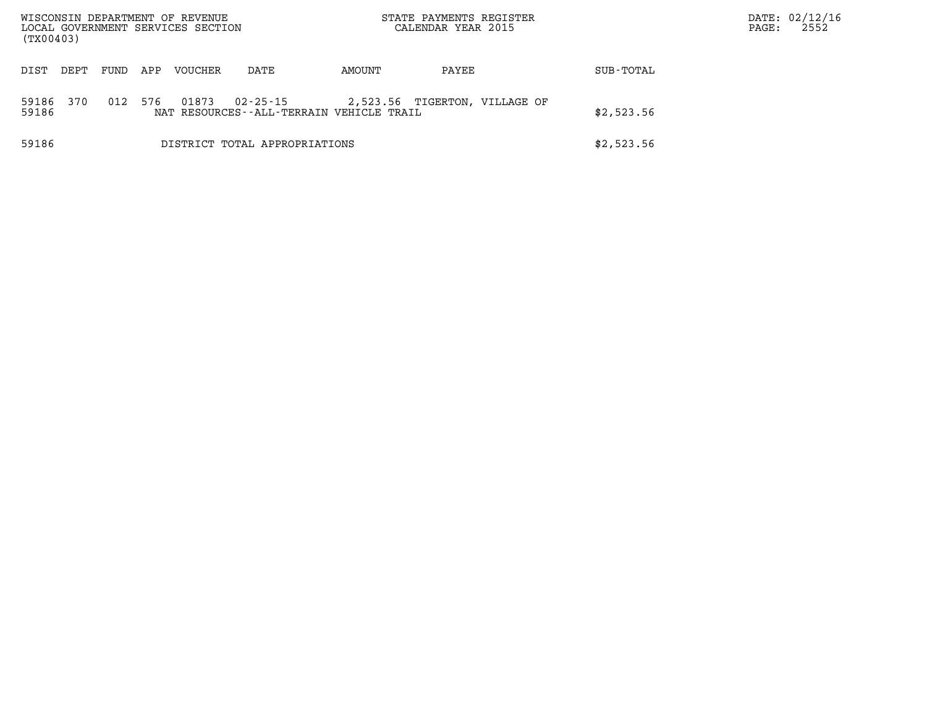| (TX00403)      |      |      |     | WISCONSIN DEPARTMENT OF REVENUE<br>LOCAL GOVERNMENT SERVICES SECTION |                                                      |        | STATE PAYMENTS REGISTER<br>CALENDAR YEAR 2015 |            | PAGE: | DATE: 02/12/16<br>2552 |
|----------------|------|------|-----|----------------------------------------------------------------------|------------------------------------------------------|--------|-----------------------------------------------|------------|-------|------------------------|
| DIST           | DEPT | FUND | APP | <b>VOUCHER</b>                                                       | DATE                                                 | AMOUNT | PAYEE                                         | SUB-TOTAL  |       |                        |
| 59186<br>59186 | 370  | 012  | 576 | 01873                                                                | 02-25-15<br>NAT RESOURCES--ALL-TERRAIN VEHICLE TRAIL |        | 2,523.56 TIGERTON, VILLAGE OF                 | \$2,523.56 |       |                        |
| 59186          |      |      |     |                                                                      | DISTRICT TOTAL APPROPRIATIONS                        |        |                                               | \$2,523.56 |       |                        |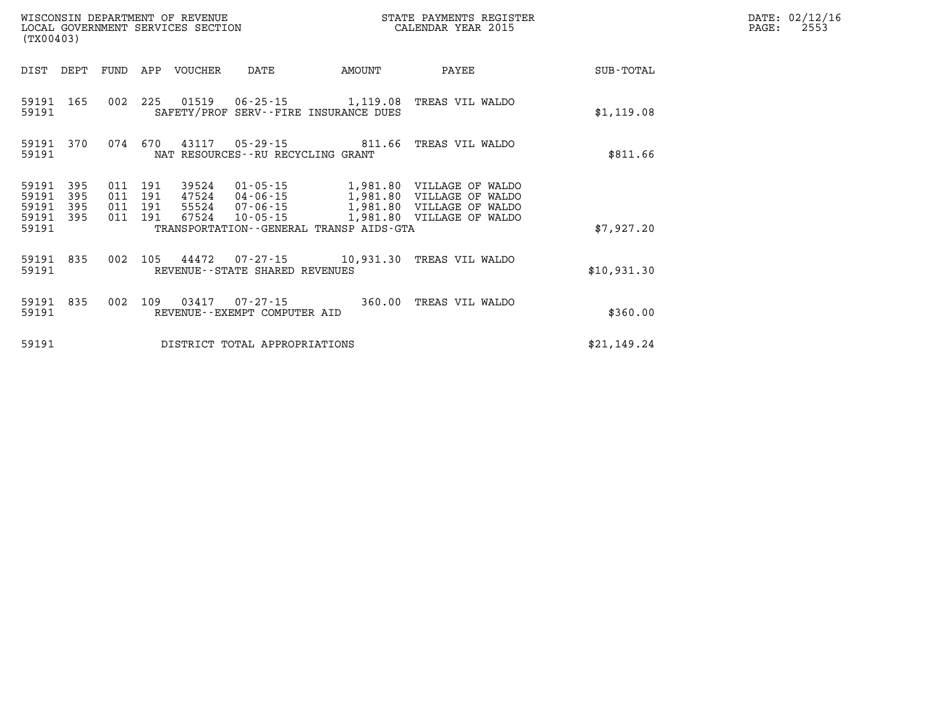| (TX00403)          |                |                    |         | WISCONSIN DEPARTMENT OF REVENUE<br>LOCAL GOVERNMENT SERVICES SECTION |                                      |                                         | STATE PAYMENTS REGISTER<br>CALENDAR YEAR 2015                         |             | DATE: 02/12/16<br>2553<br>PAGE: |
|--------------------|----------------|--------------------|---------|----------------------------------------------------------------------|--------------------------------------|-----------------------------------------|-----------------------------------------------------------------------|-------------|---------------------------------|
|                    | DIST DEPT FUND |                    |         | APP VOUCHER                                                          | DATE                                 | AMOUNT                                  | PAYEE                                                                 | SUB-TOTAL   |                                 |
| 59191 165<br>59191 |                | 002                | 225     |                                                                      |                                      | SAFETY/PROF SERV--FIRE INSURANCE DUES   | TREAS VIL WALDO                                                       | \$1,119.08  |                                 |
| 59191              | 59191 370      |                    | 074 670 |                                                                      | NAT RESOURCES - - RU RECYCLING GRANT |                                         | 43117  05-29-15  811.66  TREAS VIL WALDO                              | \$811.66    |                                 |
| 59191<br>59191     | 395<br>395     | 011<br>011 191     | 191     | 39524                                                                | $01 - 05 - 15$<br>47524 04-06-15     | 1,981.80<br>1,981.80                    | VILLAGE OF WALDO<br>VILLAGE OF WALDO                                  |             |                                 |
| 59191<br>59191 395 | 395            | 011 191<br>011 191 |         | 67524                                                                | 10-05-15                             |                                         | 55524 07-06-15 1,981.80 VILLAGE OF WALDO<br>1,981.80 VILLAGE OF WALDO |             |                                 |
| 59191              |                |                    |         |                                                                      |                                      | TRANSPORTATION--GENERAL TRANSP AIDS-GTA |                                                                       | \$7,927.20  |                                 |
| 59191 835<br>59191 |                | 002                | 105     |                                                                      | REVENUE--STATE SHARED REVENUES       |                                         | 44472  07-27-15  10,931.30 TREAS VIL WALDO                            | \$10,931.30 |                                 |
| 59191 835<br>59191 |                | 002                | 109     |                                                                      | REVENUE--EXEMPT COMPUTER AID         | 360.00                                  | TREAS VIL WALDO                                                       | \$360.00    |                                 |
| 59191              |                |                    |         |                                                                      | DISTRICT TOTAL APPROPRIATIONS        |                                         |                                                                       | \$21,149.24 |                                 |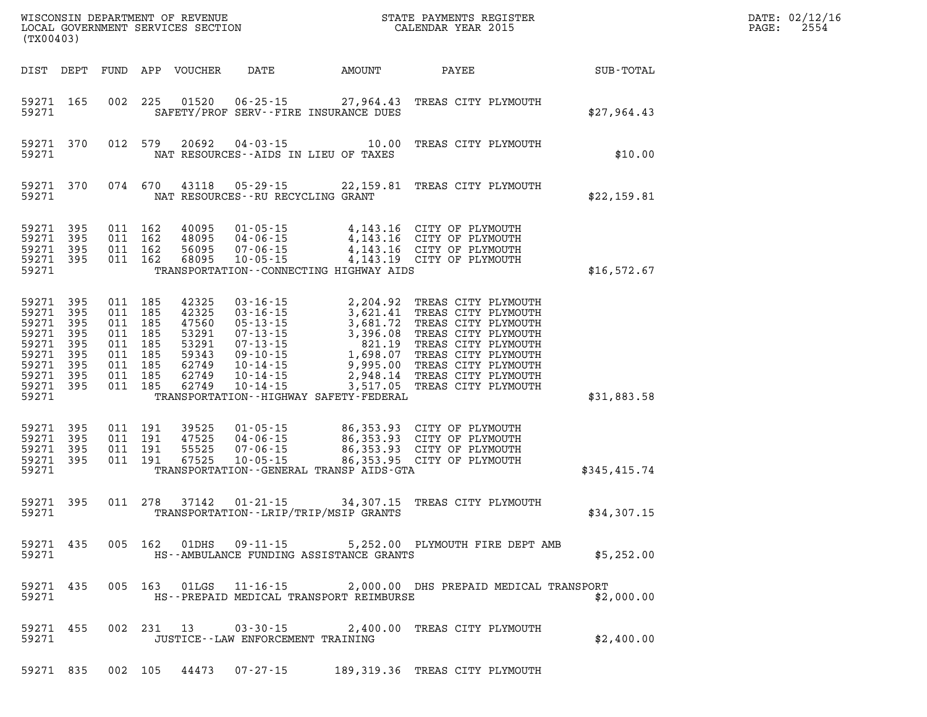| (TX00403)                                                                                                      |                   |                                                                           |                                          |                                                                               |                                        |                                             | WISCONSIN DEPARTMENT OF REVENUE<br>LOCAL GOVERNMENT SERVICES SECTION<br>CALENDAR YEAR 2015                                                                                                                                                                            |              | DATE: 02/12/16<br>$\mathtt{PAGE}$ :<br>2554 |
|----------------------------------------------------------------------------------------------------------------|-------------------|---------------------------------------------------------------------------|------------------------------------------|-------------------------------------------------------------------------------|----------------------------------------|---------------------------------------------|-----------------------------------------------------------------------------------------------------------------------------------------------------------------------------------------------------------------------------------------------------------------------|--------------|---------------------------------------------|
|                                                                                                                | DIST DEPT         |                                                                           |                                          | FUND APP VOUCHER                                                              | DATE                                   | AMOUNT                                      | PAYEE SUB-TOTAL                                                                                                                                                                                                                                                       |              |                                             |
| 59271                                                                                                          | 59271 165         |                                                                           |                                          | 002 225 01520                                                                 |                                        | SAFETY/PROF SERV--FIRE INSURANCE DUES       | 06-25-15 27,964.43 TREAS CITY PLYMOUTH                                                                                                                                                                                                                                | \$27,964.43  |                                             |
| 59271                                                                                                          | 59271 370         |                                                                           | 012 579                                  | 20692                                                                         | NAT RESOURCES -- AIDS IN LIEU OF TAXES | $04 - 03 - 15$ 10.00                        | TREAS CITY PLYMOUTH                                                                                                                                                                                                                                                   | \$10.00      |                                             |
| 59271                                                                                                          | 59271 370         |                                                                           | 074 670                                  |                                                                               | NAT RESOURCES -- RU RECYCLING GRANT    |                                             | 43118  05-29-15  22,159.81  TREAS CITY PLYMOUTH                                                                                                                                                                                                                       | \$22,159.81  |                                             |
| 59271 395<br>59271 395<br>59271 395<br>59271 395<br>59271                                                      |                   |                                                                           | 011 162<br>011 162<br>011 162<br>011 162 | 40095<br>48095<br>56095<br>68095                                              |                                        | TRANSPORTATION--CONNECTING HIGHWAY AIDS     | 01-05-15 4,143.16 CITY OF PLYMOUTH<br>04-06-15 4,143.16 CITY OF PLYMOUTH<br>07-06-15 4,143.16 CITY OF PLYMOUTH<br>10-05-15 4,143.19 CITY OF PLYMOUTH                                                                                                                  | \$16,572.67  |                                             |
| 59271 395<br>59271<br>59271 395<br>59271<br>59271 395<br>59271<br>59271 395<br>59271 395<br>59271 395<br>59271 | 395<br>395<br>395 | 011 185<br>011 185<br>011 185<br>011 185<br>011 185<br>011 185<br>011 185 | 011 185<br>011 185                       | 42325<br>42325<br>47560<br>53291<br>53291<br>59343<br>62749<br>62749<br>62749 |                                        | TRANSPORTATION - - HIGHWAY SAFETY - FEDERAL | 03-16-15<br>03-16-15<br>03-16-15<br>05-13-15<br>05-13-15<br>07-13-15<br>07-13-15<br>07-13-15<br>07-13-15<br>09-10-15<br>1,698.07<br>TREAS CITY PLYMOUTH<br>09-10-15<br>1,698.07<br>TREAS CITY PLYMOUTH<br>10-14-15<br>2,948.14<br>TREAS CITY PLYMOUTH<br>10-14-15<br> | \$31,883.58  |                                             |
| 59271 395<br>59271<br>59271 395<br>59271 395<br>59271                                                          | 395               | 011 191<br>011 191                                                        | 011 191<br>011 191                       | 39525<br>47525<br>55525<br>67525                                              |                                        | TRANSPORTATION--GENERAL TRANSP AIDS-GTA     | 01-05-15<br>04-06-15<br>04-06-15<br>07-06-15<br>07-06-15<br>06,353.93 CITY OF PLYMOUTH<br>07-05-15<br>06,353.95 CITY OF PLYMOUTH                                                                                                                                      | \$345,415.74 |                                             |
| 59271 395<br>59271                                                                                             |                   |                                                                           |                                          |                                                                               |                                        | TRANSPORTATION - - LRIP/TRIP/MSIP GRANTS    | 011 278 37142 01-21-15 34,307.15 TREAS CITY PLYMOUTH                                                                                                                                                                                                                  | \$34,307.15  |                                             |
| 59271                                                                                                          | 59271 435         |                                                                           |                                          | 005 162 01DHS                                                                 | $09 - 11 - 15$                         | HS--AMBULANCE FUNDING ASSISTANCE GRANTS     | 5,252.00 PLYMOUTH FIRE DEPT AMB                                                                                                                                                                                                                                       | \$5,252.00   |                                             |
| 59271                                                                                                          | 59271 435         |                                                                           |                                          |                                                                               |                                        | HS--PREPAID MEDICAL TRANSPORT REIMBURSE     | 005 163 01LGS 11-16-15 2,000.00 DHS PREPAID MEDICAL TRANSPORT                                                                                                                                                                                                         | \$2,000.00   |                                             |
| 59271                                                                                                          | 59271 455         |                                                                           |                                          |                                                                               | JUSTICE -- LAW ENFORCEMENT TRAINING    |                                             | 002 231 13 03-30-15 2,400.00 TREAS CITY PLYMOUTH                                                                                                                                                                                                                      | \$2,400.00   |                                             |
|                                                                                                                |                   |                                                                           |                                          |                                                                               |                                        |                                             | 59271 835 002 105 44473 07-27-15 189,319.36 TREAS CITY PLYMOUTH                                                                                                                                                                                                       |              |                                             |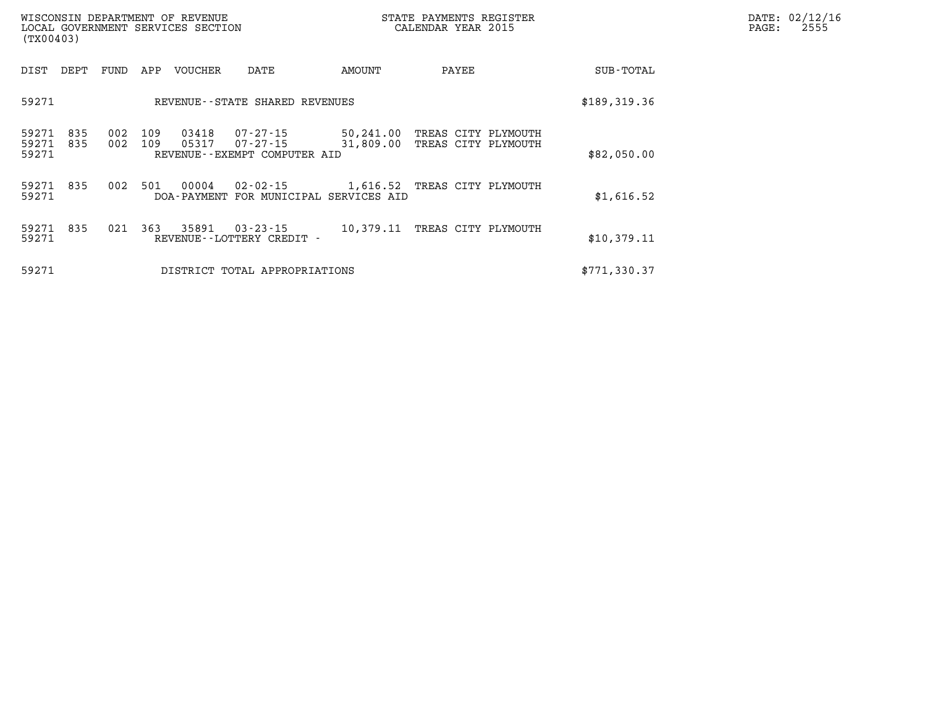| WISCONSIN DEPARTMENT OF REVENUE<br>LOCAL GOVERNMENT SERVICES SECTION<br>(TX00403) |            |            |                |                                                                                    |        | STATE PAYMENTS REGISTER<br>CALENDAR YEAR 2015 |  | DATE: 02/12/16<br>$\mathtt{PAGE:}$<br>2555 |  |
|-----------------------------------------------------------------------------------|------------|------------|----------------|------------------------------------------------------------------------------------|--------|-----------------------------------------------|--|--------------------------------------------|--|
| DIST DEPT                                                                         | FUND       | APP        | VOUCHER        | DATE                                                                               | AMOUNT | PAYEE                                         |  | SUB-TOTAL                                  |  |
| 59271                                                                             |            |            |                | REVENUE--STATE SHARED REVENUES                                                     |        |                                               |  | \$189,319.36                               |  |
| 59271<br>835<br>59271<br>835<br>59271                                             | 002<br>002 | 109<br>109 | 03418<br>05317 | 07-27-15<br>07-27-15 31,809.00 TREAS CITY PLYMOUTH<br>REVENUE--EXEMPT COMPUTER AID |        | 50,241.00 TREAS CITY PLYMOUTH                 |  | \$82,050.00                                |  |
| 59271 835<br>59271                                                                |            | 002 501    | 00004          | 02-02-15 1,616.52 TREAS CITY PLYMOUTH<br>DOA-PAYMENT FOR MUNICIPAL SERVICES AID    |        |                                               |  | \$1,616.52                                 |  |
| 59271 835<br>59271                                                                |            | 021 363    | 35891          | 03-23-15<br>REVENUE - - LOTTERY CREDIT -                                           |        | 10,379.11 TREAS CITY PLYMOUTH                 |  | \$10,379.11                                |  |
| 59271                                                                             |            |            |                | DISTRICT TOTAL APPROPRIATIONS                                                      |        |                                               |  | \$771,330.37                               |  |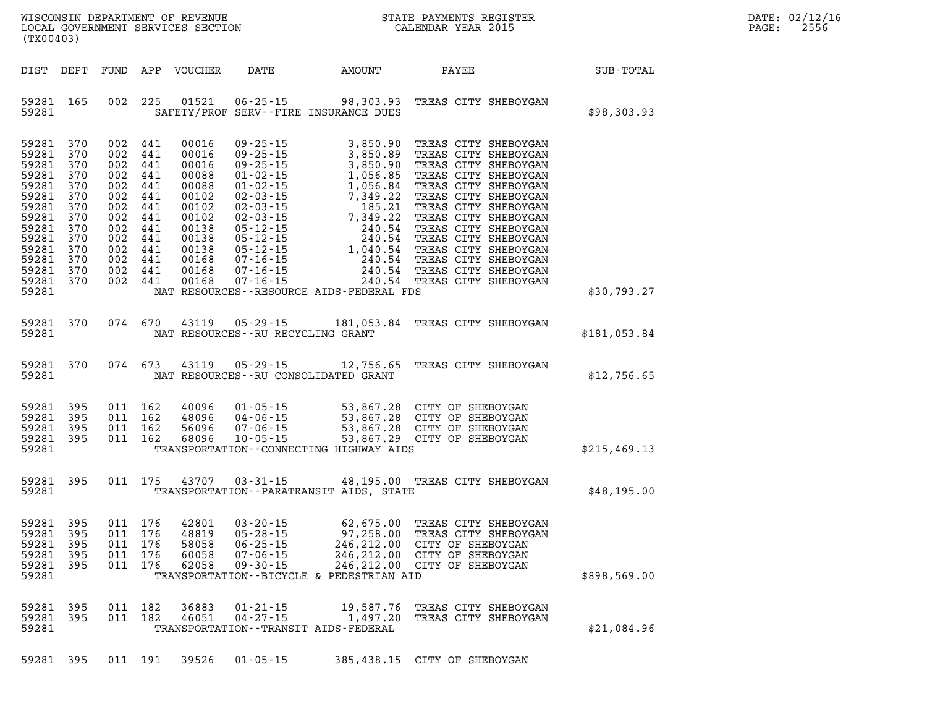| $\mathtt{DATE}$ : | 02/12/16 |
|-------------------|----------|
| PAGE:             | 2556     |

| WISCONSIN DEPARTMENT OF REVENUE<br>LOCAL GOVERNMENT SERVICES SECTION CALENDAR YEAR 2015<br>(TX00403) |                                                                                                                                                                                             |                        |                                                                                                     |                                                                               |                                                                                                                            |                                                                      |                                                                                                                                                                                                           | STATE PAYMENTS REGISTER                                         |              | DATE: 02/12/1<br>$\mathtt{PAGE}$ :<br>2556 |
|------------------------------------------------------------------------------------------------------|---------------------------------------------------------------------------------------------------------------------------------------------------------------------------------------------|------------------------|-----------------------------------------------------------------------------------------------------|-------------------------------------------------------------------------------|----------------------------------------------------------------------------------------------------------------------------|----------------------------------------------------------------------|-----------------------------------------------------------------------------------------------------------------------------------------------------------------------------------------------------------|-----------------------------------------------------------------|--------------|--------------------------------------------|
|                                                                                                      | DIST DEPT                                                                                                                                                                                   |                        |                                                                                                     |                                                                               |                                                                                                                            |                                                                      |                                                                                                                                                                                                           |                                                                 |              |                                            |
|                                                                                                      | 59281 165<br>59281                                                                                                                                                                          |                        |                                                                                                     |                                                                               | 002 225 01521                                                                                                              |                                                                      | 06-25-15 98,303.93 TREAS CITY SHEBOYGAN<br>SAFETY/PROF SERV--FIRE INSURANCE DUES                                                                                                                          |                                                                 | \$98,303.93  |                                            |
|                                                                                                      | 59281 370<br>59281 370<br>59281 370<br>59281 370<br>59281 370<br>59281 370<br>59281 370<br>59281 370<br>59281 370<br>59281 370<br>59281 370<br>59281 370<br>59281 370<br>59281 370<br>59281 |                        | 002 441<br>002<br>002<br>002<br>002<br>002<br>002<br>002<br>002<br>002<br>002 441<br>002<br>002 441 | 002 441<br>441<br>441<br>441<br>441<br>441<br>441<br>441<br>441<br>441<br>441 | 00016<br>00016<br>00016<br>00088<br>00088<br>00102<br>00102<br>00102<br>00138<br>00138<br>00138<br>00168<br>00168<br>00168 |                                                                      | NAT RESOURCES--RESOURCE AIDS-FEDERAL FDS                                                                                                                                                                  |                                                                 | \$30,793.27  |                                            |
|                                                                                                      |                                                                                                                                                                                             | 59281 370<br>59281     |                                                                                                     | 074 670                                                                       |                                                                                                                            | NAT RESOURCES--RU RECYCLING GRANT                                    | 43119  05-29-15  181,053.84  TREAS CITY SHEBOYGAN                                                                                                                                                         |                                                                 | \$181,053.84 |                                            |
|                                                                                                      |                                                                                                                                                                                             | 59281 370<br>59281 200 |                                                                                                     | 074 673                                                                       |                                                                                                                            |                                                                      | 43119  05-29-15  12,756.65  TREAS CITY SHEBOYGAN<br>NAT RESOURCES--RU CONSOLIDATED GRANT                                                                                                                  |                                                                 | \$12,756.65  |                                            |
|                                                                                                      | 59281 395<br>59281 395<br>59281 395<br>59281 395<br>59281                                                                                                                                   |                        |                                                                                                     | 011 162<br>011 162<br>011 162<br>011 162                                      | 40096<br>48096<br>56096<br>68096                                                                                           |                                                                      | 01-05-15 53,867.28 CITY OF SHEBOYGAN<br>04-06-15 53,867.28 CITY OF SHEBOYGAN<br>07-06-15 53,867.28 CITY OF SHEBOYGAN<br>10-05-15 53,867.29 CITY OF SHEBOYGAN<br>TRANSPORTATION -- CONNECTING HIGHWAY AIDS |                                                                 | \$215,469.13 |                                            |
|                                                                                                      | 59281 395<br>59281                                                                                                                                                                          |                        |                                                                                                     |                                                                               | 011 175 43707                                                                                                              | $03 - 31 - 15$                                                       | 48,195.00 TREAS CITY SHEBOYGAN<br>TRANSPORTATION--PARATRANSIT AIDS, STATE                                                                                                                                 |                                                                 | \$48,195.00  |                                            |
|                                                                                                      | 59281 395<br>59281 395<br>59281 395<br>59281 395<br>59281                                                                                                                                   |                        |                                                                                                     | 011 176<br>011 176<br>011 176<br>011 176                                      | 42801<br>58058<br>60058<br>62058                                                                                           | $03 - 20 - 15$<br>$06 - 25 - 15$<br>$07 - 06 - 15$<br>$09 - 30 - 15$ | 59281 395 011 176 48819 05-28-15 97,258.00 TREAS CITY SHEBOYGAN<br>246,212.00 CITY OF SHEBOYGAN<br>246, 212.00 CITY OF SHEBOYGAN<br>TRANSPORTATION--BICYCLE & PEDESTRIAN AID                              | 62,675.00 TREAS CITY SHEBOYGAN<br>246,212.00 CITY OF SHEBOYGAN  | \$898,569.00 |                                            |
|                                                                                                      | 59281 395<br>59281 395<br>59281                                                                                                                                                             |                        |                                                                                                     | 011 182<br>011 182                                                            | 36883<br>46051                                                                                                             | $01 - 21 - 15$<br>$04 - 27 - 15$                                     | TRANSPORTATION - - TRANSIT AIDS - FEDERAL                                                                                                                                                                 | 19,587.76 TREAS CITY SHEBOYGAN<br>1,497.20 TREAS CITY SHEBOYGAN | \$21,084.96  |                                            |
|                                                                                                      |                                                                                                                                                                                             | 59281 395              |                                                                                                     |                                                                               | 011 191 39526                                                                                                              | $01 - 05 - 15$                                                       | 385,438.15 CITY OF SHEBOYGAN                                                                                                                                                                              |                                                                 |              |                                            |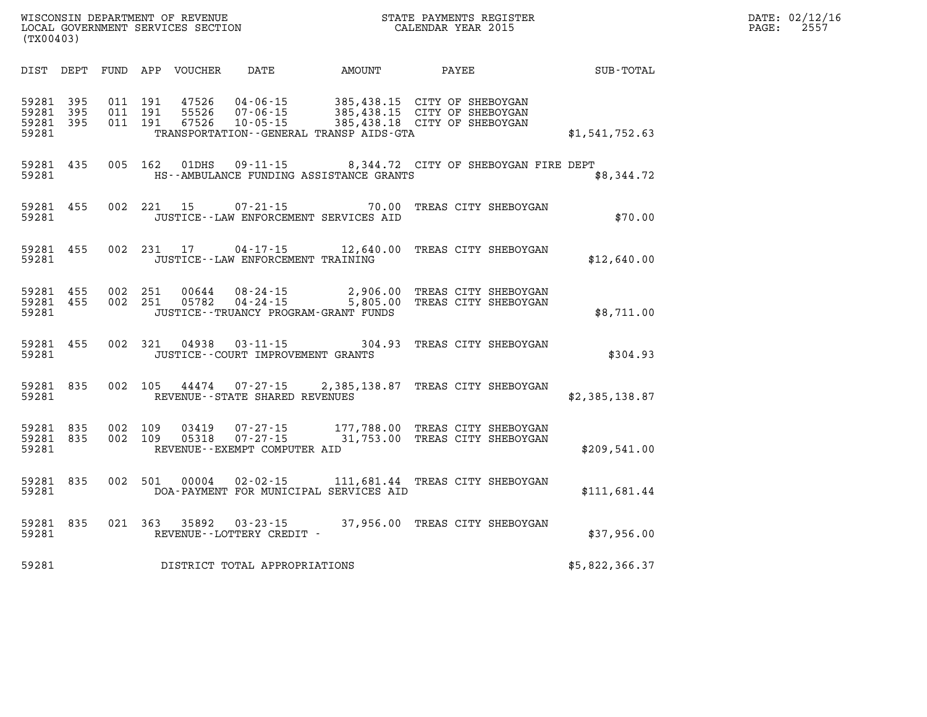| (TX00403)      |                               |  | WISCONSIN DEPARTMENT OF REVENUE<br>LOCAL GOVERNMENT SERVICES SECTION |                                              | STATE PAYMENTS REGISTER<br>CALENDAR YEAR 2015                                                                                                                     |                | DATE: 02/12/16<br>PAGE: 2557 |
|----------------|-------------------------------|--|----------------------------------------------------------------------|----------------------------------------------|-------------------------------------------------------------------------------------------------------------------------------------------------------------------|----------------|------------------------------|
|                |                               |  |                                                                      | DIST DEPT FUND APP VOUCHER DATE AMOUNT PAYEE |                                                                                                                                                                   | SUB-TOTAL      |                              |
| 59281<br>59281 | 59281 395<br>59281 395<br>395 |  |                                                                      | TRANSPORTATION - - GENERAL TRANSP AIDS - GTA | 011 191 47526 04-06-15 385,438.15 CITY OF SHEBOYGAN<br>011 191 55526 07-06-15 385,438.15 CITY OF SHEBOYGAN<br>011 191 67526 10-05-15 385,438.18 CITY OF SHEBOYGAN | \$1,541,752.63 |                              |
| 59281          |                               |  |                                                                      | HS--AMBULANCE FUNDING ASSISTANCE GRANTS      | 59281 435 005 162 01DHS 09-11-15 8,344.72 CITY OF SHEBOYGAN FIRE DEPT                                                                                             | \$8,344.72     |                              |
| 59281          | 59281 455                     |  |                                                                      | JUSTICE -- LAW ENFORCEMENT SERVICES AID      | 002 221 15 07-21-15 70.00 TREAS CITY SHEBOYGAN                                                                                                                    | \$70.00        |                              |
| 59281          |                               |  | JUSTICE--LAW ENFORCEMENT TRAINING                                    |                                              | 59281 455 002 231 17 04-17-15 12,640.00 TREAS CITY SHEBOYGAN                                                                                                      | \$12,640.00    |                              |
| 59281          |                               |  | JUSTICE - - TRUANCY PROGRAM - GRANT FUNDS                            |                                              | 59281 455 002 251 00644 08-24-15 2,906.00 TREAS CITY SHEBOYGAN<br>59281 455 002 251 05782 04-24-15 5,805.00 TREAS CITY SHEBOYGAN                                  | \$8,711.00     |                              |
| 59281          | 59281 455                     |  | JUSTICE -- COURT IMPROVEMENT GRANTS                                  |                                              | 002 321 04938 03-11-15 304.93 TREAS CITY SHEBOYGAN                                                                                                                | \$304.93       |                              |
|                |                               |  | 59281 REVENUE - STATE SHARED REVENUES                                |                                              | 59281 835 002 105 44474 07-27-15 2,385,138.87 TREAS CITY SHEBOYGAN                                                                                                | \$2,385,138.87 |                              |
| 59281          | 59281 835                     |  | REVENUE--EXEMPT COMPUTER AID                                         |                                              | 59281 835 002 109 03419 07-27-15 177,788.00 TREAS CITY SHEBOYGAN<br>002 109 05318 07-27-15 31,753.00 TREAS CITY SHEBOYGAN                                         | \$209,541.00   |                              |
| 59281          | 59281 835                     |  |                                                                      | DOA-PAYMENT FOR MUNICIPAL SERVICES AID       | 002 501 00004 02-02-15 111,681.44 TREAS CITY SHEBOYGAN                                                                                                            | \$111.681.44   |                              |
| 59281          |                               |  | REVENUE--LOTTERY CREDIT -                                            |                                              | 59281 835 021 363 35892 03-23-15 37,956.00 TREAS CITY SHEBOYGAN                                                                                                   | \$37,956.00    |                              |
| 59281          |                               |  | DISTRICT TOTAL APPROPRIATIONS                                        |                                              |                                                                                                                                                                   | \$5,822,366.37 |                              |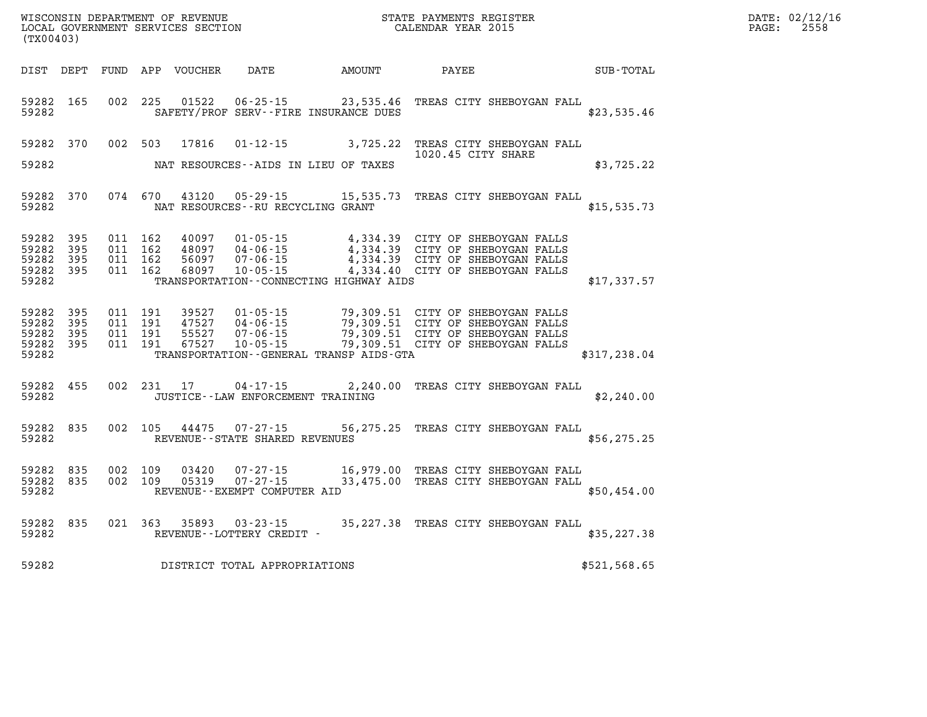| $\mathtt{DATE}$ : | 02/12/16 |
|-------------------|----------|
| PAGE:             | 2558     |

| (TX00403)                                         |              |                                          | LOCAL GOVERNMENT SERVICES SECTION |                                                                      |                                              | CALENDAR YEAR 2015                                                                                                                               |               | PAGE: | 2558 |
|---------------------------------------------------|--------------|------------------------------------------|-----------------------------------|----------------------------------------------------------------------|----------------------------------------------|--------------------------------------------------------------------------------------------------------------------------------------------------|---------------|-------|------|
|                                                   |              |                                          | DIST DEPT FUND APP VOUCHER        | <b>DATE</b>                                                          |                                              |                                                                                                                                                  |               |       |      |
| 59282 165<br>59282                                |              |                                          | 002 225 01522                     |                                                                      | SAFETY/PROF SERV--FIRE INSURANCE DUES        | 06-25-15 23,535.46 TREAS CITY SHEBOYGAN FALL                                                                                                     | \$23,535.46   |       |      |
| 59282 370                                         |              | 002 503                                  | 17816                             | $01 - 12 - 15$                                                       | 3,725.22                                     | TREAS CITY SHEBOYGAN FALL<br>1020.45 CITY SHARE                                                                                                  |               |       |      |
| 59282                                             |              |                                          |                                   |                                                                      | NAT RESOURCES--AIDS IN LIEU OF TAXES         |                                                                                                                                                  | \$3,725.22    |       |      |
| 59282 370<br>59282                                |              |                                          | 074 670 43120                     | 05 - 29 - 15<br>NAT RESOURCES - - RU RECYCLING GRANT                 |                                              | 15,535.73 TREAS CITY SHEBOYGAN FALL                                                                                                              | \$15, 535.73  |       |      |
| 59282 395<br>59282<br>59282<br>59282 395<br>59282 | 395<br>395   | 011 162<br>011 162<br>011 162<br>011 162 | 40097<br>48097<br>56097<br>68097  | $01 - 05 - 15$<br>$04 - 06 - 15$<br>$07 - 06 - 15$<br>$10 - 05 - 15$ | TRANSPORTATION - - CONNECTING HIGHWAY AIDS   | 4,334.39 CITY OF SHEBOYGAN FALLS<br>4,334.39 CITY OF SHEBOYGAN FALLS<br>4,334.39 CITY OF SHEBOYGAN FALLS<br>4,334.40 CITY OF SHEBOYGAN FALLS     | \$17,337.57   |       |      |
| 59282 395<br>59282<br>59282<br>59282 395<br>59282 | 395<br>- 395 | 011 191<br>011 191<br>011 191<br>011 191 | 39527<br>47527<br>55527<br>67527  | 01-05-15<br>04 - 06 - 15<br>$07 - 06 - 15$<br>$10 - 05 - 15$         | TRANSPORTATION - - GENERAL TRANSP AIDS - GTA | 79,309.51 CITY OF SHEBOYGAN FALLS<br>79,309.51 CITY OF SHEBOYGAN FALLS<br>79,309.51 CITY OF SHEBOYGAN FALLS<br>79,309.51 CITY OF SHEBOYGAN FALLS | \$317, 238.04 |       |      |
| 59282 455<br>59282                                |              | 002 231 17                               |                                   | 04-17-15<br>JUSTICE - - LAW ENFORCEMENT TRAINING                     |                                              | 2,240.00 TREAS CITY SHEBOYGAN FALL                                                                                                               | \$2,240.00    |       |      |
| 59282 835<br>59282                                |              | 002 105                                  | 44475                             | $07 - 27 - 15$<br>REVENUE--STATE SHARED REVENUES                     |                                              | 56,275.25 TREAS CITY SHEBOYGAN FALL                                                                                                              | \$56, 275.25  |       |      |
| 59282 835<br>59282 835<br>59282                   |              | 002 109<br>002 109                       | 03420<br>05319                    | REVENUE--EXEMPT COMPUTER AID                                         |                                              | 07-27-15 16,979.00 TREAS CITY SHEBOYGAN FALL<br>07-27-15 33,475.00 TREAS CITY SHEBOYGAN FALL<br>33,475.00 TREAS CITY SHEBOYGAN FALL              | \$50,454.00   |       |      |
| 59282 835<br>59282                                |              |                                          |                                   | 021 363 35893 03-23-15<br>REVENUE--LOTTERY CREDIT -                  |                                              | 35,227.38 TREAS CITY SHEBOYGAN FALL                                                                                                              | \$35,227.38   |       |      |
| 59282                                             |              |                                          |                                   | DISTRICT TOTAL APPROPRIATIONS                                        |                                              |                                                                                                                                                  | \$521,568.65  |       |      |

WISCONSIN DEPARTMENT OF REVENUE **STATE PAYMENTS REGISTER**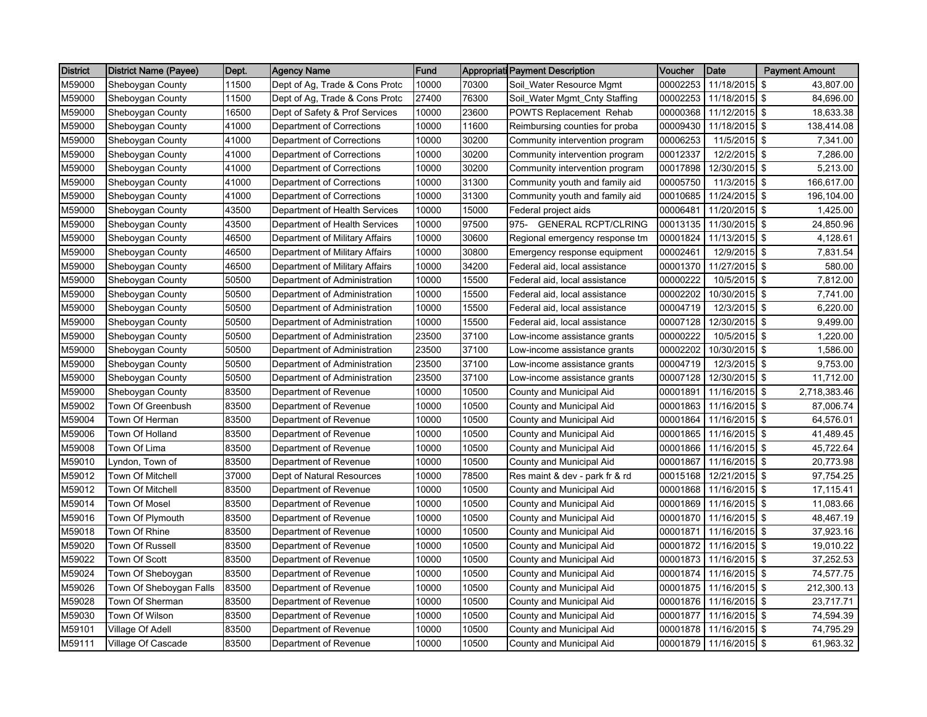| <b>District</b> | <b>District Name (Payee)</b> | Dept. | <b>Agency Name</b>             | Fund  |       | <b>Appropriati Payment Description</b> | Voucher  | Date                   | <b>Payment Amount</b> |
|-----------------|------------------------------|-------|--------------------------------|-------|-------|----------------------------------------|----------|------------------------|-----------------------|
| M59000          | Sheboygan County             | 11500 | Dept of Ag, Trade & Cons Protc | 10000 | 70300 | Soil_Water Resource Mgmt               | 00002253 | 11/18/2015             | \$<br>43,807.00       |
| M59000          | Sheboygan County             | 11500 | Dept of Ag, Trade & Cons Protc | 27400 | 76300 | Soil_Water Mgmt_Cnty Staffing          | 00002253 | 11/18/2015 \$          | 84,696.00             |
| M59000          | Sheboygan County             | 16500 | Dept of Safety & Prof Services | 10000 | 23600 | POWTS Replacement Rehab                | 00000368 | 11/12/2015 \$          | 18,633.38             |
| M59000          | Sheboygan County             | 41000 | Department of Corrections      | 10000 | 11600 | Reimbursing counties for proba         | 00009430 | 11/18/2015             | \$<br>138,414.08      |
| M59000          | Sheboygan County             | 41000 | Department of Corrections      | 10000 | 30200 | Community intervention program         | 00006253 | 11/5/2015              | \$<br>7,341.00        |
| M59000          | Sheboygan County             | 41000 | Department of Corrections      | 10000 | 30200 | Community intervention program         | 00012337 | 12/2/2015 \$           | 7,286.00              |
| M59000          | Sheboygan County             | 41000 | Department of Corrections      | 10000 | 30200 | Community intervention program         | 00017898 | 12/30/2015 \$          | 5,213.00              |
| M59000          | Sheboygan County             | 41000 | Department of Corrections      | 10000 | 31300 | Community youth and family aid         | 00005750 | 11/3/2015 \$           | 166,617.00            |
| M59000          | Sheboygan County             | 41000 | Department of Corrections      | 10000 | 31300 | Community youth and family aid         | 00010685 | 11/24/2015 \$          | 196,104.00            |
| M59000          | Sheboygan County             | 43500 | Department of Health Services  | 10000 | 15000 | Federal project aids                   | 00006481 | 11/20/2015 \$          | 1,425.00              |
| M59000          | Sheboygan County             | 43500 | Department of Health Services  | 10000 | 97500 | <b>GENERAL RCPT/CLRING</b><br>975-     | 00013135 | 11/30/2015 \$          | 24,850.96             |
| M59000          | Sheboygan County             | 46500 | Department of Military Affairs | 10000 | 30600 | Regional emergency response tm         | 00001824 | 11/13/2015 \$          | 4,128.61              |
| M59000          | Sheboygan County             | 46500 | Department of Military Affairs | 10000 | 30800 | Emergency response equipment           | 00002461 | 12/9/2015 \$           | 7,831.54              |
| M59000          | Sheboygan County             | 46500 | Department of Military Affairs | 10000 | 34200 | Federal aid, local assistance          | 00001370 | 11/27/2015 \$          | 580.00                |
| M59000          | Sheboygan County             | 50500 | Department of Administration   | 10000 | 15500 | Federal aid, local assistance          | 00000222 | 10/5/2015 \$           | 7,812.00              |
| M59000          | Sheboygan County             | 50500 | Department of Administration   | 10000 | 15500 | Federal aid, local assistance          | 00002202 | 10/30/2015 \$          | 7,741.00              |
| M59000          | Sheboygan County             | 50500 | Department of Administration   | 10000 | 15500 | Federal aid, local assistance          | 00004719 | 12/3/2015 \$           | 6,220.00              |
| M59000          | Sheboygan County             | 50500 | Department of Administration   | 10000 | 15500 | Federal aid, local assistance          | 00007128 | 12/30/2015             | \$<br>9,499.00        |
| M59000          | Sheboygan County             | 50500 | Department of Administration   | 23500 | 37100 | Low-income assistance grants           | 00000222 | 10/5/2015 \$           | 1,220.00              |
| M59000          | Sheboygan County             | 50500 | Department of Administration   | 23500 | 37100 | Low-income assistance grants           | 00002202 | 10/30/2015 \$          | 1,586.00              |
| M59000          | Sheboygan County             | 50500 | Department of Administration   | 23500 | 37100 | Low-income assistance grants           | 00004719 | 12/3/2015              | \$<br>9,753.00        |
| M59000          | Sheboygan County             | 50500 | Department of Administration   | 23500 | 37100 | Low-income assistance grants           | 00007128 | 12/30/2015 \$          | 11,712.00             |
| M59000          | Sheboygan County             | 83500 | Department of Revenue          | 10000 | 10500 | County and Municipal Aid               | 00001891 | 11/16/2015             | \$<br>2,718,383.46    |
| M59002          | Town Of Greenbush            | 83500 | Department of Revenue          | 10000 | 10500 | County and Municipal Aid               | 00001863 | 11/16/2015 \$          | 87,006.74             |
| M59004          | Town Of Herman               | 83500 | Department of Revenue          | 10000 | 10500 | County and Municipal Aid               | 00001864 | 11/16/2015 \$          | 64,576.01             |
| M59006          | Town Of Holland              | 83500 | Department of Revenue          | 10000 | 10500 | County and Municipal Aid               | 00001865 | 11/16/2015 \$          | 41,489.45             |
| M59008          | Town Of Lima                 | 83500 | Department of Revenue          | 10000 | 10500 | County and Municipal Aid               | 00001866 | 11/16/2015 \$          | 45,722.64             |
| M59010          | Lyndon, Town of              | 83500 | Department of Revenue          | 10000 | 10500 | County and Municipal Aid               | 00001867 | 11/16/2015 \$          | 20,773.98             |
| M59012          | Town Of Mitchell             | 37000 | Dept of Natural Resources      | 10000 | 78500 | Res maint & dev - park fr & rd         | 00015168 | 12/21/2015 \$          | 97,754.25             |
| M59012          | Town Of Mitchell             | 83500 | Department of Revenue          | 10000 | 10500 | County and Municipal Aid               | 00001868 | 11/16/2015             | \$<br>17,115.41       |
| M59014          | Town Of Mosel                | 83500 | Department of Revenue          | 10000 | 10500 | County and Municipal Aid               | 00001869 | 11/16/2015 \$          | 11,083.66             |
| M59016          | Town Of Plymouth             | 83500 | Department of Revenue          | 10000 | 10500 | County and Municipal Aid               | 00001870 | 11/16/2015             | \$<br>48,467.19       |
| M59018          | Town Of Rhine                | 83500 | Department of Revenue          | 10000 | 10500 | County and Municipal Aid               | 00001871 | 11/16/2015 \$          | 37,923.16             |
| M59020          | Town Of Russell              | 83500 | Department of Revenue          | 10000 | 10500 | County and Municipal Aid               | 00001872 | 11/16/2015 \$          | 19,010.22             |
| M59022          | Town Of Scott                | 83500 | Department of Revenue          | 10000 | 10500 | County and Municipal Aid               | 00001873 | 11/16/2015 \$          | 37,252.53             |
| M59024          | Town Of Sheboygan            | 83500 | Department of Revenue          | 10000 | 10500 | County and Municipal Aid               | 00001874 | 11/16/2015 \$          | 74,577.75             |
| M59026          | Town Of Sheboygan Falls      | 83500 | Department of Revenue          | 10000 | 10500 | County and Municipal Aid               | 00001875 | 11/16/2015             | \$<br>212,300.13      |
| M59028          | Town Of Sherman              | 83500 | Department of Revenue          | 10000 | 10500 | County and Municipal Aid               | 00001876 | 11/16/2015 \$          | 23,717.71             |
| M59030          | Town Of Wilson               | 83500 | Department of Revenue          | 10000 | 10500 | County and Municipal Aid               | 00001877 | 11/16/2015 \$          | 74,594.39             |
| M59101          | Village Of Adell             | 83500 | Department of Revenue          | 10000 | 10500 | County and Municipal Aid               | 00001878 | 11/16/2015 \$          | 74,795.29             |
| M59111          | Village Of Cascade           | 83500 | Department of Revenue          | 10000 | 10500 | County and Municipal Aid               |          | 00001879 11/16/2015 \$ | 61,963.32             |